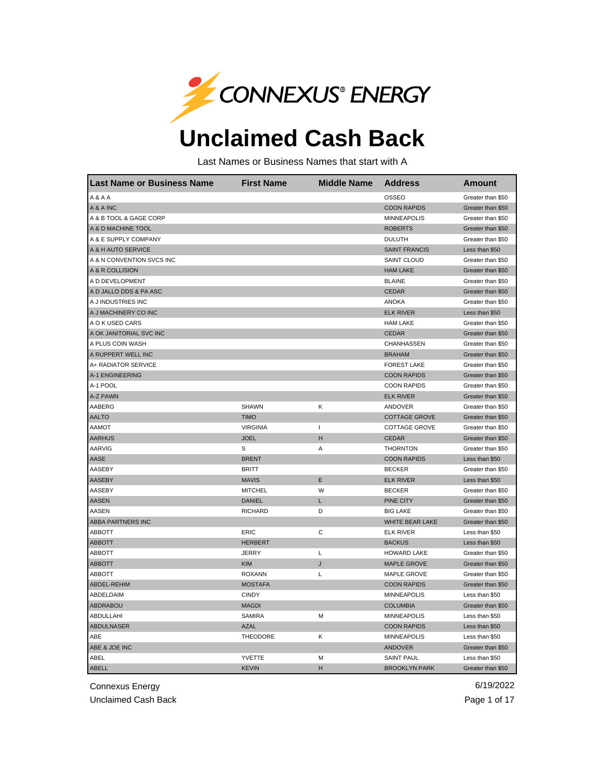

## **Unclaimed Cash Back**

Last Names or Business Names that start with A

| <b>Last Name or Business Name</b> | <b>First Name</b> | <b>Middle Name</b> | <b>Address</b>       | <b>Amount</b>     |
|-----------------------------------|-------------------|--------------------|----------------------|-------------------|
| A&AA                              |                   |                    | <b>OSSEO</b>         | Greater than \$50 |
| A & A INC                         |                   |                    | <b>COON RAPIDS</b>   | Greater than \$50 |
| A & B TOOL & GAGE CORP            |                   |                    | <b>MINNEAPOLIS</b>   | Greater than \$50 |
| A & D MACHINE TOOL                |                   |                    | <b>ROBERTS</b>       | Greater than \$50 |
| A & E SUPPLY COMPANY              |                   |                    | <b>DULUTH</b>        | Greater than \$50 |
| A & H AUTO SERVICE                |                   |                    | <b>SAINT FRANCIS</b> | Less than \$50    |
| A & N CONVENTION SVCS INC         |                   |                    | <b>SAINT CLOUD</b>   | Greater than \$50 |
| A & R COLLISION                   |                   |                    | <b>HAM LAKE</b>      | Greater than \$50 |
| A D DEVELOPMENT                   |                   |                    | <b>BLAINE</b>        | Greater than \$50 |
| A D JALLO DDS & PA ASC            |                   |                    | <b>CEDAR</b>         | Greater than \$50 |
| A J INDUSTRIES INC                |                   |                    | <b>ANOKA</b>         | Greater than \$50 |
| A J MACHINERY CO INC              |                   |                    | <b>ELK RIVER</b>     | Less than \$50    |
| A O K USED CARS                   |                   |                    | <b>HAM LAKE</b>      | Greater than \$50 |
| A OK JANITORIAL SVC INC           |                   |                    | <b>CEDAR</b>         | Greater than \$50 |
| A PLUS COIN WASH                  |                   |                    | CHANHASSEN           | Greater than \$50 |
| A RUPPERT WELL INC                |                   |                    | <b>BRAHAM</b>        | Greater than \$50 |
| A+ RADIATOR SERVICE               |                   |                    | <b>FOREST LAKE</b>   | Greater than \$50 |
| A-1 ENGINEERING                   |                   |                    | <b>COON RAPIDS</b>   | Greater than \$50 |
| A-1 POOL                          |                   |                    | <b>COON RAPIDS</b>   | Greater than \$50 |
| A-Z PAWN                          |                   |                    | <b>ELK RIVER</b>     | Greater than \$50 |
| AABERG                            | <b>SHAWN</b>      | κ                  | ANDOVER              | Greater than \$50 |
| <b>AALTO</b>                      | <b>TIMO</b>       |                    | <b>COTTAGE GROVE</b> | Greater than \$50 |
| AAMOT                             | <b>VIRGINIA</b>   | L                  | <b>COTTAGE GROVE</b> | Greater than \$50 |
| <b>AARHUS</b>                     | <b>JOEL</b>       | н                  | <b>CEDAR</b>         | Greater than \$50 |
| AARVIG                            | S                 | Α                  | <b>THORNTON</b>      | Greater than \$50 |
| AASE                              | <b>BRENT</b>      |                    | <b>COON RAPIDS</b>   | Less than \$50    |
| AASEBY                            | <b>BRITT</b>      |                    | <b>BECKER</b>        | Greater than \$50 |
| AASEBY                            | <b>MAVIS</b>      | E                  | <b>ELK RIVER</b>     | Less than \$50    |
| AASEBY                            | <b>MITCHEL</b>    | W                  | <b>BECKER</b>        | Greater than \$50 |
| <b>AASEN</b>                      | <b>DANIEL</b>     | L                  | PINE CITY            | Greater than \$50 |
| AASEN                             | <b>RICHARD</b>    | D                  | <b>BIG LAKE</b>      | Greater than \$50 |
| <b>ABBA PARTNERS INC</b>          |                   |                    | WHITE BEAR LAKE      | Greater than \$50 |
| <b>ABBOTT</b>                     | <b>ERIC</b>       | С                  | <b>ELK RIVER</b>     | Less than \$50    |
| <b>ABBOTT</b>                     | <b>HERBERT</b>    |                    | <b>BACKUS</b>        | Less than \$50    |
| <b>ABBOTT</b>                     | <b>JERRY</b>      | L                  | <b>HOWARD LAKE</b>   | Greater than \$50 |
| <b>ABBOTT</b>                     | <b>KIM</b>        | J                  | <b>MAPLE GROVE</b>   | Greater than \$50 |
| <b>ABBOTT</b>                     | <b>ROXANN</b>     | Г                  | <b>MAPLE GROVE</b>   | Greater than \$50 |
| ABDEL-REHIM                       | <b>MOSTAFA</b>    |                    | <b>COON RAPIDS</b>   | Greater than \$50 |
| ABDELDAIM                         | <b>CINDY</b>      |                    | <b>MINNEAPOLIS</b>   | Less than \$50    |
| ABDRABOU                          | <b>MAGDI</b>      |                    | <b>COLUMBIA</b>      | Greater than \$50 |
| ABDULLAHI                         | <b>SAMIRA</b>     | м                  | <b>MINNEAPOLIS</b>   | Less than \$50    |
| <b>ABDULNASER</b>                 | <b>AZAL</b>       |                    | <b>COON RAPIDS</b>   | Less than \$50    |
| ABE                               | <b>THEODORE</b>   | Κ                  | <b>MINNEAPOLIS</b>   | Less than \$50    |
| ABE & JOE INC                     |                   |                    | <b>ANDOVER</b>       | Greater than \$50 |
| ABEL                              | YVETTE            | М                  | <b>SAINT PAUL</b>    | Less than \$50    |
| <b>ABELL</b>                      | <b>KEVIN</b>      | н                  | <b>BROOKLYN PARK</b> | Greater than \$50 |

Connexus Energy 6/19/2022

Unclaimed Cash Back **Page 1 of 17** and the Unclaimed Cash Back Page 1 of 17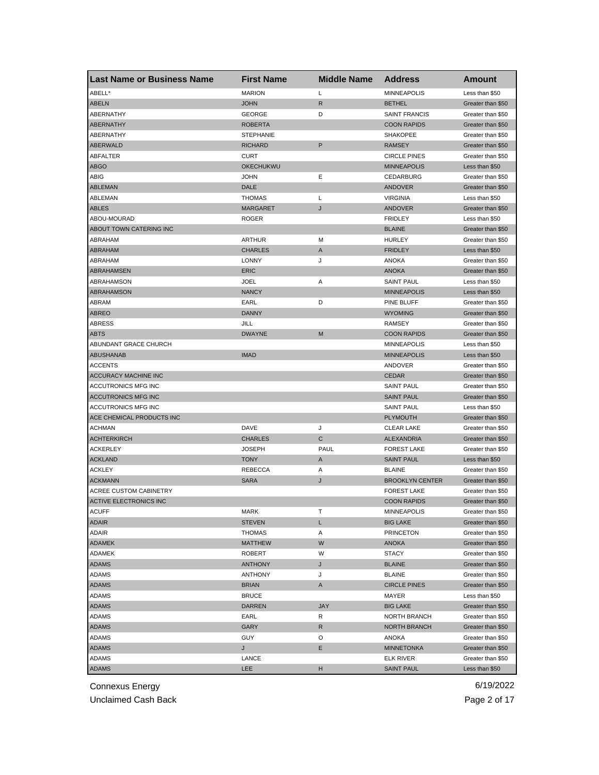| <b>Last Name or Business Name</b> | <b>First Name</b> | <b>Middle Name</b> | <b>Address</b>         | <b>Amount</b>     |
|-----------------------------------|-------------------|--------------------|------------------------|-------------------|
| ABELL*                            | <b>MARION</b>     | Г                  | <b>MINNEAPOLIS</b>     | Less than \$50    |
| <b>ABELN</b>                      | <b>JOHN</b>       | R                  | <b>BETHEL</b>          | Greater than \$50 |
| ABERNATHY                         | GEORGE            | D                  | <b>SAINT FRANCIS</b>   | Greater than \$50 |
| <b>ABERNATHY</b>                  | <b>ROBERTA</b>    |                    | <b>COON RAPIDS</b>     | Greater than \$50 |
| ABERNATHY                         | <b>STEPHANIE</b>  |                    | <b>SHAKOPEE</b>        | Greater than \$50 |
| <b>ABERWALD</b>                   | <b>RICHARD</b>    | P                  | <b>RAMSEY</b>          | Greater than \$50 |
| ABFALTER                          | <b>CURT</b>       |                    | <b>CIRCLE PINES</b>    | Greater than \$50 |
| <b>ABGO</b>                       | <b>OKECHUKWU</b>  |                    | <b>MINNEAPOLIS</b>     | Less than \$50    |
| ABIG                              | <b>JOHN</b>       | Ε                  | CEDARBURG              | Greater than \$50 |
| <b>ABLEMAN</b>                    | DALE              |                    | ANDOVER                | Greater than \$50 |
| ABLEMAN                           | <b>THOMAS</b>     | Г                  | <b>VIRGINIA</b>        | Less than \$50    |
| ABLES                             | <b>MARGARET</b>   | J                  | ANDOVER                | Greater than \$50 |
| ABOU-MOURAD                       | <b>ROGER</b>      |                    | <b>FRIDLEY</b>         | Less than \$50    |
| ABOUT TOWN CATERING INC           |                   |                    | <b>BLAINE</b>          | Greater than \$50 |
| ABRAHAM                           | ARTHUR            | M                  | <b>HURLEY</b>          | Greater than \$50 |
| <b>ABRAHAM</b>                    | <b>CHARLES</b>    | A                  | <b>FRIDLEY</b>         | Less than \$50    |
| ABRAHAM                           | <b>LONNY</b>      | J                  | ANOKA                  | Greater than \$50 |
| ABRAHAMSEN                        | <b>ERIC</b>       |                    | <b>ANOKA</b>           | Greater than \$50 |
| ABRAHAMSON                        | <b>JOEL</b>       | Α                  | <b>SAINT PAUL</b>      | Less than \$50    |
| ABRAHAMSON                        | <b>NANCY</b>      |                    | <b>MINNEAPOLIS</b>     | Less than \$50    |
| ABRAM                             | EARL              | D                  | PINE BLUFF             | Greater than \$50 |
| <b>ABREO</b>                      | <b>DANNY</b>      |                    | <b>WYOMING</b>         | Greater than \$50 |
| ABRESS                            | JILL              |                    | <b>RAMSEY</b>          | Greater than \$50 |
| <b>ABTS</b>                       | <b>DWAYNE</b>     | M                  | <b>COON RAPIDS</b>     | Greater than \$50 |
| ABUNDANT GRACE CHURCH             |                   |                    | <b>MINNEAPOLIS</b>     | Less than \$50    |
| <b>ABUSHANAB</b>                  | <b>IMAD</b>       |                    | <b>MINNEAPOLIS</b>     | Less than \$50    |
| <b>ACCENTS</b>                    |                   |                    | ANDOVER                | Greater than \$50 |
| <b>ACCURACY MACHINE INC</b>       |                   |                    | <b>CEDAR</b>           | Greater than \$50 |
| ACCUTRONICS MFG INC               |                   |                    | <b>SAINT PAUL</b>      | Greater than \$50 |
| <b>ACCUTRONICS MFG INC</b>        |                   |                    | <b>SAINT PAUL</b>      | Greater than \$50 |
| ACCUTRONICS MFG INC               |                   |                    | <b>SAINT PAUL</b>      | Less than \$50    |
| ACE CHEMICAL PRODUCTS INC         |                   |                    | <b>PLYMOUTH</b>        | Greater than \$50 |
| <b>ACHMAN</b>                     | DAVE              | J                  | <b>CLEAR LAKE</b>      | Greater than \$50 |
| <b>ACHTERKIRCH</b>                | <b>CHARLES</b>    | C                  | ALEXANDRIA             | Greater than \$50 |
| <b>ACKERLEY</b>                   | <b>JOSEPH</b>     | PAUL               | <b>FOREST LAKE</b>     | Greater than \$50 |
| <b>ACKLAND</b>                    | <b>TONY</b>       | A                  | <b>SAINT PAUL</b>      | Less than \$50    |
| <b>ACKLEY</b>                     | <b>REBECCA</b>    | Α                  | <b>BLAINE</b>          | Greater than \$50 |
| <b>ACKMANN</b>                    | <b>SARA</b>       | J                  | <b>BROOKLYN CENTER</b> | Greater than \$50 |
| <b>ACREE CUSTOM CABINETRY</b>     |                   |                    | <b>FOREST LAKE</b>     | Greater than \$50 |
| <b>ACTIVE ELECTRONICS INC</b>     |                   |                    | <b>COON RAPIDS</b>     | Greater than \$50 |
| <b>ACUFF</b>                      | MARK              | л.                 | <b>MINNEAPOLIS</b>     | Greater than \$50 |
| <b>ADAIR</b>                      | <b>STEVEN</b>     | L                  | <b>BIG LAKE</b>        | Greater than \$50 |
| ADAIR                             | THOMAS            | Α                  | <b>PRINCETON</b>       | Greater than \$50 |
| ADAMEK                            | <b>MATTHEW</b>    | W                  | ANOKA                  | Greater than \$50 |
| <b>ADAMEK</b>                     | <b>ROBERT</b>     | W                  | <b>STACY</b>           | Greater than \$50 |
| <b>ADAMS</b>                      | <b>ANTHONY</b>    | J                  | <b>BLAINE</b>          | Greater than \$50 |
| ADAMS                             | <b>ANTHONY</b>    | J                  | <b>BLAINE</b>          | Greater than \$50 |
| <b>ADAMS</b>                      | <b>BRIAN</b>      | A                  | <b>CIRCLE PINES</b>    | Greater than \$50 |
| ADAMS                             | <b>BRUCE</b>      |                    | MAYER                  | Less than \$50    |
| <b>ADAMS</b>                      | <b>DARREN</b>     | <b>JAY</b>         | <b>BIG LAKE</b>        | Greater than \$50 |
|                                   | EARL              | R                  |                        | Greater than \$50 |
| ADAMS                             |                   |                    | NORTH BRANCH           |                   |
| <b>ADAMS</b>                      | GARY              | R                  | NORTH BRANCH           | Greater than \$50 |
| ADAMS                             | <b>GUY</b>        | O                  | ANOKA                  | Greater than \$50 |
| ADAMS                             | J                 | Е                  | <b>MINNETONKA</b>      | Greater than \$50 |
| ADAMS                             | LANCE             |                    | <b>ELK RIVER</b>       | Greater than \$50 |
| <b>ADAMS</b>                      | LEE               | н                  | <b>SAINT PAUL</b>      | Less than \$50    |

Unclaimed Cash Back **Page 2 of 17**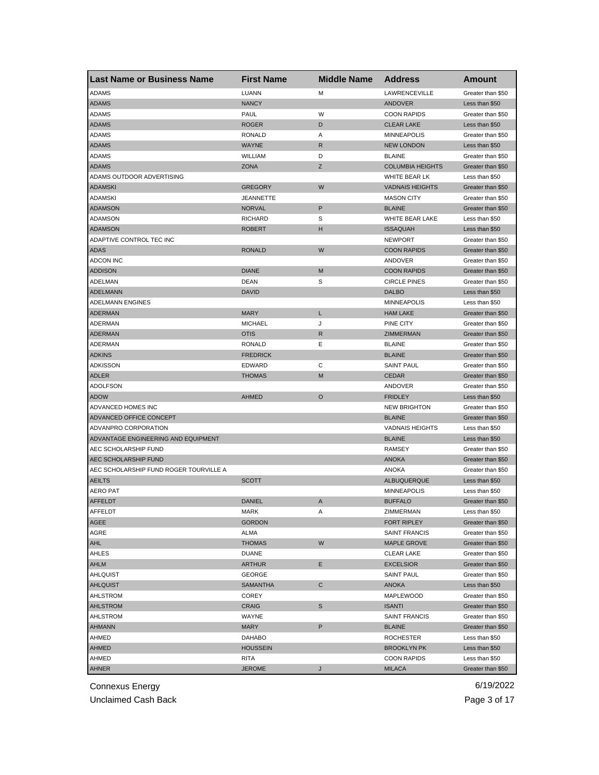| <b>Last Name or Business Name</b>      | <b>First Name</b> | <b>Middle Name</b> | <b>Address</b>          | Amount            |
|----------------------------------------|-------------------|--------------------|-------------------------|-------------------|
| <b>ADAMS</b>                           | LUANN             | м                  | LAWRENCEVILLE           | Greater than \$50 |
| <b>ADAMS</b>                           | <b>NANCY</b>      |                    | ANDOVER                 | Less than \$50    |
| ADAMS                                  | PAUL              | W                  | <b>COON RAPIDS</b>      | Greater than \$50 |
| <b>ADAMS</b>                           | <b>ROGER</b>      | D                  | <b>CLEAR LAKE</b>       | Less than \$50    |
| ADAMS                                  | <b>RONALD</b>     | Α                  | <b>MINNEAPOLIS</b>      | Greater than \$50 |
| <b>ADAMS</b>                           | <b>WAYNE</b>      | R                  | <b>NEW LONDON</b>       | Less than \$50    |
| ADAMS                                  | WILLIAM           | D                  | <b>BLAINE</b>           | Greater than \$50 |
| <b>ADAMS</b>                           | ZONA              | Ζ                  | <b>COLUMBIA HEIGHTS</b> | Greater than \$50 |
| ADAMS OUTDOOR ADVERTISING              |                   |                    | WHITE BEAR LK           | Less than \$50    |
| <b>ADAMSKI</b>                         | <b>GREGORY</b>    | W                  | <b>VADNAIS HEIGHTS</b>  | Greater than \$50 |
| <b>ADAMSKI</b>                         | JEANNETTE         |                    | <b>MASON CITY</b>       | Greater than \$50 |
| <b>ADAMSON</b>                         | <b>NORVAL</b>     | P                  | <b>BLAINE</b>           | Greater than \$50 |
| <b>ADAMSON</b>                         | <b>RICHARD</b>    | S                  | WHITE BEAR LAKE         | Less than \$50    |
| <b>ADAMSON</b>                         | <b>ROBERT</b>     | н                  | <b>ISSAQUAH</b>         | Less than \$50    |
| ADAPTIVE CONTROL TEC INC               |                   |                    | <b>NEWPORT</b>          | Greater than \$50 |
| <b>ADAS</b>                            | <b>RONALD</b>     | W                  | <b>COON RAPIDS</b>      | Greater than \$50 |
| <b>ADCON INC</b>                       |                   |                    | ANDOVER                 | Greater than \$50 |
| <b>ADDISON</b>                         | <b>DIANE</b>      | M                  | <b>COON RAPIDS</b>      | Greater than \$50 |
| ADELMAN                                | DEAN              | S                  | <b>CIRCLE PINES</b>     | Greater than \$50 |
| <b>ADELMANN</b>                        | <b>DAVID</b>      |                    | <b>DALBO</b>            | Less than \$50    |
| <b>ADELMANN ENGINES</b>                |                   |                    | <b>MINNEAPOLIS</b>      | Less than \$50    |
| <b>ADERMAN</b>                         | <b>MARY</b>       | L                  | <b>HAM LAKE</b>         | Greater than \$50 |
| <b>ADERMAN</b>                         | <b>MICHAEL</b>    | J                  | PINE CITY               | Greater than \$50 |
| <b>ADERMAN</b>                         | <b>OTIS</b>       | R                  | ZIMMERMAN               | Greater than \$50 |
| <b>ADERMAN</b>                         | <b>RONALD</b>     | Е                  | <b>BLAINE</b>           | Greater than \$50 |
| <b>ADKINS</b>                          | <b>FREDRICK</b>   |                    | <b>BLAINE</b>           | Greater than \$50 |
| <b>ADKISSON</b>                        | <b>EDWARD</b>     | С                  | <b>SAINT PAUL</b>       | Greater than \$50 |
| <b>ADLER</b>                           | <b>THOMAS</b>     | M                  | <b>CEDAR</b>            |                   |
| <b>ADOLFSON</b>                        |                   |                    |                         | Greater than \$50 |
|                                        |                   | $\circ$            | ANDOVER                 | Greater than \$50 |
| <b>ADOW</b>                            | AHMED             |                    | <b>FRIDLEY</b>          | Less than \$50    |
| ADVANCED HOMES INC                     |                   |                    | <b>NEW BRIGHTON</b>     | Greater than \$50 |
| <b>ADVANCED OFFICE CONCEPT</b>         |                   |                    | <b>BLAINE</b>           | Greater than \$50 |
| ADVANPRO CORPORATION                   |                   |                    | <b>VADNAIS HEIGHTS</b>  | Less than \$50    |
| ADVANTAGE ENGINEERING AND EQUIPMENT    |                   |                    | <b>BLAINE</b>           | Less than \$50    |
| AEC SCHOLARSHIP FUND                   |                   |                    | <b>RAMSEY</b>           | Greater than \$50 |
| AEC SCHOLARSHIP FUND                   |                   |                    | <b>ANOKA</b>            | Greater than \$50 |
| AEC SCHOLARSHIP FUND ROGER TOURVILLE A |                   |                    | <b>ANOKA</b>            | Greater than \$50 |
| <b>AEILTS</b>                          | SCOTT             |                    | ALBUQUERQUE             | Less than \$50    |
| <b>AERO PAT</b>                        |                   |                    | <b>MINNEAPOLIS</b>      | Less than \$50    |
| <b>AFFELDT</b>                         | <b>DANIEL</b>     | A                  | <b>BUFFALO</b>          | Greater than \$50 |
| AFFELDT                                | MARK              | Α                  | ZIMMERMAN               | Less than \$50    |
| AGEE                                   | GORDON            |                    | FORT RIPLEY             | Greater than \$50 |
| AGRE                                   | ALMA              |                    | <b>SAINT FRANCIS</b>    | Greater than \$50 |
| AHL                                    | <b>THOMAS</b>     | W                  | MAPLE GROVE             | Greater than \$50 |
| AHLES                                  | <b>DUANE</b>      |                    | <b>CLEAR LAKE</b>       | Greater than \$50 |
| AHLM                                   | <b>ARTHUR</b>     | Е                  | <b>EXCELSIOR</b>        | Greater than \$50 |
| AHLQUIST                               | GEORGE            |                    | <b>SAINT PAUL</b>       | Greater than \$50 |
| <b>AHLQUIST</b>                        | <b>SAMANTHA</b>   | С                  | ANOKA                   | Less than \$50    |
| AHLSTROM                               | COREY             |                    | MAPLEWOOD               | Greater than \$50 |
| <b>AHLSTROM</b>                        | CRAIG             | S                  | <b>ISANTI</b>           | Greater than \$50 |
| AHLSTROM                               | WAYNE             |                    | <b>SAINT FRANCIS</b>    | Greater than \$50 |
| <b>AHMANN</b>                          | <b>MARY</b>       | P                  | <b>BLAINE</b>           | Greater than \$50 |
| AHMED                                  | DAHABO            |                    | <b>ROCHESTER</b>        | Less than \$50    |
| AHMED                                  | HOUSSEIN          |                    | <b>BROOKLYN PK</b>      | Less than \$50    |
| AHMED                                  | RITA              |                    | <b>COON RAPIDS</b>      | Less than \$50    |
| AHNER                                  | <b>JEROME</b>     | J                  | <b>MILACA</b>           | Greater than \$50 |

Unclaimed Cash Back **Page 3 of 17**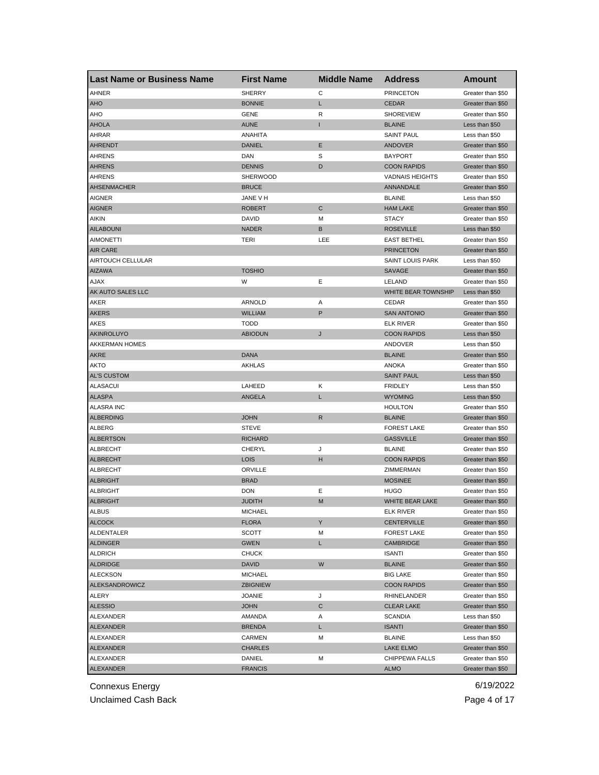| <b>Last Name or Business Name</b> | <b>First Name</b> | <b>Middle Name</b> | <b>Address</b>          | <b>Amount</b>                          |
|-----------------------------------|-------------------|--------------------|-------------------------|----------------------------------------|
| AHNER                             | <b>SHERRY</b>     | С                  | <b>PRINCETON</b>        | Greater than \$50                      |
| <b>AHO</b>                        | <b>BONNIE</b>     | L                  | <b>CEDAR</b>            | Greater than \$50                      |
| AHO                               | <b>GENE</b>       | R                  | <b>SHOREVIEW</b>        | Greater than \$50                      |
| <b>AHOLA</b>                      | <b>AUNE</b>       | Т                  | <b>BLAINE</b>           | Less than \$50                         |
| AHRAR                             | ANAHITA           |                    | <b>SAINT PAUL</b>       | Less than \$50                         |
| <b>AHRENDT</b>                    | <b>DANIEL</b>     | Ε                  | ANDOVER                 | Greater than \$50                      |
| <b>AHRENS</b>                     | DAN               | S                  | <b>BAYPORT</b>          | Greater than \$50                      |
| <b>AHRENS</b>                     | <b>DENNIS</b>     | D                  | <b>COON RAPIDS</b>      | Greater than \$50                      |
| AHRENS                            | SHERWOOD          |                    | <b>VADNAIS HEIGHTS</b>  | Greater than \$50                      |
| <b>AHSENMACHER</b>                | <b>BRUCE</b>      |                    | ANNANDALE               | Greater than \$50                      |
| <b>AIGNER</b>                     | JANE V H          |                    | <b>BLAINE</b>           | Less than \$50                         |
| <b>AIGNER</b>                     | <b>ROBERT</b>     | C                  | <b>HAM LAKE</b>         | Greater than \$50                      |
| AIKIN                             | DAVID             | M                  | <b>STACY</b>            | Greater than \$50                      |
| <b>AILABOUNI</b>                  | <b>NADER</b>      | B                  | <b>ROSEVILLE</b>        | Less than \$50                         |
| <b>AIMONETTI</b>                  | <b>TERI</b>       | LEE                | <b>EAST BETHEL</b>      | Greater than \$50                      |
| <b>AIR CARE</b>                   |                   |                    | <b>PRINCETON</b>        | Greater than \$50                      |
| AIRTOUCH CELLULAR                 |                   |                    | <b>SAINT LOUIS PARK</b> | Less than \$50                         |
| <b>AIZAWA</b>                     | <b>TOSHIO</b>     |                    | <b>SAVAGE</b>           | Greater than \$50                      |
| <b>AJAX</b>                       | W                 | Ε                  | LELAND                  | Greater than \$50                      |
| AK AUTO SALES LLC                 |                   |                    | WHITE BEAR TOWNSHIP     | Less than \$50                         |
| AKER                              | ARNOLD            | Α                  | <b>CEDAR</b>            | Greater than \$50                      |
| <b>AKERS</b>                      | <b>WILLIAM</b>    | P                  | <b>SAN ANTONIO</b>      | Greater than \$50                      |
| AKES                              | <b>TODD</b>       |                    | <b>ELK RIVER</b>        | Greater than \$50                      |
| AKINROLUYO                        | <b>ABIODUN</b>    | J                  | <b>COON RAPIDS</b>      | Less than \$50                         |
| <b>AKKERMAN HOMES</b>             |                   |                    | ANDOVER                 | Less than \$50                         |
| <b>AKRE</b>                       | <b>DANA</b>       |                    | <b>BLAINE</b>           | Greater than \$50                      |
| <b>AKTO</b>                       | <b>AKHLAS</b>     |                    | <b>ANOKA</b>            | Greater than \$50                      |
| <b>AL'S CUSTOM</b>                |                   |                    | <b>SAINT PAUL</b>       | Less than \$50                         |
| <b>ALASACUI</b>                   | LAHEED            | Κ                  | <b>FRIDLEY</b>          | Less than \$50                         |
| <b>ALASPA</b>                     | ANGELA            | L                  | <b>WYOMING</b>          | Less than \$50                         |
| <b>ALASRA INC</b>                 |                   |                    | <b>HOULTON</b>          | Greater than \$50                      |
| <b>ALBERDING</b>                  | <b>JOHN</b>       | R                  | <b>BLAINE</b>           | Greater than \$50                      |
| ALBERG                            | <b>STEVE</b>      |                    | <b>FOREST LAKE</b>      | Greater than \$50                      |
| <b>ALBERTSON</b>                  | <b>RICHARD</b>    |                    | <b>GASSVILLE</b>        | Greater than \$50                      |
| <b>ALBRECHT</b>                   | <b>CHERYL</b>     | J                  | <b>BLAINE</b>           | Greater than \$50                      |
| <b>ALBRECHT</b>                   | <b>LOIS</b>       | н                  | <b>COON RAPIDS</b>      | Greater than \$50                      |
| ALBRECHT                          | ORVILLE           |                    | ZIMMERMAN               | Greater than \$50                      |
| <b>ALBRIGHT</b>                   | <b>BRAD</b>       |                    | <b>MOSINEE</b>          | Greater than \$50                      |
| ALBRIGHT                          | <b>DON</b>        | Ε                  | <b>HUGO</b>             | Greater than \$50                      |
| <b>ALBRIGHT</b>                   | <b>JUDITH</b>     | M                  | WHITE BEAR LAKE         | Greater than \$50                      |
| ALBUS                             | MICHAEL           |                    | ELK RIVER               | Greater than \$50                      |
| <b>ALCOCK</b>                     | <b>FLORA</b>      | Υ                  | <b>CENTERVILLE</b>      | Greater than \$50                      |
| ALDENTALER                        | SCOTT             | M                  | <b>FOREST LAKE</b>      | Greater than \$50                      |
| <b>ALDINGER</b>                   | GWEN              | L.                 | CAMBRIDGE               | Greater than \$50                      |
| <b>ALDRICH</b>                    | <b>CHUCK</b>      |                    | <b>ISANTI</b>           | Greater than \$50                      |
| <b>ALDRIDGE</b>                   | <b>DAVID</b>      | W                  | <b>BLAINE</b>           | Greater than \$50                      |
| <b>ALECKSON</b>                   | <b>MICHAEL</b>    |                    | <b>BIG LAKE</b>         | Greater than \$50                      |
| <b>ALEKSANDROWICZ</b>             |                   |                    | <b>COON RAPIDS</b>      |                                        |
|                                   | <b>ZBIGNIEW</b>   |                    |                         | Greater than \$50<br>Greater than \$50 |
| ALERY                             | <b>JOANIE</b>     | J                  | RHINELANDER             |                                        |
| <b>ALESSIO</b>                    | <b>JOHN</b>       | C                  | <b>CLEAR LAKE</b>       | Greater than \$50                      |
| ALEXANDER                         | AMANDA            | Α                  | <b>SCANDIA</b>          | Less than \$50                         |
| ALEXANDER                         | <b>BRENDA</b>     | L                  | <b>ISANTI</b>           | Greater than \$50                      |
| ALEXANDER                         | CARMEN            | М                  | <b>BLAINE</b>           | Less than \$50                         |
| ALEXANDER                         | <b>CHARLES</b>    |                    | LAKE ELMO               | Greater than \$50                      |
| ALEXANDER                         | DANIEL            | М                  | CHIPPEWA FALLS          | Greater than \$50                      |
| <b>ALEXANDER</b>                  | <b>FRANCIS</b>    |                    | <b>ALMO</b>             | Greater than \$50                      |

Unclaimed Cash Back **Page 4 of 17**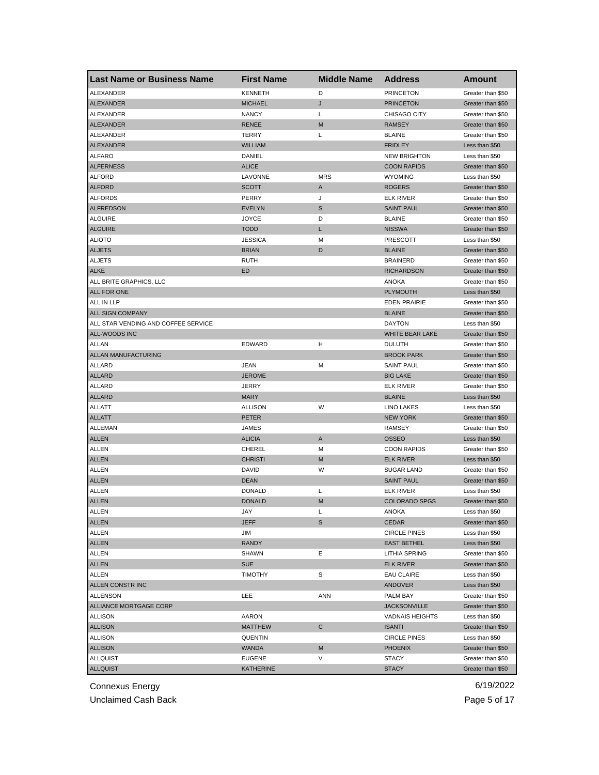| <b>Last Name or Business Name</b>   | <b>First Name</b> | <b>Middle Name</b> | <b>Address</b>                | Amount                              |
|-------------------------------------|-------------------|--------------------|-------------------------------|-------------------------------------|
| ALEXANDER                           | <b>KENNETH</b>    | D                  | <b>PRINCETON</b>              | Greater than \$50                   |
| <b>ALEXANDER</b>                    | <b>MICHAEL</b>    | J                  | <b>PRINCETON</b>              | Greater than \$50                   |
| ALEXANDER                           | <b>NANCY</b>      | Г                  | <b>CHISAGO CITY</b>           | Greater than \$50                   |
| ALEXANDER                           | <b>RENEE</b>      | M                  | <b>RAMSEY</b>                 | Greater than \$50                   |
| ALEXANDER                           | <b>TERRY</b>      | L                  | <b>BLAINE</b>                 | Greater than \$50                   |
| ALEXANDER                           | <b>WILLIAM</b>    |                    | <b>FRIDLEY</b>                | Less than \$50                      |
| <b>ALFARO</b>                       | DANIEL            |                    | <b>NEW BRIGHTON</b>           | Less than \$50                      |
| <b>ALFERNESS</b>                    | <b>ALICE</b>      |                    | <b>COON RAPIDS</b>            | Greater than \$50                   |
| <b>ALFORD</b>                       | LAVONNE           | <b>MRS</b>         | <b>WYOMING</b>                | Less than \$50                      |
| <b>ALFORD</b>                       | <b>SCOTT</b>      | A                  | <b>ROGERS</b>                 | Greater than \$50                   |
| <b>ALFORDS</b>                      | PERRY             | J                  | <b>ELK RIVER</b>              | Greater than \$50                   |
| <b>ALFREDSON</b>                    | <b>EVELYN</b>     | S                  | <b>SAINT PAUL</b>             | Greater than \$50                   |
| <b>ALGUIRE</b>                      | <b>JOYCE</b>      | D                  | <b>BLAINE</b>                 | Greater than \$50                   |
| <b>ALGUIRE</b>                      | <b>TODD</b>       | Г                  | <b>NISSWA</b>                 | Greater than \$50                   |
| <b>ALIOTO</b>                       | <b>JESSICA</b>    | М                  | <b>PRESCOTT</b>               | Less than \$50                      |
| <b>ALJETS</b>                       | <b>BRIAN</b>      | D                  | <b>BLAINE</b>                 | Greater than \$50                   |
| <b>ALJETS</b>                       | <b>RUTH</b>       |                    | <b>BRAINERD</b>               | Greater than \$50                   |
| <b>ALKE</b>                         | ED                |                    | <b>RICHARDSON</b>             | Greater than \$50                   |
| ALL BRITE GRAPHICS, LLC             |                   |                    | ANOKA                         | Greater than \$50                   |
| ALL FOR ONE                         |                   |                    | <b>PLYMOUTH</b>               | Less than \$50                      |
| ALL IN LLP                          |                   |                    | <b>EDEN PRAIRIE</b>           | Greater than \$50                   |
| ALL SIGN COMPANY                    |                   |                    | <b>BLAINE</b>                 | Greater than \$50                   |
| ALL STAR VENDING AND COFFEE SERVICE |                   |                    | <b>DAYTON</b>                 | Less than \$50                      |
| ALL-WOODS INC                       |                   |                    | <b>WHITE BEAR LAKE</b>        | Greater than \$50                   |
| <b>ALLAN</b>                        | <b>EDWARD</b>     | н                  | <b>DULUTH</b>                 | Greater than \$50                   |
| ALLAN MANUFACTURING                 |                   |                    | <b>BROOK PARK</b>             | Greater than \$50                   |
| ALLARD                              | JEAN              | М                  | <b>SAINT PAUL</b>             | Greater than \$50                   |
| <b>ALLARD</b>                       | <b>JEROME</b>     |                    | <b>BIG LAKE</b>               | Greater than \$50                   |
| ALLARD                              | <b>JERRY</b>      |                    | <b>ELK RIVER</b>              | Greater than \$50                   |
| <b>ALLARD</b>                       | <b>MARY</b>       |                    | <b>BLAINE</b>                 | Less than \$50                      |
|                                     | <b>ALLISON</b>    | W                  |                               |                                     |
| ALLATT                              | <b>PETER</b>      |                    | LINO LAKES<br><b>NEW YORK</b> | Less than \$50                      |
| <b>ALLATT</b>                       |                   |                    |                               | Greater than \$50                   |
| ALLEMAN                             | JAMES             |                    | RAMSEY                        | Greater than \$50                   |
| <b>ALLEN</b>                        | <b>ALICIA</b>     | Α                  | <b>OSSEO</b>                  | Less than \$50                      |
| ALLEN                               | CHEREL            | М                  | <b>COON RAPIDS</b>            | Greater than \$50<br>Less than \$50 |
| <b>ALLEN</b>                        | <b>CHRISTI</b>    | M                  | <b>ELK RIVER</b>              |                                     |
| ALLEN                               | <b>DAVID</b>      | W                  | <b>SUGAR LAND</b>             | Greater than \$50                   |
| <b>ALLEN</b>                        | <b>DEAN</b>       |                    | <b>SAINT PAUL</b>             | Greater than \$50                   |
| <b>ALLEN</b>                        | <b>DONALD</b>     | Г                  | <b>ELK RIVER</b>              | Less than \$50                      |
| <b>ALLEN</b>                        | <b>DONALD</b>     | M                  | <b>COLORADO SPGS</b>          | Greater than \$50                   |
| ALLEN                               | JAY               | L                  | ANOKA                         | Less than \$50                      |
| <b>ALLEN</b>                        | JEFF              | S                  | <b>CEDAR</b>                  | Greater than \$50                   |
| ALLEN                               | JIM               |                    | <b>CIRCLE PINES</b>           | Less than \$50                      |
| <b>ALLEN</b>                        | <b>RANDY</b>      |                    | <b>EAST BETHEL</b>            | Less than \$50                      |
| ALLEN                               | <b>SHAWN</b>      | Ε                  | LITHIA SPRING                 | Greater than \$50                   |
| <b>ALLEN</b>                        | <b>SUE</b>        |                    | <b>ELK RIVER</b>              | Greater than \$50                   |
| ALLEN                               | <b>TIMOTHY</b>    | S                  | <b>EAU CLAIRE</b>             | Less than \$50                      |
| ALLEN CONSTR INC                    |                   |                    | ANDOVER                       | Less than \$50                      |
| ALLENSON                            | LEE               | ANN                | PALM BAY                      | Greater than \$50                   |
| ALLIANCE MORTGAGE CORP              |                   |                    | <b>JACKSONVILLE</b>           | Greater than \$50                   |
| <b>ALLISON</b>                      | AARON             |                    | <b>VADNAIS HEIGHTS</b>        | Less than \$50                      |
| <b>ALLISON</b>                      | <b>MATTHEW</b>    | С                  | <b>ISANTI</b>                 | Greater than \$50                   |
| <b>ALLISON</b>                      | QUENTIN           |                    | <b>CIRCLE PINES</b>           | Less than \$50                      |
| <b>ALLISON</b>                      | WANDA             | M                  | <b>PHOENIX</b>                | Greater than \$50                   |
| <b>ALLQUIST</b>                     | <b>EUGENE</b>     | V                  | <b>STACY</b>                  | Greater than \$50                   |
| <b>ALLQUIST</b>                     | KATHERINE         |                    | <b>STACY</b>                  | Greater than \$50                   |

Unclaimed Cash Back **Page 5 of 17**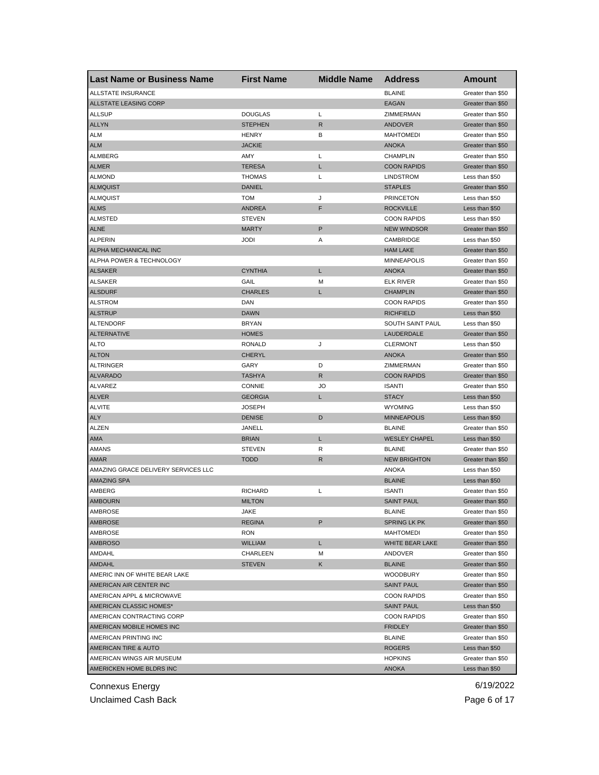| <b>Last Name or Business Name</b>   | <b>First Name</b> | <b>Middle Name</b> | <b>Address</b>       | Amount            |
|-------------------------------------|-------------------|--------------------|----------------------|-------------------|
| ALLSTATE INSURANCE                  |                   |                    | <b>BLAINE</b>        | Greater than \$50 |
| <b>ALLSTATE LEASING CORP</b>        |                   |                    | <b>EAGAN</b>         | Greater than \$50 |
| <b>ALLSUP</b>                       | <b>DOUGLAS</b>    | L                  | ZIMMERMAN            | Greater than \$50 |
| <b>ALLYN</b>                        | <b>STEPHEN</b>    | R                  | <b>ANDOVER</b>       | Greater than \$50 |
| <b>ALM</b>                          | <b>HENRY</b>      | B                  | <b>MAHTOMEDI</b>     | Greater than \$50 |
| <b>ALM</b>                          | <b>JACKIE</b>     |                    | <b>ANOKA</b>         | Greater than \$50 |
| ALMBERG                             | AMY               | Г                  | <b>CHAMPLIN</b>      | Greater than \$50 |
| <b>ALMER</b>                        | <b>TERESA</b>     | L                  | <b>COON RAPIDS</b>   | Greater than \$50 |
| <b>ALMOND</b>                       | <b>THOMAS</b>     | L                  | <b>LINDSTROM</b>     | Less than \$50    |
| <b>ALMQUIST</b>                     | <b>DANIEL</b>     |                    | <b>STAPLES</b>       | Greater than \$50 |
| ALMQUIST                            | <b>TOM</b>        | J                  | <b>PRINCETON</b>     | Less than \$50    |
| <b>ALMS</b>                         | <b>ANDREA</b>     | F                  | <b>ROCKVILLE</b>     | Less than \$50    |
| <b>ALMSTED</b>                      | <b>STEVEN</b>     |                    | <b>COON RAPIDS</b>   | Less than \$50    |
| <b>ALNE</b>                         | <b>MARTY</b>      | $\mathsf{P}$       | <b>NEW WINDSOR</b>   | Greater than \$50 |
| <b>ALPERIN</b>                      | <b>JODI</b>       | Α                  | CAMBRIDGE            | Less than \$50    |
| ALPHA MECHANICAL INC                |                   |                    | <b>HAM LAKE</b>      | Greater than \$50 |
| ALPHA POWER & TECHNOLOGY            |                   |                    | <b>MINNEAPOLIS</b>   | Greater than \$50 |
|                                     | <b>CYNTHIA</b>    | L                  | <b>ANOKA</b>         | Greater than \$50 |
| <b>ALSAKER</b>                      |                   |                    |                      |                   |
| <b>ALSAKER</b>                      | GAIL              | M                  | <b>ELK RIVER</b>     | Greater than \$50 |
| <b>ALSDURF</b>                      | <b>CHARLES</b>    | L                  | <b>CHAMPLIN</b>      | Greater than \$50 |
| <b>ALSTROM</b>                      | DAN               |                    | <b>COON RAPIDS</b>   | Greater than \$50 |
| <b>ALSTRUP</b>                      | <b>DAWN</b>       |                    | <b>RICHFIELD</b>     | Less than \$50    |
| ALTENDORF                           | <b>BRYAN</b>      |                    | SOUTH SAINT PAUL     | Less than \$50    |
| <b>ALTERNATIVE</b>                  | <b>HOMES</b>      |                    | LAUDERDALE           | Greater than \$50 |
| <b>ALTO</b>                         | <b>RONALD</b>     | J                  | <b>CLERMONT</b>      | Less than \$50    |
| <b>ALTON</b>                        | <b>CHERYL</b>     |                    | <b>ANOKA</b>         | Greater than \$50 |
| <b>ALTRINGER</b>                    | GARY              | D                  | ZIMMERMAN            | Greater than \$50 |
| <b>ALVARADO</b>                     | <b>TASHYA</b>     | R                  | <b>COON RAPIDS</b>   | Greater than \$50 |
| ALVAREZ                             | <b>CONNIE</b>     | JO                 | <b>ISANTI</b>        | Greater than \$50 |
| <b>ALVER</b>                        | <b>GEORGIA</b>    | L                  | <b>STACY</b>         | Less than \$50    |
| <b>ALVITE</b>                       | <b>JOSEPH</b>     |                    | <b>WYOMING</b>       | Less than \$50    |
| <b>ALY</b>                          | <b>DENISE</b>     | D                  | <b>MINNEAPOLIS</b>   | Less than \$50    |
| ALZEN                               | JANELL            |                    | <b>BLAINE</b>        | Greater than \$50 |
| AMA                                 | <b>BRIAN</b>      | L                  | <b>WESLEY CHAPEL</b> | Less than \$50    |
| <b>AMANS</b>                        | <b>STEVEN</b>     | R                  | <b>BLAINE</b>        | Greater than \$50 |
| AMAR                                | <b>TODD</b>       | R                  | <b>NEW BRIGHTON</b>  | Greater than \$50 |
| AMAZING GRACE DELIVERY SERVICES LLC |                   |                    | ANOKA                | Less than \$50    |
| <b>AMAZING SPA</b>                  |                   |                    | <b>BLAINE</b>        | Less than \$50    |
| AMBERG                              | <b>RICHARD</b>    | L                  | <b>ISANTI</b>        | Greater than \$50 |
| <b>AMBOURN</b>                      | <b>MILTON</b>     |                    | <b>SAINT PAUL</b>    | Greater than \$50 |
| AMBROSE                             | JAKE              |                    | <b>BLAINE</b>        | Greater than \$50 |
| <b>AMBROSE</b>                      | <b>REGINA</b>     | P                  | <b>SPRING LK PK</b>  | Greater than \$50 |
| AMBROSE                             | <b>RON</b>        |                    | <b>MAHTOMEDI</b>     | Greater than \$50 |
| <b>AMBROSO</b>                      | <b>WILLIAM</b>    | L                  | WHITE BEAR LAKE      | Greater than \$50 |
| AMDAHL                              | CHARLEEN          | M                  | ANDOVER              | Greater than \$50 |
| AMDAHL                              | <b>STEVEN</b>     | Κ                  | <b>BLAINE</b>        | Greater than \$50 |
| AMERIC INN OF WHITE BEAR LAKE       |                   |                    | <b>WOODBURY</b>      | Greater than \$50 |
| AMERICAN AIR CENTER INC             |                   |                    | <b>SAINT PAUL</b>    | Greater than \$50 |
| AMERICAN APPL & MICROWAVE           |                   |                    | <b>COON RAPIDS</b>   | Greater than \$50 |
|                                     |                   |                    |                      | Less than \$50    |
| AMERICAN CLASSIC HOMES*             |                   |                    | <b>SAINT PAUL</b>    |                   |
| AMERICAN CONTRACTING CORP           |                   |                    | <b>COON RAPIDS</b>   | Greater than \$50 |
| AMERICAN MOBILE HOMES INC           |                   |                    | <b>FRIDLEY</b>       | Greater than \$50 |
| AMERICAN PRINTING INC               |                   |                    | BLAINE               | Greater than \$50 |
| AMERICAN TIRE & AUTO                |                   |                    | <b>ROGERS</b>        | Less than \$50    |
| AMERICAN WINGS AIR MUSEUM           |                   |                    | <b>HOPKINS</b>       | Greater than \$50 |
| <b>AMERICKEN HOME BLDRS INC</b>     |                   |                    | <b>ANOKA</b>         | Less than \$50    |

Unclaimed Cash Back **Page 6 of 17**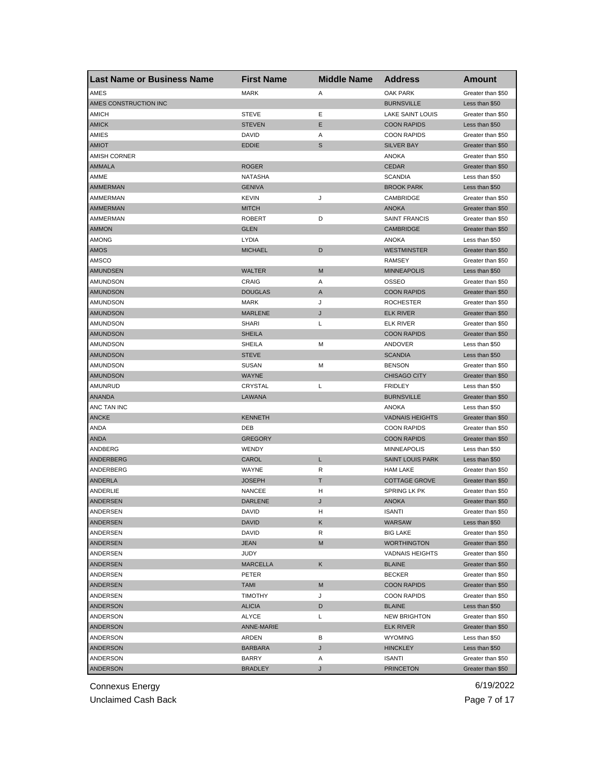| <b>Last Name or Business Name</b> | <b>First Name</b>             | <b>Middle Name</b> | <b>Address</b>                           | <b>Amount</b>     |
|-----------------------------------|-------------------------------|--------------------|------------------------------------------|-------------------|
| AMES                              | <b>MARK</b>                   | Α                  | <b>OAK PARK</b>                          | Greater than \$50 |
| AMES CONSTRUCTION INC             |                               |                    | <b>BURNSVILLE</b>                        | Less than \$50    |
| <b>AMICH</b>                      | <b>STEVE</b>                  | Ε                  | LAKE SAINT LOUIS                         | Greater than \$50 |
| <b>AMICK</b>                      | <b>STEVEN</b>                 | Ε                  | <b>COON RAPIDS</b>                       | Less than \$50    |
| AMIES                             | <b>DAVID</b>                  | Α                  | <b>COON RAPIDS</b>                       | Greater than \$50 |
| <b>AMIOT</b>                      | <b>EDDIE</b>                  | S                  | <b>SILVER BAY</b>                        | Greater than \$50 |
| <b>AMISH CORNER</b>               |                               |                    | <b>ANOKA</b>                             | Greater than \$50 |
| <b>AMMALA</b>                     | <b>ROGER</b>                  |                    | <b>CEDAR</b>                             | Greater than \$50 |
| AMME                              | NATASHA                       |                    | <b>SCANDIA</b>                           | Less than \$50    |
| <b>AMMERMAN</b>                   | <b>GENIVA</b>                 |                    | <b>BROOK PARK</b>                        | Less than \$50    |
| AMMERMAN                          | <b>KEVIN</b>                  | J                  | CAMBRIDGE                                | Greater than \$50 |
| <b>AMMERMAN</b>                   | <b>MITCH</b>                  |                    | <b>ANOKA</b>                             | Greater than \$50 |
| AMMERMAN                          | <b>ROBERT</b>                 | D                  | <b>SAINT FRANCIS</b>                     | Greater than \$50 |
| <b>AMMON</b>                      | <b>GLEN</b>                   |                    | <b>CAMBRIDGE</b>                         | Greater than \$50 |
| <b>AMONG</b>                      | <b>LYDIA</b>                  |                    | <b>ANOKA</b>                             | Less than \$50    |
| AMOS                              | <b>MICHAEL</b>                | D                  | <b>WESTMINSTER</b>                       | Greater than \$50 |
| AMSCO                             |                               |                    | RAMSEY                                   | Greater than \$50 |
| <b>AMUNDSEN</b>                   | <b>WALTER</b>                 | M                  | <b>MINNEAPOLIS</b>                       | Less than \$50    |
| AMUNDSON                          | CRAIG                         | Α                  | OSSEO                                    | Greater than \$50 |
| <b>AMUNDSON</b>                   | <b>DOUGLAS</b>                | A                  | <b>COON RAPIDS</b>                       | Greater than \$50 |
| AMUNDSON                          | <b>MARK</b>                   | J                  | <b>ROCHESTER</b>                         | Greater than \$50 |
| <b>AMUNDSON</b>                   | <b>MARLENE</b>                | J                  | <b>ELK RIVER</b>                         | Greater than \$50 |
| AMUNDSON                          | <b>SHARI</b>                  | L                  | ELK RIVER                                | Greater than \$50 |
| <b>AMUNDSON</b>                   | <b>SHEILA</b>                 |                    | <b>COON RAPIDS</b>                       | Greater than \$50 |
| AMUNDSON                          | SHEILA                        | М                  | ANDOVER                                  | Less than \$50    |
| <b>AMUNDSON</b>                   | <b>STEVE</b>                  |                    | <b>SCANDIA</b>                           | Less than \$50    |
| AMUNDSON                          | <b>SUSAN</b>                  | М                  | <b>BENSON</b>                            | Greater than \$50 |
| <b>AMUNDSON</b>                   | WAYNE                         |                    | <b>CHISAGO CITY</b>                      | Greater than \$50 |
| AMUNRUD                           | CRYSTAL                       | L                  | <b>FRIDLEY</b>                           | Less than \$50    |
| <b>ANANDA</b>                     | LAWANA                        |                    | <b>BURNSVILLE</b>                        | Greater than \$50 |
| ANC TAN INC                       |                               |                    | ANOKA                                    | Less than \$50    |
| <b>ANCKE</b>                      | KENNETH                       |                    | <b>VADNAIS HEIGHTS</b>                   | Greater than \$50 |
| ANDA                              | DEB                           |                    | <b>COON RAPIDS</b>                       | Greater than \$50 |
| ANDA                              | <b>GREGORY</b>                |                    | <b>COON RAPIDS</b>                       | Greater than \$50 |
| ANDBERG                           | WENDY                         |                    | <b>MINNEAPOLIS</b>                       | Less than \$50    |
| ANDERBERG                         | CAROL                         | L                  | <b>SAINT LOUIS PARK</b>                  | Less than \$50    |
| ANDERBERG                         | WAYNE                         | R                  | <b>HAM LAKE</b>                          | Greater than \$50 |
| <b>ANDERLA</b>                    | <b>JOSEPH</b>                 | Τ                  | <b>COTTAGE GROVE</b>                     | Greater than \$50 |
| ANDERLIE                          | <b>NANCEE</b>                 | н                  | SPRING LK PK                             | Greater than \$50 |
| ANDERSEN                          | <b>DARLENE</b>                | J                  | <b>ANOKA</b>                             | Greater than \$50 |
| ANDERSEN                          | DAVID                         | н                  | ISANTI                                   | Greater than \$50 |
| ANDERSEN                          | <b>DAVID</b>                  | Κ                  | WARSAW                                   | Less than \$50    |
| ANDERSEN                          | DAVID                         | R                  | <b>BIG LAKE</b>                          | Greater than \$50 |
| ANDERSEN                          | <b>JEAN</b>                   | M                  | <b>WORTHINGTON</b>                       | Greater than \$50 |
| ANDERSEN                          | JUDY                          |                    | <b>VADNAIS HEIGHTS</b>                   | Greater than \$50 |
| ANDERSEN                          | <b>MARCELLA</b>               | Κ                  | <b>BLAINE</b>                            | Greater than \$50 |
| ANDERSEN                          | PETER                         |                    | <b>BECKER</b>                            | Greater than \$50 |
|                                   |                               |                    |                                          | Greater than \$50 |
| ANDERSEN                          | <b>TAMI</b><br><b>TIMOTHY</b> | M<br>J             | <b>COON RAPIDS</b><br><b>COON RAPIDS</b> | Greater than \$50 |
| ANDERSEN                          |                               |                    |                                          |                   |
| ANDERSON                          | <b>ALICIA</b>                 | D                  | <b>BLAINE</b>                            | Less than \$50    |
| ANDERSON                          | ALYCE                         | L                  | <b>NEW BRIGHTON</b>                      | Greater than \$50 |
| ANDERSON                          | ANNE-MARIE                    |                    | <b>ELK RIVER</b>                         | Greater than \$50 |
| ANDERSON                          | ARDEN                         | В                  | <b>WYOMING</b>                           | Less than \$50    |
| ANDERSON                          | <b>BARBARA</b>                | J                  | <b>HINCKLEY</b>                          | Less than \$50    |
| ANDERSON                          | BARRY                         | Α                  | ISANTI                                   | Greater than \$50 |
| <b>ANDERSON</b>                   | <b>BRADLEY</b>                | J                  | <b>PRINCETON</b>                         | Greater than \$50 |

Unclaimed Cash Back **Page 7 of 17**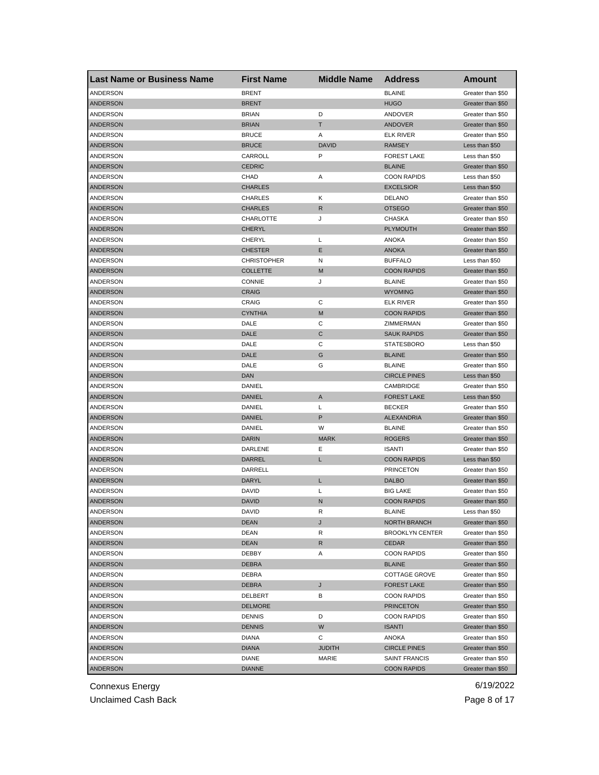| <b>Last Name or Business Name</b> | <b>First Name</b>  | <b>Middle Name</b> | <b>Address</b>         | Amount            |
|-----------------------------------|--------------------|--------------------|------------------------|-------------------|
| ANDERSON                          | <b>BRENT</b>       |                    | <b>BLAINE</b>          | Greater than \$50 |
| <b>ANDERSON</b>                   | <b>BRENT</b>       |                    | <b>HUGO</b>            | Greater than \$50 |
| ANDERSON                          | <b>BRIAN</b>       | D                  | ANDOVER                | Greater than \$50 |
| <b>ANDERSON</b>                   | <b>BRIAN</b>       | T                  | ANDOVER                | Greater than \$50 |
| ANDERSON                          | <b>BRUCE</b>       | Α                  | <b>ELK RIVER</b>       | Greater than \$50 |
| <b>ANDERSON</b>                   | <b>BRUCE</b>       | <b>DAVID</b>       | <b>RAMSEY</b>          | Less than \$50    |
| ANDERSON                          | CARROLL            | P                  | <b>FOREST LAKE</b>     | Less than \$50    |
| <b>ANDERSON</b>                   | <b>CEDRIC</b>      |                    | <b>BLAINE</b>          | Greater than \$50 |
| ANDERSON                          | CHAD               | Α                  | <b>COON RAPIDS</b>     | Less than \$50    |
| <b>ANDERSON</b>                   | <b>CHARLES</b>     |                    | <b>EXCELSIOR</b>       | Less than \$50    |
| <b>ANDERSON</b>                   | CHARLES            | Κ                  | <b>DELANO</b>          | Greater than \$50 |
| ANDERSON                          | <b>CHARLES</b>     | R                  | <b>OTSEGO</b>          | Greater than \$50 |
| ANDERSON                          | CHARLOTTE          | J                  | CHASKA                 | Greater than \$50 |
| <b>ANDERSON</b>                   | <b>CHERYL</b>      |                    | <b>PLYMOUTH</b>        | Greater than \$50 |
| ANDERSON                          | CHERYL             | L                  | <b>ANOKA</b>           | Greater than \$50 |
| <b>ANDERSON</b>                   | <b>CHESTER</b>     | Ε                  | <b>ANOKA</b>           | Greater than \$50 |
| ANDERSON                          | <b>CHRISTOPHER</b> | N                  | <b>BUFFALO</b>         | Less than \$50    |
| <b>ANDERSON</b>                   | <b>COLLETTE</b>    | M                  | <b>COON RAPIDS</b>     | Greater than \$50 |
| ANDERSON                          | <b>CONNIE</b>      | J                  | <b>BLAINE</b>          | Greater than \$50 |
| <b>ANDERSON</b>                   | <b>CRAIG</b>       |                    | <b>WYOMING</b>         | Greater than \$50 |
| ANDERSON                          | CRAIG              | C                  | <b>ELK RIVER</b>       | Greater than \$50 |
| <b>ANDERSON</b>                   | <b>CYNTHIA</b>     | M                  | <b>COON RAPIDS</b>     | Greater than \$50 |
| ANDERSON                          | DALE               | C                  | ZIMMERMAN              | Greater than \$50 |
| <b>ANDERSON</b>                   | DALE               | C                  | <b>SAUK RAPIDS</b>     | Greater than \$50 |
| ANDERSON                          | DALE               | С                  | <b>STATESBORO</b>      | Less than \$50    |
| <b>ANDERSON</b>                   | DALE               | G                  | <b>BLAINE</b>          | Greater than \$50 |
| ANDERSON                          | DALE               | G                  | <b>BLAINE</b>          | Greater than \$50 |
| ANDERSON                          | <b>DAN</b>         |                    | <b>CIRCLE PINES</b>    | Less than \$50    |
| ANDERSON                          | DANIEL             |                    | CAMBRIDGE              | Greater than \$50 |
| <b>ANDERSON</b>                   | <b>DANIEL</b>      | A                  | <b>FOREST LAKE</b>     | Less than \$50    |
| ANDERSON                          | DANIEL             | L                  | <b>BECKER</b>          | Greater than \$50 |
| <b>ANDERSON</b>                   | <b>DANIEL</b>      | P                  | ALEXANDRIA             | Greater than \$50 |
| ANDERSON                          | DANIEL             | W                  | <b>BLAINE</b>          | Greater than \$50 |
| <b>ANDERSON</b>                   | <b>DARIN</b>       | <b>MARK</b>        | <b>ROGERS</b>          | Greater than \$50 |
| ANDERSON                          | DARLENE            | Е                  | <b>ISANTI</b>          | Greater than \$50 |
| <b>ANDERSON</b>                   | DARREL             | Г                  | <b>COON RAPIDS</b>     | Less than \$50    |
| ANDERSON                          | DARRELL            |                    | <b>PRINCETON</b>       | Greater than \$50 |
| ANDERSON                          | DARYL              | L                  | <b>DALBO</b>           | Greater than \$50 |
| ANDERSON                          | DAVID              | L                  | <b>BIG LAKE</b>        | Greater than \$50 |
| <b>ANDERSON</b>                   | <b>DAVID</b>       | N                  | <b>COON RAPIDS</b>     | Greater than \$50 |
| ANDERSON                          | DAVID              | к                  | BLAINE                 | Less than \$50    |
| ANDERSON                          | <b>DEAN</b>        | J                  | NORTH BRANCH           | Greater than \$50 |
| ANDERSON                          | DEAN               | R                  | <b>BROOKLYN CENTER</b> | Greater than \$50 |
| ANDERSON                          | <b>DEAN</b>        | R                  | <b>CEDAR</b>           | Greater than \$50 |
| ANDERSON                          | DEBBY              | Α                  | <b>COON RAPIDS</b>     | Greater than \$50 |
| <b>ANDERSON</b>                   | <b>DEBRA</b>       |                    | <b>BLAINE</b>          | Greater than \$50 |
| ANDERSON                          | DEBRA              |                    | COTTAGE GROVE          | Greater than \$50 |
| ANDERSON                          | <b>DEBRA</b>       | J                  | <b>FOREST LAKE</b>     | Greater than \$50 |
| ANDERSON                          | <b>DELBERT</b>     | В                  | <b>COON RAPIDS</b>     | Greater than \$50 |
| <b>ANDERSON</b>                   | <b>DELMORE</b>     |                    | <b>PRINCETON</b>       | Greater than \$50 |
|                                   |                    |                    |                        |                   |
| ANDERSON                          | <b>DENNIS</b>      | D                  | <b>COON RAPIDS</b>     | Greater than \$50 |
| ANDERSON                          | <b>DENNIS</b>      | W                  | <b>ISANTI</b>          | Greater than \$50 |
| ANDERSON                          | DIANA              | С                  | ANOKA                  | Greater than \$50 |
| <b>ANDERSON</b>                   | <b>DIANA</b>       | <b>JUDITH</b>      | <b>CIRCLE PINES</b>    | Greater than \$50 |
| ANDERSON                          | <b>DIANE</b>       | MARIE              | SAINT FRANCIS          | Greater than \$50 |
| ANDERSON                          | <b>DIANNE</b>      |                    | <b>COON RAPIDS</b>     | Greater than \$50 |

Unclaimed Cash Back **Page 8 of 17**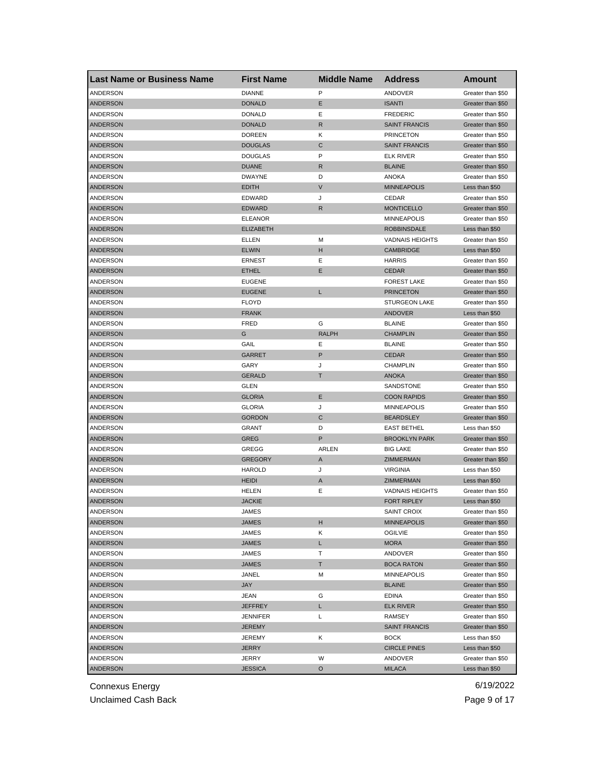| <b>DIANNE</b><br>P<br>ANDERSON<br>ANDOVER<br>Greater than \$50<br><b>ANDERSON</b><br><b>DONALD</b><br>Е<br><b>ISANTI</b><br>Greater than \$50<br>Ε<br>ANDERSON<br><b>DONALD</b><br><b>FREDERIC</b><br>Greater than \$50<br>$\mathsf{R}$<br><b>ANDERSON</b><br><b>DONALD</b><br><b>SAINT FRANCIS</b><br>Greater than \$50<br>Κ<br><b>PRINCETON</b><br>ANDERSON<br>DOREEN<br>Greater than \$50<br><b>ANDERSON</b><br><b>DOUGLAS</b><br>C<br><b>SAINT FRANCIS</b><br>Greater than \$50<br>ANDERSON<br><b>DOUGLAS</b><br>P<br><b>ELK RIVER</b><br>Greater than \$50<br><b>ANDERSON</b><br><b>DUANE</b><br>R<br><b>BLAINE</b><br>Greater than \$50<br>ANDERSON<br><b>DWAYNE</b><br>D<br>ANOKA<br>Greater than \$50<br>$\vee$<br><b>ANDERSON</b><br><b>EDITH</b><br><b>MINNEAPOLIS</b><br>Less than \$50<br>ANDERSON<br><b>EDWARD</b><br>J<br>CEDAR<br>Greater than \$50<br><b>EDWARD</b><br>$\mathsf{R}$<br>ANDERSON<br><b>MONTICELLO</b><br>Greater than \$50<br>ANDERSON<br><b>ELEANOR</b><br><b>MINNEAPOLIS</b><br>Greater than \$50<br><b>ANDERSON</b><br><b>ELIZABETH</b><br><b>ROBBINSDALE</b><br>Less than \$50<br>ANDERSON<br>ELLEN<br>M<br><b>VADNAIS HEIGHTS</b><br>Greater than \$50<br><b>ANDERSON</b><br><b>ELWIN</b><br>н<br><b>CAMBRIDGE</b><br>Less than \$50<br>ANDERSON<br><b>ERNEST</b><br>Ε<br><b>HARRIS</b><br>Greater than \$50<br>Ε<br><b>ANDERSON</b><br><b>ETHEL</b><br><b>CEDAR</b><br>Greater than \$50<br>ANDERSON<br><b>EUGENE</b><br><b>FOREST LAKE</b><br>Greater than \$50<br><b>ANDERSON</b><br><b>EUGENE</b><br>L<br><b>PRINCETON</b><br>Greater than \$50<br>ANDERSON<br><b>STURGEON LAKE</b><br><b>FLOYD</b><br>Greater than \$50<br><b>ANDERSON</b><br><b>FRANK</b><br><b>ANDOVER</b><br>Less than \$50<br>ANDERSON<br><b>FRED</b><br>G<br><b>BLAINE</b><br>Greater than \$50<br><b>ANDERSON</b><br>G<br><b>RALPH</b><br><b>CHAMPLIN</b><br>Greater than \$50<br><b>ANDERSON</b><br>GAIL<br>Ε<br><b>BLAINE</b><br>Greater than \$50<br>P<br><b>ANDERSON</b><br><b>CEDAR</b><br><b>GARRET</b><br>Greater than \$50<br>J<br><b>CHAMPLIN</b><br>ANDERSON<br>GARY<br>Greater than \$50<br><b>GERALD</b><br>т<br>ANDERSON<br><b>ANOKA</b><br>Greater than \$50<br>SANDSTONE<br>ANDERSON<br>GLEN<br>Greater than \$50<br><b>ANDERSON</b><br><b>GLORIA</b><br>Е<br><b>COON RAPIDS</b><br>Greater than \$50<br>ANDERSON<br><b>GLORIA</b><br>J<br><b>MINNEAPOLIS</b><br>Greater than \$50<br>$\mathsf{C}$<br><b>ANDERSON</b><br><b>GORDON</b><br><b>BEARDSLEY</b><br>Greater than \$50<br>ANDERSON<br>D<br>GRANT<br><b>EAST BETHEL</b><br>Less than \$50<br>P<br><b>ANDERSON</b><br><b>GREG</b><br><b>BROOKLYN PARK</b><br>Greater than \$50<br>ANDERSON<br>GREGG<br><b>BIG LAKE</b><br>ARLEN<br>Greater than \$50<br><b>ANDERSON</b><br><b>GREGORY</b><br>ZIMMERMAN<br>A<br>Greater than \$50<br>ANDERSON<br><b>HAROLD</b><br>J<br><b>VIRGINIA</b><br>Less than \$50<br>ANDERSON<br><b>HEIDI</b><br>A<br>ZIMMERMAN<br>Less than \$50<br>ANDERSON<br>HELEN<br>Е<br><b>VADNAIS HEIGHTS</b><br>Greater than \$50<br><b>ANDERSON</b><br><b>JACKIE</b><br><b>FORT RIPLEY</b><br>Less than \$50<br>ANDERSON<br>JAMES<br>SAINT CROIX<br>Greater than \$50<br>ANDERSON<br><b>JAMES</b><br>н<br><b>MINNEAPOLIS</b><br>Greater than \$50<br>ANDERSON<br>JAMES<br><b>OGILVIE</b><br>Greater than \$50<br>Κ<br>ANDERSON<br>JAMES<br><b>MORA</b><br>L<br>Greater than \$50<br>ANDERSON<br>JAMES<br>т<br>ANDOVER<br>Greater than \$50<br>ANDERSON<br><b>JAMES</b><br>Т<br><b>BOCA RATON</b><br>Greater than \$50<br>ANDERSON<br>JANEL<br><b>MINNEAPOLIS</b><br>Greater than \$50<br>M<br><b>JAY</b><br>ANDERSON<br><b>BLAINE</b><br>Greater than \$50<br>ANDERSON<br>JEAN<br>G<br><b>EDINA</b><br>Greater than \$50<br><b>ANDERSON</b><br><b>JEFFREY</b><br>L<br><b>ELK RIVER</b><br>Greater than \$50<br>ANDERSON<br>Г<br>Greater than \$50<br>JENNIFER<br>RAMSEY<br>ANDERSON<br><b>JEREMY</b><br><b>SAINT FRANCIS</b><br>Greater than \$50<br>ANDERSON<br>Κ<br><b>BOCK</b><br>Less than \$50<br>JEREMY<br>ANDERSON<br>JERRY<br><b>CIRCLE PINES</b><br>Less than \$50<br>ANDERSON<br>JERRY<br>W<br>ANDOVER<br>Greater than \$50<br>O<br>Less than \$50 | <b>Last Name or Business Name</b> | <b>First Name</b> | <b>Middle Name</b> | <b>Address</b> | Amount |
|-------------------------------------------------------------------------------------------------------------------------------------------------------------------------------------------------------------------------------------------------------------------------------------------------------------------------------------------------------------------------------------------------------------------------------------------------------------------------------------------------------------------------------------------------------------------------------------------------------------------------------------------------------------------------------------------------------------------------------------------------------------------------------------------------------------------------------------------------------------------------------------------------------------------------------------------------------------------------------------------------------------------------------------------------------------------------------------------------------------------------------------------------------------------------------------------------------------------------------------------------------------------------------------------------------------------------------------------------------------------------------------------------------------------------------------------------------------------------------------------------------------------------------------------------------------------------------------------------------------------------------------------------------------------------------------------------------------------------------------------------------------------------------------------------------------------------------------------------------------------------------------------------------------------------------------------------------------------------------------------------------------------------------------------------------------------------------------------------------------------------------------------------------------------------------------------------------------------------------------------------------------------------------------------------------------------------------------------------------------------------------------------------------------------------------------------------------------------------------------------------------------------------------------------------------------------------------------------------------------------------------------------------------------------------------------------------------------------------------------------------------------------------------------------------------------------------------------------------------------------------------------------------------------------------------------------------------------------------------------------------------------------------------------------------------------------------------------------------------------------------------------------------------------------------------------------------------------------------------------------------------------------------------------------------------------------------------------------------------------------------------------------------------------------------------------------------------------------------------------------------------------------------------------------------------------------------------------------------------------------------------------------------------------------------------------------------------------------------------------------------------------------------------------------------------------------------------------------------------------------------------------------------------------------------------------------------------------------------------------------------------------------------------------------------------------------------------------------------------------------------------------------------------------------|-----------------------------------|-------------------|--------------------|----------------|--------|
|                                                                                                                                                                                                                                                                                                                                                                                                                                                                                                                                                                                                                                                                                                                                                                                                                                                                                                                                                                                                                                                                                                                                                                                                                                                                                                                                                                                                                                                                                                                                                                                                                                                                                                                                                                                                                                                                                                                                                                                                                                                                                                                                                                                                                                                                                                                                                                                                                                                                                                                                                                                                                                                                                                                                                                                                                                                                                                                                                                                                                                                                                                                                                                                                                                                                                                                                                                                                                                                                                                                                                                                                                                                                                                                                                                                                                                                                                                                                                                                                                                                                                                                                                                   |                                   |                   |                    |                |        |
|                                                                                                                                                                                                                                                                                                                                                                                                                                                                                                                                                                                                                                                                                                                                                                                                                                                                                                                                                                                                                                                                                                                                                                                                                                                                                                                                                                                                                                                                                                                                                                                                                                                                                                                                                                                                                                                                                                                                                                                                                                                                                                                                                                                                                                                                                                                                                                                                                                                                                                                                                                                                                                                                                                                                                                                                                                                                                                                                                                                                                                                                                                                                                                                                                                                                                                                                                                                                                                                                                                                                                                                                                                                                                                                                                                                                                                                                                                                                                                                                                                                                                                                                                                   |                                   |                   |                    |                |        |
|                                                                                                                                                                                                                                                                                                                                                                                                                                                                                                                                                                                                                                                                                                                                                                                                                                                                                                                                                                                                                                                                                                                                                                                                                                                                                                                                                                                                                                                                                                                                                                                                                                                                                                                                                                                                                                                                                                                                                                                                                                                                                                                                                                                                                                                                                                                                                                                                                                                                                                                                                                                                                                                                                                                                                                                                                                                                                                                                                                                                                                                                                                                                                                                                                                                                                                                                                                                                                                                                                                                                                                                                                                                                                                                                                                                                                                                                                                                                                                                                                                                                                                                                                                   |                                   |                   |                    |                |        |
|                                                                                                                                                                                                                                                                                                                                                                                                                                                                                                                                                                                                                                                                                                                                                                                                                                                                                                                                                                                                                                                                                                                                                                                                                                                                                                                                                                                                                                                                                                                                                                                                                                                                                                                                                                                                                                                                                                                                                                                                                                                                                                                                                                                                                                                                                                                                                                                                                                                                                                                                                                                                                                                                                                                                                                                                                                                                                                                                                                                                                                                                                                                                                                                                                                                                                                                                                                                                                                                                                                                                                                                                                                                                                                                                                                                                                                                                                                                                                                                                                                                                                                                                                                   |                                   |                   |                    |                |        |
|                                                                                                                                                                                                                                                                                                                                                                                                                                                                                                                                                                                                                                                                                                                                                                                                                                                                                                                                                                                                                                                                                                                                                                                                                                                                                                                                                                                                                                                                                                                                                                                                                                                                                                                                                                                                                                                                                                                                                                                                                                                                                                                                                                                                                                                                                                                                                                                                                                                                                                                                                                                                                                                                                                                                                                                                                                                                                                                                                                                                                                                                                                                                                                                                                                                                                                                                                                                                                                                                                                                                                                                                                                                                                                                                                                                                                                                                                                                                                                                                                                                                                                                                                                   |                                   |                   |                    |                |        |
|                                                                                                                                                                                                                                                                                                                                                                                                                                                                                                                                                                                                                                                                                                                                                                                                                                                                                                                                                                                                                                                                                                                                                                                                                                                                                                                                                                                                                                                                                                                                                                                                                                                                                                                                                                                                                                                                                                                                                                                                                                                                                                                                                                                                                                                                                                                                                                                                                                                                                                                                                                                                                                                                                                                                                                                                                                                                                                                                                                                                                                                                                                                                                                                                                                                                                                                                                                                                                                                                                                                                                                                                                                                                                                                                                                                                                                                                                                                                                                                                                                                                                                                                                                   |                                   |                   |                    |                |        |
|                                                                                                                                                                                                                                                                                                                                                                                                                                                                                                                                                                                                                                                                                                                                                                                                                                                                                                                                                                                                                                                                                                                                                                                                                                                                                                                                                                                                                                                                                                                                                                                                                                                                                                                                                                                                                                                                                                                                                                                                                                                                                                                                                                                                                                                                                                                                                                                                                                                                                                                                                                                                                                                                                                                                                                                                                                                                                                                                                                                                                                                                                                                                                                                                                                                                                                                                                                                                                                                                                                                                                                                                                                                                                                                                                                                                                                                                                                                                                                                                                                                                                                                                                                   |                                   |                   |                    |                |        |
|                                                                                                                                                                                                                                                                                                                                                                                                                                                                                                                                                                                                                                                                                                                                                                                                                                                                                                                                                                                                                                                                                                                                                                                                                                                                                                                                                                                                                                                                                                                                                                                                                                                                                                                                                                                                                                                                                                                                                                                                                                                                                                                                                                                                                                                                                                                                                                                                                                                                                                                                                                                                                                                                                                                                                                                                                                                                                                                                                                                                                                                                                                                                                                                                                                                                                                                                                                                                                                                                                                                                                                                                                                                                                                                                                                                                                                                                                                                                                                                                                                                                                                                                                                   |                                   |                   |                    |                |        |
|                                                                                                                                                                                                                                                                                                                                                                                                                                                                                                                                                                                                                                                                                                                                                                                                                                                                                                                                                                                                                                                                                                                                                                                                                                                                                                                                                                                                                                                                                                                                                                                                                                                                                                                                                                                                                                                                                                                                                                                                                                                                                                                                                                                                                                                                                                                                                                                                                                                                                                                                                                                                                                                                                                                                                                                                                                                                                                                                                                                                                                                                                                                                                                                                                                                                                                                                                                                                                                                                                                                                                                                                                                                                                                                                                                                                                                                                                                                                                                                                                                                                                                                                                                   |                                   |                   |                    |                |        |
|                                                                                                                                                                                                                                                                                                                                                                                                                                                                                                                                                                                                                                                                                                                                                                                                                                                                                                                                                                                                                                                                                                                                                                                                                                                                                                                                                                                                                                                                                                                                                                                                                                                                                                                                                                                                                                                                                                                                                                                                                                                                                                                                                                                                                                                                                                                                                                                                                                                                                                                                                                                                                                                                                                                                                                                                                                                                                                                                                                                                                                                                                                                                                                                                                                                                                                                                                                                                                                                                                                                                                                                                                                                                                                                                                                                                                                                                                                                                                                                                                                                                                                                                                                   |                                   |                   |                    |                |        |
|                                                                                                                                                                                                                                                                                                                                                                                                                                                                                                                                                                                                                                                                                                                                                                                                                                                                                                                                                                                                                                                                                                                                                                                                                                                                                                                                                                                                                                                                                                                                                                                                                                                                                                                                                                                                                                                                                                                                                                                                                                                                                                                                                                                                                                                                                                                                                                                                                                                                                                                                                                                                                                                                                                                                                                                                                                                                                                                                                                                                                                                                                                                                                                                                                                                                                                                                                                                                                                                                                                                                                                                                                                                                                                                                                                                                                                                                                                                                                                                                                                                                                                                                                                   |                                   |                   |                    |                |        |
|                                                                                                                                                                                                                                                                                                                                                                                                                                                                                                                                                                                                                                                                                                                                                                                                                                                                                                                                                                                                                                                                                                                                                                                                                                                                                                                                                                                                                                                                                                                                                                                                                                                                                                                                                                                                                                                                                                                                                                                                                                                                                                                                                                                                                                                                                                                                                                                                                                                                                                                                                                                                                                                                                                                                                                                                                                                                                                                                                                                                                                                                                                                                                                                                                                                                                                                                                                                                                                                                                                                                                                                                                                                                                                                                                                                                                                                                                                                                                                                                                                                                                                                                                                   |                                   |                   |                    |                |        |
|                                                                                                                                                                                                                                                                                                                                                                                                                                                                                                                                                                                                                                                                                                                                                                                                                                                                                                                                                                                                                                                                                                                                                                                                                                                                                                                                                                                                                                                                                                                                                                                                                                                                                                                                                                                                                                                                                                                                                                                                                                                                                                                                                                                                                                                                                                                                                                                                                                                                                                                                                                                                                                                                                                                                                                                                                                                                                                                                                                                                                                                                                                                                                                                                                                                                                                                                                                                                                                                                                                                                                                                                                                                                                                                                                                                                                                                                                                                                                                                                                                                                                                                                                                   |                                   |                   |                    |                |        |
|                                                                                                                                                                                                                                                                                                                                                                                                                                                                                                                                                                                                                                                                                                                                                                                                                                                                                                                                                                                                                                                                                                                                                                                                                                                                                                                                                                                                                                                                                                                                                                                                                                                                                                                                                                                                                                                                                                                                                                                                                                                                                                                                                                                                                                                                                                                                                                                                                                                                                                                                                                                                                                                                                                                                                                                                                                                                                                                                                                                                                                                                                                                                                                                                                                                                                                                                                                                                                                                                                                                                                                                                                                                                                                                                                                                                                                                                                                                                                                                                                                                                                                                                                                   |                                   |                   |                    |                |        |
|                                                                                                                                                                                                                                                                                                                                                                                                                                                                                                                                                                                                                                                                                                                                                                                                                                                                                                                                                                                                                                                                                                                                                                                                                                                                                                                                                                                                                                                                                                                                                                                                                                                                                                                                                                                                                                                                                                                                                                                                                                                                                                                                                                                                                                                                                                                                                                                                                                                                                                                                                                                                                                                                                                                                                                                                                                                                                                                                                                                                                                                                                                                                                                                                                                                                                                                                                                                                                                                                                                                                                                                                                                                                                                                                                                                                                                                                                                                                                                                                                                                                                                                                                                   |                                   |                   |                    |                |        |
|                                                                                                                                                                                                                                                                                                                                                                                                                                                                                                                                                                                                                                                                                                                                                                                                                                                                                                                                                                                                                                                                                                                                                                                                                                                                                                                                                                                                                                                                                                                                                                                                                                                                                                                                                                                                                                                                                                                                                                                                                                                                                                                                                                                                                                                                                                                                                                                                                                                                                                                                                                                                                                                                                                                                                                                                                                                                                                                                                                                                                                                                                                                                                                                                                                                                                                                                                                                                                                                                                                                                                                                                                                                                                                                                                                                                                                                                                                                                                                                                                                                                                                                                                                   |                                   |                   |                    |                |        |
|                                                                                                                                                                                                                                                                                                                                                                                                                                                                                                                                                                                                                                                                                                                                                                                                                                                                                                                                                                                                                                                                                                                                                                                                                                                                                                                                                                                                                                                                                                                                                                                                                                                                                                                                                                                                                                                                                                                                                                                                                                                                                                                                                                                                                                                                                                                                                                                                                                                                                                                                                                                                                                                                                                                                                                                                                                                                                                                                                                                                                                                                                                                                                                                                                                                                                                                                                                                                                                                                                                                                                                                                                                                                                                                                                                                                                                                                                                                                                                                                                                                                                                                                                                   |                                   |                   |                    |                |        |
|                                                                                                                                                                                                                                                                                                                                                                                                                                                                                                                                                                                                                                                                                                                                                                                                                                                                                                                                                                                                                                                                                                                                                                                                                                                                                                                                                                                                                                                                                                                                                                                                                                                                                                                                                                                                                                                                                                                                                                                                                                                                                                                                                                                                                                                                                                                                                                                                                                                                                                                                                                                                                                                                                                                                                                                                                                                                                                                                                                                                                                                                                                                                                                                                                                                                                                                                                                                                                                                                                                                                                                                                                                                                                                                                                                                                                                                                                                                                                                                                                                                                                                                                                                   |                                   |                   |                    |                |        |
|                                                                                                                                                                                                                                                                                                                                                                                                                                                                                                                                                                                                                                                                                                                                                                                                                                                                                                                                                                                                                                                                                                                                                                                                                                                                                                                                                                                                                                                                                                                                                                                                                                                                                                                                                                                                                                                                                                                                                                                                                                                                                                                                                                                                                                                                                                                                                                                                                                                                                                                                                                                                                                                                                                                                                                                                                                                                                                                                                                                                                                                                                                                                                                                                                                                                                                                                                                                                                                                                                                                                                                                                                                                                                                                                                                                                                                                                                                                                                                                                                                                                                                                                                                   |                                   |                   |                    |                |        |
|                                                                                                                                                                                                                                                                                                                                                                                                                                                                                                                                                                                                                                                                                                                                                                                                                                                                                                                                                                                                                                                                                                                                                                                                                                                                                                                                                                                                                                                                                                                                                                                                                                                                                                                                                                                                                                                                                                                                                                                                                                                                                                                                                                                                                                                                                                                                                                                                                                                                                                                                                                                                                                                                                                                                                                                                                                                                                                                                                                                                                                                                                                                                                                                                                                                                                                                                                                                                                                                                                                                                                                                                                                                                                                                                                                                                                                                                                                                                                                                                                                                                                                                                                                   |                                   |                   |                    |                |        |
|                                                                                                                                                                                                                                                                                                                                                                                                                                                                                                                                                                                                                                                                                                                                                                                                                                                                                                                                                                                                                                                                                                                                                                                                                                                                                                                                                                                                                                                                                                                                                                                                                                                                                                                                                                                                                                                                                                                                                                                                                                                                                                                                                                                                                                                                                                                                                                                                                                                                                                                                                                                                                                                                                                                                                                                                                                                                                                                                                                                                                                                                                                                                                                                                                                                                                                                                                                                                                                                                                                                                                                                                                                                                                                                                                                                                                                                                                                                                                                                                                                                                                                                                                                   |                                   |                   |                    |                |        |
|                                                                                                                                                                                                                                                                                                                                                                                                                                                                                                                                                                                                                                                                                                                                                                                                                                                                                                                                                                                                                                                                                                                                                                                                                                                                                                                                                                                                                                                                                                                                                                                                                                                                                                                                                                                                                                                                                                                                                                                                                                                                                                                                                                                                                                                                                                                                                                                                                                                                                                                                                                                                                                                                                                                                                                                                                                                                                                                                                                                                                                                                                                                                                                                                                                                                                                                                                                                                                                                                                                                                                                                                                                                                                                                                                                                                                                                                                                                                                                                                                                                                                                                                                                   |                                   |                   |                    |                |        |
|                                                                                                                                                                                                                                                                                                                                                                                                                                                                                                                                                                                                                                                                                                                                                                                                                                                                                                                                                                                                                                                                                                                                                                                                                                                                                                                                                                                                                                                                                                                                                                                                                                                                                                                                                                                                                                                                                                                                                                                                                                                                                                                                                                                                                                                                                                                                                                                                                                                                                                                                                                                                                                                                                                                                                                                                                                                                                                                                                                                                                                                                                                                                                                                                                                                                                                                                                                                                                                                                                                                                                                                                                                                                                                                                                                                                                                                                                                                                                                                                                                                                                                                                                                   |                                   |                   |                    |                |        |
|                                                                                                                                                                                                                                                                                                                                                                                                                                                                                                                                                                                                                                                                                                                                                                                                                                                                                                                                                                                                                                                                                                                                                                                                                                                                                                                                                                                                                                                                                                                                                                                                                                                                                                                                                                                                                                                                                                                                                                                                                                                                                                                                                                                                                                                                                                                                                                                                                                                                                                                                                                                                                                                                                                                                                                                                                                                                                                                                                                                                                                                                                                                                                                                                                                                                                                                                                                                                                                                                                                                                                                                                                                                                                                                                                                                                                                                                                                                                                                                                                                                                                                                                                                   |                                   |                   |                    |                |        |
|                                                                                                                                                                                                                                                                                                                                                                                                                                                                                                                                                                                                                                                                                                                                                                                                                                                                                                                                                                                                                                                                                                                                                                                                                                                                                                                                                                                                                                                                                                                                                                                                                                                                                                                                                                                                                                                                                                                                                                                                                                                                                                                                                                                                                                                                                                                                                                                                                                                                                                                                                                                                                                                                                                                                                                                                                                                                                                                                                                                                                                                                                                                                                                                                                                                                                                                                                                                                                                                                                                                                                                                                                                                                                                                                                                                                                                                                                                                                                                                                                                                                                                                                                                   |                                   |                   |                    |                |        |
|                                                                                                                                                                                                                                                                                                                                                                                                                                                                                                                                                                                                                                                                                                                                                                                                                                                                                                                                                                                                                                                                                                                                                                                                                                                                                                                                                                                                                                                                                                                                                                                                                                                                                                                                                                                                                                                                                                                                                                                                                                                                                                                                                                                                                                                                                                                                                                                                                                                                                                                                                                                                                                                                                                                                                                                                                                                                                                                                                                                                                                                                                                                                                                                                                                                                                                                                                                                                                                                                                                                                                                                                                                                                                                                                                                                                                                                                                                                                                                                                                                                                                                                                                                   |                                   |                   |                    |                |        |
|                                                                                                                                                                                                                                                                                                                                                                                                                                                                                                                                                                                                                                                                                                                                                                                                                                                                                                                                                                                                                                                                                                                                                                                                                                                                                                                                                                                                                                                                                                                                                                                                                                                                                                                                                                                                                                                                                                                                                                                                                                                                                                                                                                                                                                                                                                                                                                                                                                                                                                                                                                                                                                                                                                                                                                                                                                                                                                                                                                                                                                                                                                                                                                                                                                                                                                                                                                                                                                                                                                                                                                                                                                                                                                                                                                                                                                                                                                                                                                                                                                                                                                                                                                   |                                   |                   |                    |                |        |
|                                                                                                                                                                                                                                                                                                                                                                                                                                                                                                                                                                                                                                                                                                                                                                                                                                                                                                                                                                                                                                                                                                                                                                                                                                                                                                                                                                                                                                                                                                                                                                                                                                                                                                                                                                                                                                                                                                                                                                                                                                                                                                                                                                                                                                                                                                                                                                                                                                                                                                                                                                                                                                                                                                                                                                                                                                                                                                                                                                                                                                                                                                                                                                                                                                                                                                                                                                                                                                                                                                                                                                                                                                                                                                                                                                                                                                                                                                                                                                                                                                                                                                                                                                   |                                   |                   |                    |                |        |
|                                                                                                                                                                                                                                                                                                                                                                                                                                                                                                                                                                                                                                                                                                                                                                                                                                                                                                                                                                                                                                                                                                                                                                                                                                                                                                                                                                                                                                                                                                                                                                                                                                                                                                                                                                                                                                                                                                                                                                                                                                                                                                                                                                                                                                                                                                                                                                                                                                                                                                                                                                                                                                                                                                                                                                                                                                                                                                                                                                                                                                                                                                                                                                                                                                                                                                                                                                                                                                                                                                                                                                                                                                                                                                                                                                                                                                                                                                                                                                                                                                                                                                                                                                   |                                   |                   |                    |                |        |
|                                                                                                                                                                                                                                                                                                                                                                                                                                                                                                                                                                                                                                                                                                                                                                                                                                                                                                                                                                                                                                                                                                                                                                                                                                                                                                                                                                                                                                                                                                                                                                                                                                                                                                                                                                                                                                                                                                                                                                                                                                                                                                                                                                                                                                                                                                                                                                                                                                                                                                                                                                                                                                                                                                                                                                                                                                                                                                                                                                                                                                                                                                                                                                                                                                                                                                                                                                                                                                                                                                                                                                                                                                                                                                                                                                                                                                                                                                                                                                                                                                                                                                                                                                   |                                   |                   |                    |                |        |
|                                                                                                                                                                                                                                                                                                                                                                                                                                                                                                                                                                                                                                                                                                                                                                                                                                                                                                                                                                                                                                                                                                                                                                                                                                                                                                                                                                                                                                                                                                                                                                                                                                                                                                                                                                                                                                                                                                                                                                                                                                                                                                                                                                                                                                                                                                                                                                                                                                                                                                                                                                                                                                                                                                                                                                                                                                                                                                                                                                                                                                                                                                                                                                                                                                                                                                                                                                                                                                                                                                                                                                                                                                                                                                                                                                                                                                                                                                                                                                                                                                                                                                                                                                   |                                   |                   |                    |                |        |
|                                                                                                                                                                                                                                                                                                                                                                                                                                                                                                                                                                                                                                                                                                                                                                                                                                                                                                                                                                                                                                                                                                                                                                                                                                                                                                                                                                                                                                                                                                                                                                                                                                                                                                                                                                                                                                                                                                                                                                                                                                                                                                                                                                                                                                                                                                                                                                                                                                                                                                                                                                                                                                                                                                                                                                                                                                                                                                                                                                                                                                                                                                                                                                                                                                                                                                                                                                                                                                                                                                                                                                                                                                                                                                                                                                                                                                                                                                                                                                                                                                                                                                                                                                   |                                   |                   |                    |                |        |
|                                                                                                                                                                                                                                                                                                                                                                                                                                                                                                                                                                                                                                                                                                                                                                                                                                                                                                                                                                                                                                                                                                                                                                                                                                                                                                                                                                                                                                                                                                                                                                                                                                                                                                                                                                                                                                                                                                                                                                                                                                                                                                                                                                                                                                                                                                                                                                                                                                                                                                                                                                                                                                                                                                                                                                                                                                                                                                                                                                                                                                                                                                                                                                                                                                                                                                                                                                                                                                                                                                                                                                                                                                                                                                                                                                                                                                                                                                                                                                                                                                                                                                                                                                   |                                   |                   |                    |                |        |
|                                                                                                                                                                                                                                                                                                                                                                                                                                                                                                                                                                                                                                                                                                                                                                                                                                                                                                                                                                                                                                                                                                                                                                                                                                                                                                                                                                                                                                                                                                                                                                                                                                                                                                                                                                                                                                                                                                                                                                                                                                                                                                                                                                                                                                                                                                                                                                                                                                                                                                                                                                                                                                                                                                                                                                                                                                                                                                                                                                                                                                                                                                                                                                                                                                                                                                                                                                                                                                                                                                                                                                                                                                                                                                                                                                                                                                                                                                                                                                                                                                                                                                                                                                   |                                   |                   |                    |                |        |
|                                                                                                                                                                                                                                                                                                                                                                                                                                                                                                                                                                                                                                                                                                                                                                                                                                                                                                                                                                                                                                                                                                                                                                                                                                                                                                                                                                                                                                                                                                                                                                                                                                                                                                                                                                                                                                                                                                                                                                                                                                                                                                                                                                                                                                                                                                                                                                                                                                                                                                                                                                                                                                                                                                                                                                                                                                                                                                                                                                                                                                                                                                                                                                                                                                                                                                                                                                                                                                                                                                                                                                                                                                                                                                                                                                                                                                                                                                                                                                                                                                                                                                                                                                   |                                   |                   |                    |                |        |
|                                                                                                                                                                                                                                                                                                                                                                                                                                                                                                                                                                                                                                                                                                                                                                                                                                                                                                                                                                                                                                                                                                                                                                                                                                                                                                                                                                                                                                                                                                                                                                                                                                                                                                                                                                                                                                                                                                                                                                                                                                                                                                                                                                                                                                                                                                                                                                                                                                                                                                                                                                                                                                                                                                                                                                                                                                                                                                                                                                                                                                                                                                                                                                                                                                                                                                                                                                                                                                                                                                                                                                                                                                                                                                                                                                                                                                                                                                                                                                                                                                                                                                                                                                   |                                   |                   |                    |                |        |
|                                                                                                                                                                                                                                                                                                                                                                                                                                                                                                                                                                                                                                                                                                                                                                                                                                                                                                                                                                                                                                                                                                                                                                                                                                                                                                                                                                                                                                                                                                                                                                                                                                                                                                                                                                                                                                                                                                                                                                                                                                                                                                                                                                                                                                                                                                                                                                                                                                                                                                                                                                                                                                                                                                                                                                                                                                                                                                                                                                                                                                                                                                                                                                                                                                                                                                                                                                                                                                                                                                                                                                                                                                                                                                                                                                                                                                                                                                                                                                                                                                                                                                                                                                   |                                   |                   |                    |                |        |
|                                                                                                                                                                                                                                                                                                                                                                                                                                                                                                                                                                                                                                                                                                                                                                                                                                                                                                                                                                                                                                                                                                                                                                                                                                                                                                                                                                                                                                                                                                                                                                                                                                                                                                                                                                                                                                                                                                                                                                                                                                                                                                                                                                                                                                                                                                                                                                                                                                                                                                                                                                                                                                                                                                                                                                                                                                                                                                                                                                                                                                                                                                                                                                                                                                                                                                                                                                                                                                                                                                                                                                                                                                                                                                                                                                                                                                                                                                                                                                                                                                                                                                                                                                   |                                   |                   |                    |                |        |
|                                                                                                                                                                                                                                                                                                                                                                                                                                                                                                                                                                                                                                                                                                                                                                                                                                                                                                                                                                                                                                                                                                                                                                                                                                                                                                                                                                                                                                                                                                                                                                                                                                                                                                                                                                                                                                                                                                                                                                                                                                                                                                                                                                                                                                                                                                                                                                                                                                                                                                                                                                                                                                                                                                                                                                                                                                                                                                                                                                                                                                                                                                                                                                                                                                                                                                                                                                                                                                                                                                                                                                                                                                                                                                                                                                                                                                                                                                                                                                                                                                                                                                                                                                   |                                   |                   |                    |                |        |
|                                                                                                                                                                                                                                                                                                                                                                                                                                                                                                                                                                                                                                                                                                                                                                                                                                                                                                                                                                                                                                                                                                                                                                                                                                                                                                                                                                                                                                                                                                                                                                                                                                                                                                                                                                                                                                                                                                                                                                                                                                                                                                                                                                                                                                                                                                                                                                                                                                                                                                                                                                                                                                                                                                                                                                                                                                                                                                                                                                                                                                                                                                                                                                                                                                                                                                                                                                                                                                                                                                                                                                                                                                                                                                                                                                                                                                                                                                                                                                                                                                                                                                                                                                   |                                   |                   |                    |                |        |
|                                                                                                                                                                                                                                                                                                                                                                                                                                                                                                                                                                                                                                                                                                                                                                                                                                                                                                                                                                                                                                                                                                                                                                                                                                                                                                                                                                                                                                                                                                                                                                                                                                                                                                                                                                                                                                                                                                                                                                                                                                                                                                                                                                                                                                                                                                                                                                                                                                                                                                                                                                                                                                                                                                                                                                                                                                                                                                                                                                                                                                                                                                                                                                                                                                                                                                                                                                                                                                                                                                                                                                                                                                                                                                                                                                                                                                                                                                                                                                                                                                                                                                                                                                   |                                   |                   |                    |                |        |
|                                                                                                                                                                                                                                                                                                                                                                                                                                                                                                                                                                                                                                                                                                                                                                                                                                                                                                                                                                                                                                                                                                                                                                                                                                                                                                                                                                                                                                                                                                                                                                                                                                                                                                                                                                                                                                                                                                                                                                                                                                                                                                                                                                                                                                                                                                                                                                                                                                                                                                                                                                                                                                                                                                                                                                                                                                                                                                                                                                                                                                                                                                                                                                                                                                                                                                                                                                                                                                                                                                                                                                                                                                                                                                                                                                                                                                                                                                                                                                                                                                                                                                                                                                   |                                   |                   |                    |                |        |
|                                                                                                                                                                                                                                                                                                                                                                                                                                                                                                                                                                                                                                                                                                                                                                                                                                                                                                                                                                                                                                                                                                                                                                                                                                                                                                                                                                                                                                                                                                                                                                                                                                                                                                                                                                                                                                                                                                                                                                                                                                                                                                                                                                                                                                                                                                                                                                                                                                                                                                                                                                                                                                                                                                                                                                                                                                                                                                                                                                                                                                                                                                                                                                                                                                                                                                                                                                                                                                                                                                                                                                                                                                                                                                                                                                                                                                                                                                                                                                                                                                                                                                                                                                   |                                   |                   |                    |                |        |
|                                                                                                                                                                                                                                                                                                                                                                                                                                                                                                                                                                                                                                                                                                                                                                                                                                                                                                                                                                                                                                                                                                                                                                                                                                                                                                                                                                                                                                                                                                                                                                                                                                                                                                                                                                                                                                                                                                                                                                                                                                                                                                                                                                                                                                                                                                                                                                                                                                                                                                                                                                                                                                                                                                                                                                                                                                                                                                                                                                                                                                                                                                                                                                                                                                                                                                                                                                                                                                                                                                                                                                                                                                                                                                                                                                                                                                                                                                                                                                                                                                                                                                                                                                   |                                   |                   |                    |                |        |
|                                                                                                                                                                                                                                                                                                                                                                                                                                                                                                                                                                                                                                                                                                                                                                                                                                                                                                                                                                                                                                                                                                                                                                                                                                                                                                                                                                                                                                                                                                                                                                                                                                                                                                                                                                                                                                                                                                                                                                                                                                                                                                                                                                                                                                                                                                                                                                                                                                                                                                                                                                                                                                                                                                                                                                                                                                                                                                                                                                                                                                                                                                                                                                                                                                                                                                                                                                                                                                                                                                                                                                                                                                                                                                                                                                                                                                                                                                                                                                                                                                                                                                                                                                   |                                   |                   |                    |                |        |
|                                                                                                                                                                                                                                                                                                                                                                                                                                                                                                                                                                                                                                                                                                                                                                                                                                                                                                                                                                                                                                                                                                                                                                                                                                                                                                                                                                                                                                                                                                                                                                                                                                                                                                                                                                                                                                                                                                                                                                                                                                                                                                                                                                                                                                                                                                                                                                                                                                                                                                                                                                                                                                                                                                                                                                                                                                                                                                                                                                                                                                                                                                                                                                                                                                                                                                                                                                                                                                                                                                                                                                                                                                                                                                                                                                                                                                                                                                                                                                                                                                                                                                                                                                   |                                   |                   |                    |                |        |
|                                                                                                                                                                                                                                                                                                                                                                                                                                                                                                                                                                                                                                                                                                                                                                                                                                                                                                                                                                                                                                                                                                                                                                                                                                                                                                                                                                                                                                                                                                                                                                                                                                                                                                                                                                                                                                                                                                                                                                                                                                                                                                                                                                                                                                                                                                                                                                                                                                                                                                                                                                                                                                                                                                                                                                                                                                                                                                                                                                                                                                                                                                                                                                                                                                                                                                                                                                                                                                                                                                                                                                                                                                                                                                                                                                                                                                                                                                                                                                                                                                                                                                                                                                   |                                   |                   |                    |                |        |
|                                                                                                                                                                                                                                                                                                                                                                                                                                                                                                                                                                                                                                                                                                                                                                                                                                                                                                                                                                                                                                                                                                                                                                                                                                                                                                                                                                                                                                                                                                                                                                                                                                                                                                                                                                                                                                                                                                                                                                                                                                                                                                                                                                                                                                                                                                                                                                                                                                                                                                                                                                                                                                                                                                                                                                                                                                                                                                                                                                                                                                                                                                                                                                                                                                                                                                                                                                                                                                                                                                                                                                                                                                                                                                                                                                                                                                                                                                                                                                                                                                                                                                                                                                   |                                   |                   |                    |                |        |
|                                                                                                                                                                                                                                                                                                                                                                                                                                                                                                                                                                                                                                                                                                                                                                                                                                                                                                                                                                                                                                                                                                                                                                                                                                                                                                                                                                                                                                                                                                                                                                                                                                                                                                                                                                                                                                                                                                                                                                                                                                                                                                                                                                                                                                                                                                                                                                                                                                                                                                                                                                                                                                                                                                                                                                                                                                                                                                                                                                                                                                                                                                                                                                                                                                                                                                                                                                                                                                                                                                                                                                                                                                                                                                                                                                                                                                                                                                                                                                                                                                                                                                                                                                   |                                   |                   |                    |                |        |
|                                                                                                                                                                                                                                                                                                                                                                                                                                                                                                                                                                                                                                                                                                                                                                                                                                                                                                                                                                                                                                                                                                                                                                                                                                                                                                                                                                                                                                                                                                                                                                                                                                                                                                                                                                                                                                                                                                                                                                                                                                                                                                                                                                                                                                                                                                                                                                                                                                                                                                                                                                                                                                                                                                                                                                                                                                                                                                                                                                                                                                                                                                                                                                                                                                                                                                                                                                                                                                                                                                                                                                                                                                                                                                                                                                                                                                                                                                                                                                                                                                                                                                                                                                   |                                   |                   |                    |                |        |
|                                                                                                                                                                                                                                                                                                                                                                                                                                                                                                                                                                                                                                                                                                                                                                                                                                                                                                                                                                                                                                                                                                                                                                                                                                                                                                                                                                                                                                                                                                                                                                                                                                                                                                                                                                                                                                                                                                                                                                                                                                                                                                                                                                                                                                                                                                                                                                                                                                                                                                                                                                                                                                                                                                                                                                                                                                                                                                                                                                                                                                                                                                                                                                                                                                                                                                                                                                                                                                                                                                                                                                                                                                                                                                                                                                                                                                                                                                                                                                                                                                                                                                                                                                   |                                   |                   |                    |                |        |
|                                                                                                                                                                                                                                                                                                                                                                                                                                                                                                                                                                                                                                                                                                                                                                                                                                                                                                                                                                                                                                                                                                                                                                                                                                                                                                                                                                                                                                                                                                                                                                                                                                                                                                                                                                                                                                                                                                                                                                                                                                                                                                                                                                                                                                                                                                                                                                                                                                                                                                                                                                                                                                                                                                                                                                                                                                                                                                                                                                                                                                                                                                                                                                                                                                                                                                                                                                                                                                                                                                                                                                                                                                                                                                                                                                                                                                                                                                                                                                                                                                                                                                                                                                   |                                   |                   |                    |                |        |
|                                                                                                                                                                                                                                                                                                                                                                                                                                                                                                                                                                                                                                                                                                                                                                                                                                                                                                                                                                                                                                                                                                                                                                                                                                                                                                                                                                                                                                                                                                                                                                                                                                                                                                                                                                                                                                                                                                                                                                                                                                                                                                                                                                                                                                                                                                                                                                                                                                                                                                                                                                                                                                                                                                                                                                                                                                                                                                                                                                                                                                                                                                                                                                                                                                                                                                                                                                                                                                                                                                                                                                                                                                                                                                                                                                                                                                                                                                                                                                                                                                                                                                                                                                   |                                   |                   |                    |                |        |
|                                                                                                                                                                                                                                                                                                                                                                                                                                                                                                                                                                                                                                                                                                                                                                                                                                                                                                                                                                                                                                                                                                                                                                                                                                                                                                                                                                                                                                                                                                                                                                                                                                                                                                                                                                                                                                                                                                                                                                                                                                                                                                                                                                                                                                                                                                                                                                                                                                                                                                                                                                                                                                                                                                                                                                                                                                                                                                                                                                                                                                                                                                                                                                                                                                                                                                                                                                                                                                                                                                                                                                                                                                                                                                                                                                                                                                                                                                                                                                                                                                                                                                                                                                   |                                   |                   |                    |                |        |
|                                                                                                                                                                                                                                                                                                                                                                                                                                                                                                                                                                                                                                                                                                                                                                                                                                                                                                                                                                                                                                                                                                                                                                                                                                                                                                                                                                                                                                                                                                                                                                                                                                                                                                                                                                                                                                                                                                                                                                                                                                                                                                                                                                                                                                                                                                                                                                                                                                                                                                                                                                                                                                                                                                                                                                                                                                                                                                                                                                                                                                                                                                                                                                                                                                                                                                                                                                                                                                                                                                                                                                                                                                                                                                                                                                                                                                                                                                                                                                                                                                                                                                                                                                   |                                   |                   |                    |                |        |
|                                                                                                                                                                                                                                                                                                                                                                                                                                                                                                                                                                                                                                                                                                                                                                                                                                                                                                                                                                                                                                                                                                                                                                                                                                                                                                                                                                                                                                                                                                                                                                                                                                                                                                                                                                                                                                                                                                                                                                                                                                                                                                                                                                                                                                                                                                                                                                                                                                                                                                                                                                                                                                                                                                                                                                                                                                                                                                                                                                                                                                                                                                                                                                                                                                                                                                                                                                                                                                                                                                                                                                                                                                                                                                                                                                                                                                                                                                                                                                                                                                                                                                                                                                   | ANDERSON                          | <b>JESSICA</b>    |                    | <b>MILACA</b>  |        |

Unclaimed Cash Back **Page 9 of 17**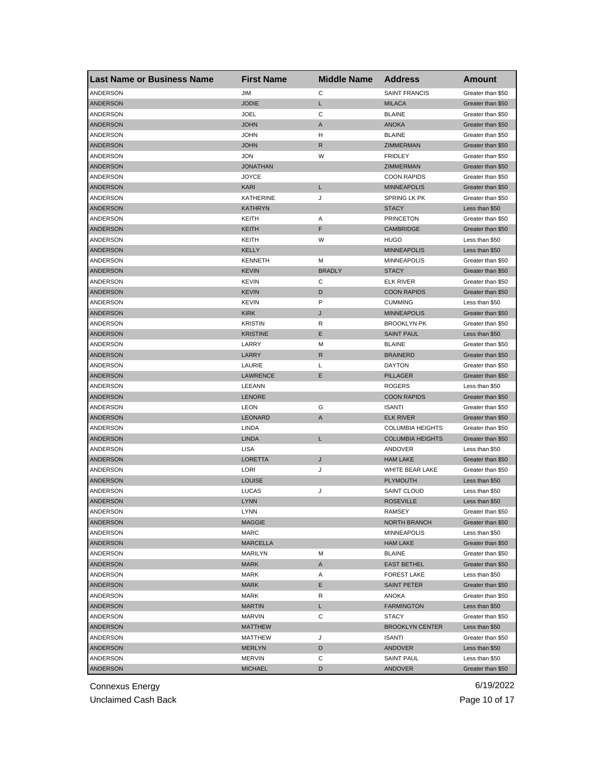| <b>Last Name or Business Name</b> | <b>First Name</b> | <b>Middle Name</b> | <b>Address</b>          | Amount                           |
|-----------------------------------|-------------------|--------------------|-------------------------|----------------------------------|
| ANDERSON                          | JIM               | C                  | <b>SAINT FRANCIS</b>    | Greater than \$50                |
| <b>ANDERSON</b>                   | <b>JODIE</b>      | L                  | <b>MILACA</b>           | Greater than \$50                |
| ANDERSON                          | <b>JOEL</b>       | C                  | <b>BLAINE</b>           | Greater than \$50                |
| <b>ANDERSON</b>                   | <b>JOHN</b>       | A                  | <b>ANOKA</b>            | Greater than \$50                |
| <b>ANDERSON</b>                   | <b>JOHN</b>       | н                  | <b>BLAINE</b>           | Greater than \$50                |
| <b>ANDERSON</b>                   | <b>JOHN</b>       | R                  | ZIMMERMAN               | Greater than \$50                |
| ANDERSON                          | <b>JON</b>        | W                  | <b>FRIDLEY</b>          | Greater than \$50                |
| <b>ANDERSON</b>                   | <b>JONATHAN</b>   |                    | <b>ZIMMERMAN</b>        | Greater than \$50                |
| ANDERSON                          | <b>JOYCE</b>      |                    | <b>COON RAPIDS</b>      | Greater than \$50                |
| ANDERSON                          | <b>KARI</b>       | L                  | <b>MINNEAPOLIS</b>      | Greater than \$50                |
| ANDERSON                          | <b>KATHERINE</b>  | J                  | SPRING LK PK            | Greater than \$50                |
| <b>ANDERSON</b>                   | <b>KATHRYN</b>    |                    | <b>STACY</b>            | Less than \$50                   |
| ANDERSON                          | KEITH             | Α                  | <b>PRINCETON</b>        | Greater than \$50                |
| <b>ANDERSON</b>                   | <b>KEITH</b>      | F                  | CAMBRIDGE               | Greater than \$50                |
| ANDERSON                          | KEITH             | W                  | <b>HUGO</b>             | Less than \$50                   |
| <b>ANDERSON</b>                   | <b>KELLY</b>      |                    | <b>MINNEAPOLIS</b>      | Less than \$50                   |
| ANDERSON                          | <b>KENNETH</b>    | M                  | <b>MINNEAPOLIS</b>      | Greater than \$50                |
| <b>ANDERSON</b>                   | <b>KEVIN</b>      | <b>BRADLY</b>      | <b>STACY</b>            | Greater than \$50                |
| ANDERSON                          | <b>KEVIN</b>      | С                  | <b>ELK RIVER</b>        | Greater than \$50                |
| <b>ANDERSON</b>                   | <b>KEVIN</b>      | D                  | <b>COON RAPIDS</b>      | Greater than \$50                |
| ANDERSON                          | <b>KEVIN</b>      | P                  | <b>CUMMING</b>          | Less than \$50                   |
| <b>ANDERSON</b>                   | <b>KIRK</b>       | J                  | <b>MINNEAPOLIS</b>      | Greater than \$50                |
| <b>ANDERSON</b>                   | <b>KRISTIN</b>    | R                  | <b>BROOKLYN PK</b>      | Greater than \$50                |
| <b>ANDERSON</b>                   | <b>KRISTINE</b>   | Ε                  | <b>SAINT PAUL</b>       | Less than \$50                   |
| ANDERSON                          | LARRY             | M                  | <b>BLAINE</b>           | Greater than \$50                |
| <b>ANDERSON</b>                   | LARRY             | R                  | <b>BRAINERD</b>         | Greater than \$50                |
| ANDERSON                          | LAURIE            | L                  | <b>DAYTON</b>           | Greater than \$50                |
| <b>ANDERSON</b>                   | <b>LAWRENCE</b>   | Ε                  | <b>PILLAGER</b>         | Greater than \$50                |
| ANDERSON                          | LEEANN            |                    | <b>ROGERS</b>           | Less than \$50                   |
| <b>ANDERSON</b>                   | <b>LENORE</b>     |                    | <b>COON RAPIDS</b>      | Greater than \$50                |
| ANDERSON                          | <b>LEON</b>       | G                  | <b>ISANTI</b>           | Greater than \$50                |
| <b>ANDERSON</b>                   | <b>LEONARD</b>    | $\mathsf{A}$       | <b>ELK RIVER</b>        | Greater than \$50                |
| ANDERSON                          | <b>LINDA</b>      |                    | <b>COLUMBIA HEIGHTS</b> | Greater than \$50                |
| <b>ANDERSON</b>                   | <b>LINDA</b>      | L                  | <b>COLUMBIA HEIGHTS</b> | Greater than \$50                |
| <b>ANDERSON</b>                   | <b>LISA</b>       |                    | ANDOVER                 | Less than \$50                   |
| <b>ANDERSON</b>                   | <b>LORETTA</b>    | J                  | <b>HAM LAKE</b>         | Greater than \$50                |
| ANDERSON                          | LORI              | J                  | WHITE BEAR LAKE         | Greater than \$50                |
| ANDERSON                          | <b>LOUISE</b>     |                    | <b>PLYMOUTH</b>         | Less than \$50                   |
| ANDERSON                          | LUCAS             | J                  | <b>SAINT CLOUD</b>      | Less than \$50                   |
| <b>ANDERSON</b>                   | <b>LYNN</b>       |                    | <b>ROSEVILLE</b>        | Less than \$50                   |
| ANDERSON                          | LYNN              |                    | RAMSEY                  | Greater than \$50                |
| <b>ANDERSON</b>                   | <b>MAGGIE</b>     |                    | NORTH BRANCH            | Greater than \$50                |
| ANDERSON                          | MARC              |                    | <b>MINNEAPOLIS</b>      | Less than \$50                   |
| ANDERSON                          | MARCELLA          |                    | <b>HAM LAKE</b>         | Greater than \$50                |
| ANDERSON                          | MARILYN           | М                  | <b>BLAINE</b>           | Greater than \$50                |
| ANDERSON                          | <b>MARK</b>       | A                  | <b>EAST BETHEL</b>      | Greater than \$50                |
| ANDERSON                          | MARK              | Α                  | <b>FOREST LAKE</b>      | Less than \$50                   |
| <b>ANDERSON</b>                   | <b>MARK</b>       | Е                  | <b>SAINT PETER</b>      | Greater than \$50                |
| ANDERSON                          | MARK              | R                  | ANOKA                   | Greater than \$50                |
| <b>ANDERSON</b>                   | <b>MARTIN</b>     | L                  | <b>FARMINGTON</b>       | Less than \$50                   |
| ANDERSON                          | MARVIN            | С                  | <b>STACY</b>            | Greater than \$50                |
| ANDERSON                          | <b>MATTHEW</b>    |                    | <b>BROOKLYN CENTER</b>  | Less than \$50                   |
| ANDERSON                          | MATTHEW           | J                  |                         | Greater than \$50                |
|                                   |                   |                    | ISANTI                  |                                  |
| ANDERSON                          | MERLYN            | D                  | <b>ANDOVER</b>          | Less than \$50<br>Less than \$50 |
| ANDERSON                          | MERVIN            | С                  | <b>SAINT PAUL</b>       |                                  |
| ANDERSON                          | <b>MICHAEL</b>    | D                  | <b>ANDOVER</b>          | Greater than \$50                |

Unclaimed Cash Back **Page 10 of 17**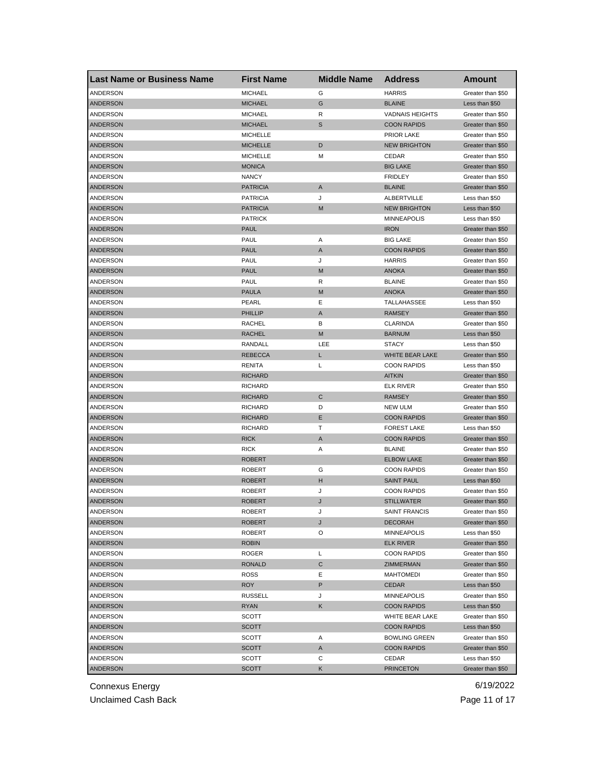| <b>Last Name or Business Name</b> | <b>First Name</b> | <b>Middle Name</b> | <b>Address</b>         | <b>Amount</b>     |
|-----------------------------------|-------------------|--------------------|------------------------|-------------------|
| ANDERSON                          | <b>MICHAEL</b>    | G                  | <b>HARRIS</b>          | Greater than \$50 |
| <b>ANDERSON</b>                   | <b>MICHAEL</b>    | G                  | <b>BLAINE</b>          | Less than \$50    |
| ANDERSON                          | <b>MICHAEL</b>    | R                  | <b>VADNAIS HEIGHTS</b> | Greater than \$50 |
| <b>ANDERSON</b>                   | <b>MICHAEL</b>    | S                  | <b>COON RAPIDS</b>     | Greater than \$50 |
| ANDERSON                          | <b>MICHELLE</b>   |                    | <b>PRIOR LAKE</b>      | Greater than \$50 |
| <b>ANDERSON</b>                   | <b>MICHELLE</b>   | D                  | <b>NEW BRIGHTON</b>    | Greater than \$50 |
| ANDERSON                          | <b>MICHELLE</b>   | M                  | CEDAR                  | Greater than \$50 |
| <b>ANDERSON</b>                   | <b>MONICA</b>     |                    | <b>BIG LAKE</b>        | Greater than \$50 |
| ANDERSON                          | <b>NANCY</b>      |                    | <b>FRIDLEY</b>         | Greater than \$50 |
| <b>ANDERSON</b>                   | <b>PATRICIA</b>   | A                  | <b>BLAINE</b>          | Greater than \$50 |
| ANDERSON                          | <b>PATRICIA</b>   | J                  | ALBERTVILLE            | Less than \$50    |
| <b>ANDERSON</b>                   | <b>PATRICIA</b>   | M                  | <b>NEW BRIGHTON</b>    | Less than \$50    |
| ANDERSON                          | <b>PATRICK</b>    |                    | <b>MINNEAPOLIS</b>     | Less than \$50    |
| ANDERSON                          | <b>PAUL</b>       |                    | <b>IRON</b>            | Greater than \$50 |
| ANDERSON                          | PAUL              | Α                  | <b>BIG LAKE</b>        | Greater than \$50 |
| <b>ANDERSON</b>                   | <b>PAUL</b>       | A                  | <b>COON RAPIDS</b>     | Greater than \$50 |
| ANDERSON                          | PAUL              | J                  | <b>HARRIS</b>          | Greater than \$50 |
| <b>ANDERSON</b>                   | <b>PAUL</b>       | M                  | <b>ANOKA</b>           | Greater than \$50 |
| ANDERSON                          | PAUL              | R                  | <b>BLAINE</b>          | Greater than \$50 |
| <b>ANDERSON</b>                   | <b>PAULA</b>      | M                  | <b>ANOKA</b>           | Greater than \$50 |
| ANDERSON                          | PEARL             | Ε                  | TALLAHASSEE            | Less than \$50    |
| <b>ANDERSON</b>                   | <b>PHILLIP</b>    | A                  | <b>RAMSEY</b>          | Greater than \$50 |
| ANDERSON                          | <b>RACHEL</b>     | В                  | <b>CLARINDA</b>        | Greater than \$50 |
| <b>ANDERSON</b>                   | <b>RACHEL</b>     | M                  | <b>BARNUM</b>          | Less than \$50    |
| ANDERSON                          | RANDALL           | LEE                | <b>STACY</b>           | Less than \$50    |
| <b>ANDERSON</b>                   | <b>REBECCA</b>    | L                  | WHITE BEAR LAKE        | Greater than \$50 |
| ANDERSON                          | RENITA            | L                  | <b>COON RAPIDS</b>     | Less than \$50    |
| <b>ANDERSON</b>                   | <b>RICHARD</b>    |                    | <b>AITKIN</b>          | Greater than \$50 |
| ANDERSON                          | <b>RICHARD</b>    |                    | <b>ELK RIVER</b>       | Greater than \$50 |
| ANDERSON                          | <b>RICHARD</b>    | C                  | <b>RAMSEY</b>          | Greater than \$50 |
| ANDERSON                          | <b>RICHARD</b>    | D                  | <b>NEW ULM</b>         | Greater than \$50 |
| <b>ANDERSON</b>                   | <b>RICHARD</b>    | Е                  | <b>COON RAPIDS</b>     | Greater than \$50 |
| ANDERSON                          | <b>RICHARD</b>    | Т                  | <b>FOREST LAKE</b>     | Less than \$50    |
| <b>ANDERSON</b>                   | <b>RICK</b>       | A                  | <b>COON RAPIDS</b>     | Greater than \$50 |
| ANDERSON                          | <b>RICK</b>       | Α                  | <b>BLAINE</b>          | Greater than \$50 |
| <b>ANDERSON</b>                   | <b>ROBERT</b>     |                    | <b>ELBOW LAKE</b>      | Greater than \$50 |
| ANDERSON                          | <b>ROBERT</b>     | G                  | <b>COON RAPIDS</b>     | Greater than \$50 |
| ANDERSON                          | <b>ROBERT</b>     | H                  | <b>SAINT PAUL</b>      | Less than \$50    |
| <b>ANDERSON</b>                   | <b>ROBERT</b>     | J                  | <b>COON RAPIDS</b>     | Greater than \$50 |
| <b>ANDERSON</b>                   | <b>ROBERT</b>     | J                  | <b>STILLWATER</b>      | Greater than \$50 |
| ANDERSON                          | ROBERT            | J                  | SAINT FRANCIS          | Greater than \$50 |
| ANDERSON                          | <b>ROBERT</b>     | J                  | <b>DECORAH</b>         | Greater than \$50 |
| ANDERSON                          | ROBERT            | O                  | <b>MINNEAPOLIS</b>     | Less than \$50    |
| ANDERSON                          | <b>ROBIN</b>      |                    | <b>ELK RIVER</b>       | Greater than \$50 |
| ANDERSON                          | ROGER             | L                  | <b>COON RAPIDS</b>     | Greater than \$50 |
| ANDERSON                          | <b>RONALD</b>     | C                  | ZIMMERMAN              | Greater than \$50 |
| ANDERSON                          | ROSS              | Е                  | <b>MAHTOMEDI</b>       | Greater than \$50 |
| ANDERSON                          | <b>ROY</b>        | P                  | <b>CEDAR</b>           | Less than \$50    |
| ANDERSON                          | <b>RUSSELL</b>    | J                  | MINNEAPOLIS            | Greater than \$50 |
| <b>ANDERSON</b>                   | <b>RYAN</b>       | Κ                  | <b>COON RAPIDS</b>     | Less than \$50    |
| ANDERSON                          | SCOTT             |                    | WHITE BEAR LAKE        | Greater than \$50 |
| ANDERSON                          | SCOTT             |                    | <b>COON RAPIDS</b>     | Less than \$50    |
| ANDERSON                          | SCOTT             | Α                  | <b>BOWLING GREEN</b>   | Greater than \$50 |
| <b>ANDERSON</b>                   | SCOTT             | A                  | <b>COON RAPIDS</b>     | Greater than \$50 |
| ANDERSON                          | SCOTT             | С                  | CEDAR                  | Less than \$50    |
| ANDERSON                          | <b>SCOTT</b>      | Κ                  | <b>PRINCETON</b>       | Greater than \$50 |
|                                   |                   |                    |                        |                   |

Unclaimed Cash Back **Page 11 of 17**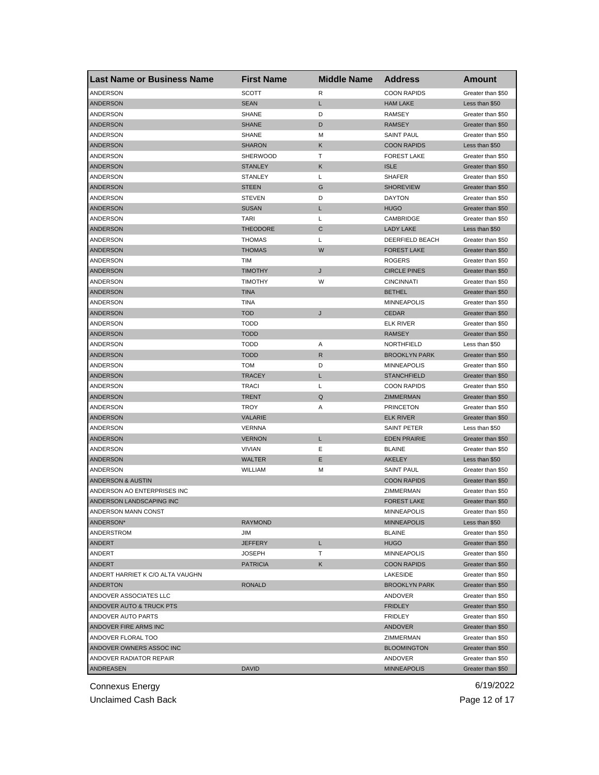| <b>Last Name or Business Name</b> | <b>First Name</b> | <b>Middle Name</b> | <b>Address</b>       | Amount            |
|-----------------------------------|-------------------|--------------------|----------------------|-------------------|
| ANDERSON                          | <b>SCOTT</b>      | R                  | <b>COON RAPIDS</b>   | Greater than \$50 |
| <b>ANDERSON</b>                   | <b>SEAN</b>       | Г                  | <b>HAM LAKE</b>      | Less than \$50    |
| ANDERSON                          | <b>SHANE</b>      | D                  | <b>RAMSEY</b>        | Greater than \$50 |
| <b>ANDERSON</b>                   | <b>SHANE</b>      | D                  | <b>RAMSEY</b>        | Greater than \$50 |
| ANDERSON                          | <b>SHANE</b>      | M                  | <b>SAINT PAUL</b>    | Greater than \$50 |
| <b>ANDERSON</b>                   | <b>SHARON</b>     | Κ                  | <b>COON RAPIDS</b>   | Less than \$50    |
| ANDERSON                          | SHERWOOD          | т                  | <b>FOREST LAKE</b>   | Greater than \$50 |
| <b>ANDERSON</b>                   | <b>STANLEY</b>    | Κ                  | <b>ISLE</b>          | Greater than \$50 |
| ANDERSON                          | <b>STANLEY</b>    | Г                  | <b>SHAFER</b>        | Greater than \$50 |
| ANDERSON                          | <b>STEEN</b>      | G                  | <b>SHOREVIEW</b>     | Greater than \$50 |
| ANDERSON                          | <b>STEVEN</b>     | D                  | <b>DAYTON</b>        | Greater than \$50 |
| <b>ANDERSON</b>                   | <b>SUSAN</b>      | L                  | <b>HUGO</b>          | Greater than \$50 |
| ANDERSON                          | <b>TARI</b>       | L                  | CAMBRIDGE            | Greater than \$50 |
| <b>ANDERSON</b>                   | <b>THEODORE</b>   | C                  | <b>LADY LAKE</b>     | Less than \$50    |
| ANDERSON                          | <b>THOMAS</b>     | L                  | DEERFIELD BEACH      | Greater than \$50 |
| <b>ANDERSON</b>                   | <b>THOMAS</b>     | W                  | <b>FOREST LAKE</b>   | Greater than \$50 |
| ANDERSON                          | <b>TIM</b>        |                    | <b>ROGERS</b>        | Greater than \$50 |
| <b>ANDERSON</b>                   | <b>TIMOTHY</b>    | J                  | <b>CIRCLE PINES</b>  | Greater than \$50 |
| ANDERSON                          | <b>TIMOTHY</b>    | W                  | <b>CINCINNATI</b>    | Greater than \$50 |
| <b>ANDERSON</b>                   | <b>TINA</b>       |                    | <b>BETHEL</b>        | Greater than \$50 |
| ANDERSON                          | TINA              |                    | <b>MINNEAPOLIS</b>   | Greater than \$50 |
| <b>ANDERSON</b>                   | <b>TOD</b>        | J                  | <b>CEDAR</b>         | Greater than \$50 |
| <b>ANDERSON</b>                   | <b>TODD</b>       |                    | <b>ELK RIVER</b>     | Greater than \$50 |
| <b>ANDERSON</b>                   | <b>TODD</b>       |                    | <b>RAMSEY</b>        | Greater than \$50 |
| ANDERSON                          | <b>TODD</b>       | Α                  | NORTHFIELD           | Less than \$50    |
| <b>ANDERSON</b>                   | <b>TODD</b>       | R                  | <b>BROOKLYN PARK</b> | Greater than \$50 |
| ANDERSON                          | TOM               | D                  | <b>MINNEAPOLIS</b>   | Greater than \$50 |
| <b>ANDERSON</b>                   | <b>TRACEY</b>     | L                  | <b>STANCHFIELD</b>   | Greater than \$50 |
| ANDERSON                          | <b>TRACI</b>      | L                  | <b>COON RAPIDS</b>   | Greater than \$50 |
| <b>ANDERSON</b>                   | <b>TRENT</b>      | $\mathsf Q$        | ZIMMERMAN            | Greater than \$50 |
| ANDERSON                          | TROY              | Α                  | <b>PRINCETON</b>     | Greater than \$50 |
| ANDERSON                          | <b>VALARIE</b>    |                    | <b>ELK RIVER</b>     | Greater than \$50 |
| ANDERSON                          | VERNNA            |                    | SAINT PETER          | Less than \$50    |
| <b>ANDERSON</b>                   | <b>VERNON</b>     | Г                  | <b>EDEN PRAIRIE</b>  | Greater than \$50 |
| <b>ANDERSON</b>                   | <b>VIVIAN</b>     | Е                  | <b>BLAINE</b>        | Greater than \$50 |
| <b>ANDERSON</b>                   | <b>WALTER</b>     | Ε                  | <b>AKELEY</b>        | Less than \$50    |
| ANDERSON                          | WILLIAM           | M                  | <b>SAINT PAUL</b>    | Greater than \$50 |
| ANDERSON & AUSTIN                 |                   |                    | <b>COON RAPIDS</b>   | Greater than \$50 |
| ANDERSON AO ENTERPRISES INC       |                   |                    | ZIMMERMAN            | Greater than \$50 |
| ANDERSON LANDSCAPING INC          |                   |                    | <b>FOREST LAKE</b>   | Greater than \$50 |
| ANDERSON MANN CONST               |                   |                    | <b>MINNEAPOLIS</b>   | Greater than \$50 |
| ANDERSON*                         | <b>RAYMOND</b>    |                    | <b>MINNEAPOLIS</b>   | Less than \$50    |
| ANDERSTROM                        | JIM               |                    | <b>BLAINE</b>        | Greater than \$50 |
| ANDERT                            | <b>JEFFERY</b>    | L                  | <b>HUGO</b>          | Greater than \$50 |
| ANDERT                            | <b>JOSEPH</b>     | т                  | <b>MINNEAPOLIS</b>   | Greater than \$50 |
| ANDERT                            | <b>PATRICIA</b>   | Κ                  | <b>COON RAPIDS</b>   | Greater than \$50 |
| ANDERT HARRIET K C/O ALTA VAUGHN  |                   |                    | LAKESIDE             | Greater than \$50 |
| <b>ANDERTON</b>                   | <b>RONALD</b>     |                    | <b>BROOKLYN PARK</b> | Greater than \$50 |
| ANDOVER ASSOCIATES LLC            |                   |                    | ANDOVER              | Greater than \$50 |
| ANDOVER AUTO & TRUCK PTS          |                   |                    | <b>FRIDLEY</b>       | Greater than \$50 |
| ANDOVER AUTO PARTS                |                   |                    | FRIDLEY              | Greater than \$50 |
| ANDOVER FIRE ARMS INC             |                   |                    | ANDOVER              | Greater than \$50 |
| ANDOVER FLORAL TOO                |                   |                    | ZIMMERMAN            | Greater than \$50 |
| ANDOVER OWNERS ASSOC INC          |                   |                    | <b>BLOOMINGTON</b>   | Greater than \$50 |
| ANDOVER RADIATOR REPAIR           |                   |                    | ANDOVER              | Greater than \$50 |
| ANDREASEN                         | DAVID             |                    | <b>MINNEAPOLIS</b>   | Greater than \$50 |
|                                   |                   |                    |                      |                   |

Unclaimed Cash Back **Page 12 of 17**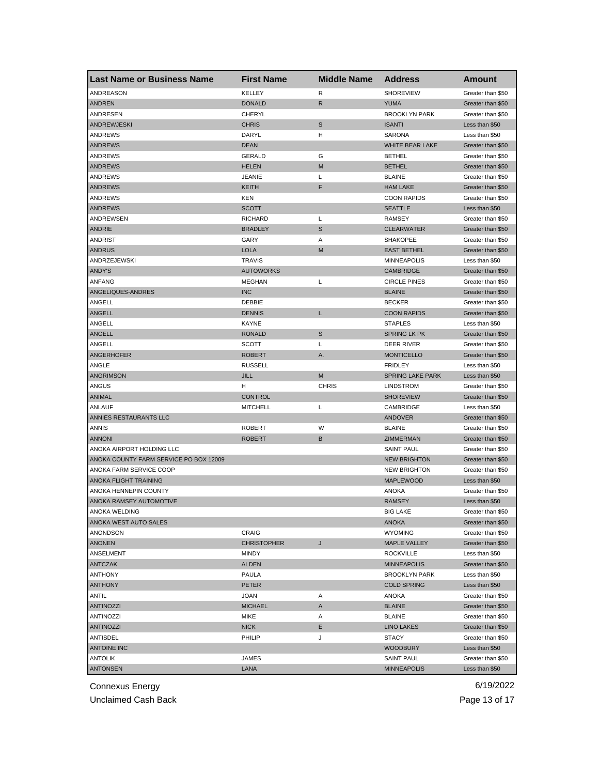| <b>KELLEY</b><br><b>SHOREVIEW</b><br>ANDREASON<br>R<br>Greater than \$50<br>$\mathsf{R}$<br><b>ANDREN</b><br><b>DONALD</b><br><b>YUMA</b><br>Greater than \$50<br>ANDRESEN<br><b>CHERYL</b><br><b>BROOKLYN PARK</b><br>Greater than \$50<br>$\mathbb S$<br><b>ANDREWJESKI</b><br><b>CHRIS</b><br><b>ISANTI</b><br>Less than \$50<br>ANDREWS<br>DARYL<br>н<br><b>SARONA</b><br>Less than \$50<br>WHITE BEAR LAKE<br><b>ANDREWS</b><br><b>DEAN</b><br>Greater than \$50<br>ANDREWS<br><b>GERALD</b><br>G<br><b>BETHEL</b><br>Greater than \$50<br><b>ANDREWS</b><br>M<br><b>BETHEL</b><br><b>HELEN</b><br>Greater than \$50<br><b>JEANIE</b><br>Г<br><b>BLAINE</b><br>ANDREWS<br>Greater than \$50<br>F<br><b>HAM LAKE</b><br>ANDREWS<br><b>KEITH</b><br>Greater than \$50<br><b>COON RAPIDS</b><br>ANDREWS<br>KEN<br>Greater than \$50<br><b>ANDREWS</b><br><b>SCOTT</b><br><b>SEATTLE</b><br>Less than \$50<br>ANDREWSEN<br><b>RICHARD</b><br>L<br><b>RAMSEY</b><br>Greater than \$50<br>S<br><b>CLEARWATER</b><br>ANDRIE<br><b>BRADLEY</b><br>Greater than \$50<br>ANDRIST<br>GARY<br>Α<br><b>SHAKOPEE</b><br>Greater than \$50<br><b>LOLA</b><br>M<br><b>ANDRUS</b><br><b>EAST BETHEL</b><br>Greater than \$50<br>ANDRZEJEWSKI<br><b>TRAVIS</b><br><b>MINNEAPOLIS</b><br>Less than \$50<br>ANDY'S<br><b>AUTOWORKS</b><br><b>CAMBRIDGE</b><br>Greater than \$50<br>ANFANG<br>Г<br><b>CIRCLE PINES</b><br>MEGHAN<br>Greater than \$50<br>ANGELIQUES-ANDRES<br><b>INC</b><br><b>BLAINE</b><br>Greater than \$50<br>ANGELL<br>DEBBIE<br><b>BECKER</b><br>Greater than \$50<br>ANGELL<br><b>DENNIS</b><br>L<br><b>COON RAPIDS</b><br>Greater than \$50<br>ANGELL<br>KAYNE<br><b>STAPLES</b><br>Less than \$50<br>$\mathbb S$<br>ANGELL<br><b>RONALD</b><br><b>SPRING LK PK</b><br>Greater than \$50<br>ANGELL<br><b>SCOTT</b><br>Г<br>DEER RIVER<br>Greater than \$50<br>ANGERHOFER<br><b>MONTICELLO</b><br><b>ROBERT</b><br>Α.<br>Greater than \$50<br>ANGLE<br><b>RUSSELL</b><br><b>FRIDLEY</b><br>Less than \$50<br><b>ANGRIMSON</b><br><b>JILL</b><br>M<br><b>SPRING LAKE PARK</b><br>Less than \$50<br>ANGUS<br>н<br><b>CHRIS</b><br><b>LINDSTROM</b><br>Greater than \$50<br><b>CONTROL</b><br>ANIMAL<br><b>SHOREVIEW</b><br>Greater than \$50<br>ANLAUF<br><b>MITCHELL</b><br>L<br>CAMBRIDGE<br>Less than \$50<br>ANNIES RESTAURANTS LLC<br>ANDOVER<br>Greater than \$50<br>W<br>ANNIS<br><b>ROBERT</b><br><b>BLAINE</b><br>Greater than \$50<br><b>ANNONI</b><br><b>ROBERT</b><br>В<br>ZIMMERMAN<br>Greater than \$50<br>ANOKA AIRPORT HOLDING LLC<br><b>SAINT PAUL</b><br>Greater than \$50<br>ANOKA COUNTY FARM SERVICE PO BOX 12009<br><b>NEW BRIGHTON</b><br>Greater than \$50<br>ANOKA FARM SERVICE COOP<br><b>NEW BRIGHTON</b><br>Greater than \$50<br>ANOKA FLIGHT TRAINING<br><b>MAPLEWOOD</b><br>Less than \$50<br>ANOKA HENNEPIN COUNTY<br><b>ANOKA</b><br>Greater than \$50<br>ANOKA RAMSEY AUTOMOTIVE<br><b>RAMSEY</b><br>Less than \$50<br>ANOKA WELDING<br><b>BIG LAKE</b><br>Greater than \$50<br><b>ANOKA WEST AUTO SALES</b><br>ANOKA<br>Greater than \$50<br>ANONDSON<br>CRAIG<br><b>WYOMING</b><br>Greater than \$50<br><b>ANONEN</b><br><b>CHRISTOPHER</b><br>J<br><b>MAPLE VALLEY</b><br>Greater than \$50<br>ANSELMENT<br>MINDY<br><b>ROCKVILLE</b><br>Less than \$50<br><b>ANTCZAK</b><br><b>ALDEN</b><br><b>MINNEAPOLIS</b><br>Greater than \$50<br><b>ANTHONY</b><br>PAULA<br><b>BROOKLYN PARK</b><br>Less than \$50<br><b>ANTHONY</b><br>PETER<br><b>COLD SPRING</b><br>Less than \$50<br>ANTIL<br>Greater than \$50<br>JOAN<br>Α<br>ANOKA<br><b>ANTINOZZI</b><br><b>MICHAEL</b><br>A<br><b>BLAINE</b><br>Greater than \$50<br>ANTINOZZI<br>MIKE<br>Α<br><b>BLAINE</b><br>Greater than \$50<br><b>ANTINOZZI</b><br><b>NICK</b><br>Е<br><b>LINO LAKES</b><br>Greater than \$50<br>ANTISDEL<br>PHILIP<br>J<br>STACY<br>Greater than \$50<br><b>ANTOINE INC</b><br><b>WOODBURY</b><br>Less than \$50<br><b>ANTOLIK</b><br>JAMES<br>SAINT PAUL<br>Greater than \$50<br><b>ANTONSEN</b><br>LANA<br><b>MINNEAPOLIS</b><br>Less than \$50 | <b>Last Name or Business Name</b> | <b>First Name</b> | <b>Middle Name</b> | <b>Address</b> | Amount |
|-------------------------------------------------------------------------------------------------------------------------------------------------------------------------------------------------------------------------------------------------------------------------------------------------------------------------------------------------------------------------------------------------------------------------------------------------------------------------------------------------------------------------------------------------------------------------------------------------------------------------------------------------------------------------------------------------------------------------------------------------------------------------------------------------------------------------------------------------------------------------------------------------------------------------------------------------------------------------------------------------------------------------------------------------------------------------------------------------------------------------------------------------------------------------------------------------------------------------------------------------------------------------------------------------------------------------------------------------------------------------------------------------------------------------------------------------------------------------------------------------------------------------------------------------------------------------------------------------------------------------------------------------------------------------------------------------------------------------------------------------------------------------------------------------------------------------------------------------------------------------------------------------------------------------------------------------------------------------------------------------------------------------------------------------------------------------------------------------------------------------------------------------------------------------------------------------------------------------------------------------------------------------------------------------------------------------------------------------------------------------------------------------------------------------------------------------------------------------------------------------------------------------------------------------------------------------------------------------------------------------------------------------------------------------------------------------------------------------------------------------------------------------------------------------------------------------------------------------------------------------------------------------------------------------------------------------------------------------------------------------------------------------------------------------------------------------------------------------------------------------------------------------------------------------------------------------------------------------------------------------------------------------------------------------------------------------------------------------------------------------------------------------------------------------------------------------------------------------------------------------------------------------------------------------------------------------------------------------------------------------------------------------------------------------------------------------------------------------------------------------------------------------------------------------------------------------------------------------------------------------------------------------------------------------------------------------------------------------------------------------------------------------------------------------------------------|-----------------------------------|-------------------|--------------------|----------------|--------|
|                                                                                                                                                                                                                                                                                                                                                                                                                                                                                                                                                                                                                                                                                                                                                                                                                                                                                                                                                                                                                                                                                                                                                                                                                                                                                                                                                                                                                                                                                                                                                                                                                                                                                                                                                                                                                                                                                                                                                                                                                                                                                                                                                                                                                                                                                                                                                                                                                                                                                                                                                                                                                                                                                                                                                                                                                                                                                                                                                                                                                                                                                                                                                                                                                                                                                                                                                                                                                                                                                                                                                                                                                                                                                                                                                                                                                                                                                                                                                                                                                                                                   |                                   |                   |                    |                |        |
|                                                                                                                                                                                                                                                                                                                                                                                                                                                                                                                                                                                                                                                                                                                                                                                                                                                                                                                                                                                                                                                                                                                                                                                                                                                                                                                                                                                                                                                                                                                                                                                                                                                                                                                                                                                                                                                                                                                                                                                                                                                                                                                                                                                                                                                                                                                                                                                                                                                                                                                                                                                                                                                                                                                                                                                                                                                                                                                                                                                                                                                                                                                                                                                                                                                                                                                                                                                                                                                                                                                                                                                                                                                                                                                                                                                                                                                                                                                                                                                                                                                                   |                                   |                   |                    |                |        |
|                                                                                                                                                                                                                                                                                                                                                                                                                                                                                                                                                                                                                                                                                                                                                                                                                                                                                                                                                                                                                                                                                                                                                                                                                                                                                                                                                                                                                                                                                                                                                                                                                                                                                                                                                                                                                                                                                                                                                                                                                                                                                                                                                                                                                                                                                                                                                                                                                                                                                                                                                                                                                                                                                                                                                                                                                                                                                                                                                                                                                                                                                                                                                                                                                                                                                                                                                                                                                                                                                                                                                                                                                                                                                                                                                                                                                                                                                                                                                                                                                                                                   |                                   |                   |                    |                |        |
|                                                                                                                                                                                                                                                                                                                                                                                                                                                                                                                                                                                                                                                                                                                                                                                                                                                                                                                                                                                                                                                                                                                                                                                                                                                                                                                                                                                                                                                                                                                                                                                                                                                                                                                                                                                                                                                                                                                                                                                                                                                                                                                                                                                                                                                                                                                                                                                                                                                                                                                                                                                                                                                                                                                                                                                                                                                                                                                                                                                                                                                                                                                                                                                                                                                                                                                                                                                                                                                                                                                                                                                                                                                                                                                                                                                                                                                                                                                                                                                                                                                                   |                                   |                   |                    |                |        |
|                                                                                                                                                                                                                                                                                                                                                                                                                                                                                                                                                                                                                                                                                                                                                                                                                                                                                                                                                                                                                                                                                                                                                                                                                                                                                                                                                                                                                                                                                                                                                                                                                                                                                                                                                                                                                                                                                                                                                                                                                                                                                                                                                                                                                                                                                                                                                                                                                                                                                                                                                                                                                                                                                                                                                                                                                                                                                                                                                                                                                                                                                                                                                                                                                                                                                                                                                                                                                                                                                                                                                                                                                                                                                                                                                                                                                                                                                                                                                                                                                                                                   |                                   |                   |                    |                |        |
|                                                                                                                                                                                                                                                                                                                                                                                                                                                                                                                                                                                                                                                                                                                                                                                                                                                                                                                                                                                                                                                                                                                                                                                                                                                                                                                                                                                                                                                                                                                                                                                                                                                                                                                                                                                                                                                                                                                                                                                                                                                                                                                                                                                                                                                                                                                                                                                                                                                                                                                                                                                                                                                                                                                                                                                                                                                                                                                                                                                                                                                                                                                                                                                                                                                                                                                                                                                                                                                                                                                                                                                                                                                                                                                                                                                                                                                                                                                                                                                                                                                                   |                                   |                   |                    |                |        |
|                                                                                                                                                                                                                                                                                                                                                                                                                                                                                                                                                                                                                                                                                                                                                                                                                                                                                                                                                                                                                                                                                                                                                                                                                                                                                                                                                                                                                                                                                                                                                                                                                                                                                                                                                                                                                                                                                                                                                                                                                                                                                                                                                                                                                                                                                                                                                                                                                                                                                                                                                                                                                                                                                                                                                                                                                                                                                                                                                                                                                                                                                                                                                                                                                                                                                                                                                                                                                                                                                                                                                                                                                                                                                                                                                                                                                                                                                                                                                                                                                                                                   |                                   |                   |                    |                |        |
|                                                                                                                                                                                                                                                                                                                                                                                                                                                                                                                                                                                                                                                                                                                                                                                                                                                                                                                                                                                                                                                                                                                                                                                                                                                                                                                                                                                                                                                                                                                                                                                                                                                                                                                                                                                                                                                                                                                                                                                                                                                                                                                                                                                                                                                                                                                                                                                                                                                                                                                                                                                                                                                                                                                                                                                                                                                                                                                                                                                                                                                                                                                                                                                                                                                                                                                                                                                                                                                                                                                                                                                                                                                                                                                                                                                                                                                                                                                                                                                                                                                                   |                                   |                   |                    |                |        |
|                                                                                                                                                                                                                                                                                                                                                                                                                                                                                                                                                                                                                                                                                                                                                                                                                                                                                                                                                                                                                                                                                                                                                                                                                                                                                                                                                                                                                                                                                                                                                                                                                                                                                                                                                                                                                                                                                                                                                                                                                                                                                                                                                                                                                                                                                                                                                                                                                                                                                                                                                                                                                                                                                                                                                                                                                                                                                                                                                                                                                                                                                                                                                                                                                                                                                                                                                                                                                                                                                                                                                                                                                                                                                                                                                                                                                                                                                                                                                                                                                                                                   |                                   |                   |                    |                |        |
|                                                                                                                                                                                                                                                                                                                                                                                                                                                                                                                                                                                                                                                                                                                                                                                                                                                                                                                                                                                                                                                                                                                                                                                                                                                                                                                                                                                                                                                                                                                                                                                                                                                                                                                                                                                                                                                                                                                                                                                                                                                                                                                                                                                                                                                                                                                                                                                                                                                                                                                                                                                                                                                                                                                                                                                                                                                                                                                                                                                                                                                                                                                                                                                                                                                                                                                                                                                                                                                                                                                                                                                                                                                                                                                                                                                                                                                                                                                                                                                                                                                                   |                                   |                   |                    |                |        |
|                                                                                                                                                                                                                                                                                                                                                                                                                                                                                                                                                                                                                                                                                                                                                                                                                                                                                                                                                                                                                                                                                                                                                                                                                                                                                                                                                                                                                                                                                                                                                                                                                                                                                                                                                                                                                                                                                                                                                                                                                                                                                                                                                                                                                                                                                                                                                                                                                                                                                                                                                                                                                                                                                                                                                                                                                                                                                                                                                                                                                                                                                                                                                                                                                                                                                                                                                                                                                                                                                                                                                                                                                                                                                                                                                                                                                                                                                                                                                                                                                                                                   |                                   |                   |                    |                |        |
|                                                                                                                                                                                                                                                                                                                                                                                                                                                                                                                                                                                                                                                                                                                                                                                                                                                                                                                                                                                                                                                                                                                                                                                                                                                                                                                                                                                                                                                                                                                                                                                                                                                                                                                                                                                                                                                                                                                                                                                                                                                                                                                                                                                                                                                                                                                                                                                                                                                                                                                                                                                                                                                                                                                                                                                                                                                                                                                                                                                                                                                                                                                                                                                                                                                                                                                                                                                                                                                                                                                                                                                                                                                                                                                                                                                                                                                                                                                                                                                                                                                                   |                                   |                   |                    |                |        |
|                                                                                                                                                                                                                                                                                                                                                                                                                                                                                                                                                                                                                                                                                                                                                                                                                                                                                                                                                                                                                                                                                                                                                                                                                                                                                                                                                                                                                                                                                                                                                                                                                                                                                                                                                                                                                                                                                                                                                                                                                                                                                                                                                                                                                                                                                                                                                                                                                                                                                                                                                                                                                                                                                                                                                                                                                                                                                                                                                                                                                                                                                                                                                                                                                                                                                                                                                                                                                                                                                                                                                                                                                                                                                                                                                                                                                                                                                                                                                                                                                                                                   |                                   |                   |                    |                |        |
|                                                                                                                                                                                                                                                                                                                                                                                                                                                                                                                                                                                                                                                                                                                                                                                                                                                                                                                                                                                                                                                                                                                                                                                                                                                                                                                                                                                                                                                                                                                                                                                                                                                                                                                                                                                                                                                                                                                                                                                                                                                                                                                                                                                                                                                                                                                                                                                                                                                                                                                                                                                                                                                                                                                                                                                                                                                                                                                                                                                                                                                                                                                                                                                                                                                                                                                                                                                                                                                                                                                                                                                                                                                                                                                                                                                                                                                                                                                                                                                                                                                                   |                                   |                   |                    |                |        |
|                                                                                                                                                                                                                                                                                                                                                                                                                                                                                                                                                                                                                                                                                                                                                                                                                                                                                                                                                                                                                                                                                                                                                                                                                                                                                                                                                                                                                                                                                                                                                                                                                                                                                                                                                                                                                                                                                                                                                                                                                                                                                                                                                                                                                                                                                                                                                                                                                                                                                                                                                                                                                                                                                                                                                                                                                                                                                                                                                                                                                                                                                                                                                                                                                                                                                                                                                                                                                                                                                                                                                                                                                                                                                                                                                                                                                                                                                                                                                                                                                                                                   |                                   |                   |                    |                |        |
|                                                                                                                                                                                                                                                                                                                                                                                                                                                                                                                                                                                                                                                                                                                                                                                                                                                                                                                                                                                                                                                                                                                                                                                                                                                                                                                                                                                                                                                                                                                                                                                                                                                                                                                                                                                                                                                                                                                                                                                                                                                                                                                                                                                                                                                                                                                                                                                                                                                                                                                                                                                                                                                                                                                                                                                                                                                                                                                                                                                                                                                                                                                                                                                                                                                                                                                                                                                                                                                                                                                                                                                                                                                                                                                                                                                                                                                                                                                                                                                                                                                                   |                                   |                   |                    |                |        |
|                                                                                                                                                                                                                                                                                                                                                                                                                                                                                                                                                                                                                                                                                                                                                                                                                                                                                                                                                                                                                                                                                                                                                                                                                                                                                                                                                                                                                                                                                                                                                                                                                                                                                                                                                                                                                                                                                                                                                                                                                                                                                                                                                                                                                                                                                                                                                                                                                                                                                                                                                                                                                                                                                                                                                                                                                                                                                                                                                                                                                                                                                                                                                                                                                                                                                                                                                                                                                                                                                                                                                                                                                                                                                                                                                                                                                                                                                                                                                                                                                                                                   |                                   |                   |                    |                |        |
|                                                                                                                                                                                                                                                                                                                                                                                                                                                                                                                                                                                                                                                                                                                                                                                                                                                                                                                                                                                                                                                                                                                                                                                                                                                                                                                                                                                                                                                                                                                                                                                                                                                                                                                                                                                                                                                                                                                                                                                                                                                                                                                                                                                                                                                                                                                                                                                                                                                                                                                                                                                                                                                                                                                                                                                                                                                                                                                                                                                                                                                                                                                                                                                                                                                                                                                                                                                                                                                                                                                                                                                                                                                                                                                                                                                                                                                                                                                                                                                                                                                                   |                                   |                   |                    |                |        |
|                                                                                                                                                                                                                                                                                                                                                                                                                                                                                                                                                                                                                                                                                                                                                                                                                                                                                                                                                                                                                                                                                                                                                                                                                                                                                                                                                                                                                                                                                                                                                                                                                                                                                                                                                                                                                                                                                                                                                                                                                                                                                                                                                                                                                                                                                                                                                                                                                                                                                                                                                                                                                                                                                                                                                                                                                                                                                                                                                                                                                                                                                                                                                                                                                                                                                                                                                                                                                                                                                                                                                                                                                                                                                                                                                                                                                                                                                                                                                                                                                                                                   |                                   |                   |                    |                |        |
|                                                                                                                                                                                                                                                                                                                                                                                                                                                                                                                                                                                                                                                                                                                                                                                                                                                                                                                                                                                                                                                                                                                                                                                                                                                                                                                                                                                                                                                                                                                                                                                                                                                                                                                                                                                                                                                                                                                                                                                                                                                                                                                                                                                                                                                                                                                                                                                                                                                                                                                                                                                                                                                                                                                                                                                                                                                                                                                                                                                                                                                                                                                                                                                                                                                                                                                                                                                                                                                                                                                                                                                                                                                                                                                                                                                                                                                                                                                                                                                                                                                                   |                                   |                   |                    |                |        |
|                                                                                                                                                                                                                                                                                                                                                                                                                                                                                                                                                                                                                                                                                                                                                                                                                                                                                                                                                                                                                                                                                                                                                                                                                                                                                                                                                                                                                                                                                                                                                                                                                                                                                                                                                                                                                                                                                                                                                                                                                                                                                                                                                                                                                                                                                                                                                                                                                                                                                                                                                                                                                                                                                                                                                                                                                                                                                                                                                                                                                                                                                                                                                                                                                                                                                                                                                                                                                                                                                                                                                                                                                                                                                                                                                                                                                                                                                                                                                                                                                                                                   |                                   |                   |                    |                |        |
|                                                                                                                                                                                                                                                                                                                                                                                                                                                                                                                                                                                                                                                                                                                                                                                                                                                                                                                                                                                                                                                                                                                                                                                                                                                                                                                                                                                                                                                                                                                                                                                                                                                                                                                                                                                                                                                                                                                                                                                                                                                                                                                                                                                                                                                                                                                                                                                                                                                                                                                                                                                                                                                                                                                                                                                                                                                                                                                                                                                                                                                                                                                                                                                                                                                                                                                                                                                                                                                                                                                                                                                                                                                                                                                                                                                                                                                                                                                                                                                                                                                                   |                                   |                   |                    |                |        |
|                                                                                                                                                                                                                                                                                                                                                                                                                                                                                                                                                                                                                                                                                                                                                                                                                                                                                                                                                                                                                                                                                                                                                                                                                                                                                                                                                                                                                                                                                                                                                                                                                                                                                                                                                                                                                                                                                                                                                                                                                                                                                                                                                                                                                                                                                                                                                                                                                                                                                                                                                                                                                                                                                                                                                                                                                                                                                                                                                                                                                                                                                                                                                                                                                                                                                                                                                                                                                                                                                                                                                                                                                                                                                                                                                                                                                                                                                                                                                                                                                                                                   |                                   |                   |                    |                |        |
|                                                                                                                                                                                                                                                                                                                                                                                                                                                                                                                                                                                                                                                                                                                                                                                                                                                                                                                                                                                                                                                                                                                                                                                                                                                                                                                                                                                                                                                                                                                                                                                                                                                                                                                                                                                                                                                                                                                                                                                                                                                                                                                                                                                                                                                                                                                                                                                                                                                                                                                                                                                                                                                                                                                                                                                                                                                                                                                                                                                                                                                                                                                                                                                                                                                                                                                                                                                                                                                                                                                                                                                                                                                                                                                                                                                                                                                                                                                                                                                                                                                                   |                                   |                   |                    |                |        |
|                                                                                                                                                                                                                                                                                                                                                                                                                                                                                                                                                                                                                                                                                                                                                                                                                                                                                                                                                                                                                                                                                                                                                                                                                                                                                                                                                                                                                                                                                                                                                                                                                                                                                                                                                                                                                                                                                                                                                                                                                                                                                                                                                                                                                                                                                                                                                                                                                                                                                                                                                                                                                                                                                                                                                                                                                                                                                                                                                                                                                                                                                                                                                                                                                                                                                                                                                                                                                                                                                                                                                                                                                                                                                                                                                                                                                                                                                                                                                                                                                                                                   |                                   |                   |                    |                |        |
|                                                                                                                                                                                                                                                                                                                                                                                                                                                                                                                                                                                                                                                                                                                                                                                                                                                                                                                                                                                                                                                                                                                                                                                                                                                                                                                                                                                                                                                                                                                                                                                                                                                                                                                                                                                                                                                                                                                                                                                                                                                                                                                                                                                                                                                                                                                                                                                                                                                                                                                                                                                                                                                                                                                                                                                                                                                                                                                                                                                                                                                                                                                                                                                                                                                                                                                                                                                                                                                                                                                                                                                                                                                                                                                                                                                                                                                                                                                                                                                                                                                                   |                                   |                   |                    |                |        |
|                                                                                                                                                                                                                                                                                                                                                                                                                                                                                                                                                                                                                                                                                                                                                                                                                                                                                                                                                                                                                                                                                                                                                                                                                                                                                                                                                                                                                                                                                                                                                                                                                                                                                                                                                                                                                                                                                                                                                                                                                                                                                                                                                                                                                                                                                                                                                                                                                                                                                                                                                                                                                                                                                                                                                                                                                                                                                                                                                                                                                                                                                                                                                                                                                                                                                                                                                                                                                                                                                                                                                                                                                                                                                                                                                                                                                                                                                                                                                                                                                                                                   |                                   |                   |                    |                |        |
|                                                                                                                                                                                                                                                                                                                                                                                                                                                                                                                                                                                                                                                                                                                                                                                                                                                                                                                                                                                                                                                                                                                                                                                                                                                                                                                                                                                                                                                                                                                                                                                                                                                                                                                                                                                                                                                                                                                                                                                                                                                                                                                                                                                                                                                                                                                                                                                                                                                                                                                                                                                                                                                                                                                                                                                                                                                                                                                                                                                                                                                                                                                                                                                                                                                                                                                                                                                                                                                                                                                                                                                                                                                                                                                                                                                                                                                                                                                                                                                                                                                                   |                                   |                   |                    |                |        |
|                                                                                                                                                                                                                                                                                                                                                                                                                                                                                                                                                                                                                                                                                                                                                                                                                                                                                                                                                                                                                                                                                                                                                                                                                                                                                                                                                                                                                                                                                                                                                                                                                                                                                                                                                                                                                                                                                                                                                                                                                                                                                                                                                                                                                                                                                                                                                                                                                                                                                                                                                                                                                                                                                                                                                                                                                                                                                                                                                                                                                                                                                                                                                                                                                                                                                                                                                                                                                                                                                                                                                                                                                                                                                                                                                                                                                                                                                                                                                                                                                                                                   |                                   |                   |                    |                |        |
|                                                                                                                                                                                                                                                                                                                                                                                                                                                                                                                                                                                                                                                                                                                                                                                                                                                                                                                                                                                                                                                                                                                                                                                                                                                                                                                                                                                                                                                                                                                                                                                                                                                                                                                                                                                                                                                                                                                                                                                                                                                                                                                                                                                                                                                                                                                                                                                                                                                                                                                                                                                                                                                                                                                                                                                                                                                                                                                                                                                                                                                                                                                                                                                                                                                                                                                                                                                                                                                                                                                                                                                                                                                                                                                                                                                                                                                                                                                                                                                                                                                                   |                                   |                   |                    |                |        |
|                                                                                                                                                                                                                                                                                                                                                                                                                                                                                                                                                                                                                                                                                                                                                                                                                                                                                                                                                                                                                                                                                                                                                                                                                                                                                                                                                                                                                                                                                                                                                                                                                                                                                                                                                                                                                                                                                                                                                                                                                                                                                                                                                                                                                                                                                                                                                                                                                                                                                                                                                                                                                                                                                                                                                                                                                                                                                                                                                                                                                                                                                                                                                                                                                                                                                                                                                                                                                                                                                                                                                                                                                                                                                                                                                                                                                                                                                                                                                                                                                                                                   |                                   |                   |                    |                |        |
|                                                                                                                                                                                                                                                                                                                                                                                                                                                                                                                                                                                                                                                                                                                                                                                                                                                                                                                                                                                                                                                                                                                                                                                                                                                                                                                                                                                                                                                                                                                                                                                                                                                                                                                                                                                                                                                                                                                                                                                                                                                                                                                                                                                                                                                                                                                                                                                                                                                                                                                                                                                                                                                                                                                                                                                                                                                                                                                                                                                                                                                                                                                                                                                                                                                                                                                                                                                                                                                                                                                                                                                                                                                                                                                                                                                                                                                                                                                                                                                                                                                                   |                                   |                   |                    |                |        |
|                                                                                                                                                                                                                                                                                                                                                                                                                                                                                                                                                                                                                                                                                                                                                                                                                                                                                                                                                                                                                                                                                                                                                                                                                                                                                                                                                                                                                                                                                                                                                                                                                                                                                                                                                                                                                                                                                                                                                                                                                                                                                                                                                                                                                                                                                                                                                                                                                                                                                                                                                                                                                                                                                                                                                                                                                                                                                                                                                                                                                                                                                                                                                                                                                                                                                                                                                                                                                                                                                                                                                                                                                                                                                                                                                                                                                                                                                                                                                                                                                                                                   |                                   |                   |                    |                |        |
|                                                                                                                                                                                                                                                                                                                                                                                                                                                                                                                                                                                                                                                                                                                                                                                                                                                                                                                                                                                                                                                                                                                                                                                                                                                                                                                                                                                                                                                                                                                                                                                                                                                                                                                                                                                                                                                                                                                                                                                                                                                                                                                                                                                                                                                                                                                                                                                                                                                                                                                                                                                                                                                                                                                                                                                                                                                                                                                                                                                                                                                                                                                                                                                                                                                                                                                                                                                                                                                                                                                                                                                                                                                                                                                                                                                                                                                                                                                                                                                                                                                                   |                                   |                   |                    |                |        |
|                                                                                                                                                                                                                                                                                                                                                                                                                                                                                                                                                                                                                                                                                                                                                                                                                                                                                                                                                                                                                                                                                                                                                                                                                                                                                                                                                                                                                                                                                                                                                                                                                                                                                                                                                                                                                                                                                                                                                                                                                                                                                                                                                                                                                                                                                                                                                                                                                                                                                                                                                                                                                                                                                                                                                                                                                                                                                                                                                                                                                                                                                                                                                                                                                                                                                                                                                                                                                                                                                                                                                                                                                                                                                                                                                                                                                                                                                                                                                                                                                                                                   |                                   |                   |                    |                |        |
|                                                                                                                                                                                                                                                                                                                                                                                                                                                                                                                                                                                                                                                                                                                                                                                                                                                                                                                                                                                                                                                                                                                                                                                                                                                                                                                                                                                                                                                                                                                                                                                                                                                                                                                                                                                                                                                                                                                                                                                                                                                                                                                                                                                                                                                                                                                                                                                                                                                                                                                                                                                                                                                                                                                                                                                                                                                                                                                                                                                                                                                                                                                                                                                                                                                                                                                                                                                                                                                                                                                                                                                                                                                                                                                                                                                                                                                                                                                                                                                                                                                                   |                                   |                   |                    |                |        |
|                                                                                                                                                                                                                                                                                                                                                                                                                                                                                                                                                                                                                                                                                                                                                                                                                                                                                                                                                                                                                                                                                                                                                                                                                                                                                                                                                                                                                                                                                                                                                                                                                                                                                                                                                                                                                                                                                                                                                                                                                                                                                                                                                                                                                                                                                                                                                                                                                                                                                                                                                                                                                                                                                                                                                                                                                                                                                                                                                                                                                                                                                                                                                                                                                                                                                                                                                                                                                                                                                                                                                                                                                                                                                                                                                                                                                                                                                                                                                                                                                                                                   |                                   |                   |                    |                |        |
|                                                                                                                                                                                                                                                                                                                                                                                                                                                                                                                                                                                                                                                                                                                                                                                                                                                                                                                                                                                                                                                                                                                                                                                                                                                                                                                                                                                                                                                                                                                                                                                                                                                                                                                                                                                                                                                                                                                                                                                                                                                                                                                                                                                                                                                                                                                                                                                                                                                                                                                                                                                                                                                                                                                                                                                                                                                                                                                                                                                                                                                                                                                                                                                                                                                                                                                                                                                                                                                                                                                                                                                                                                                                                                                                                                                                                                                                                                                                                                                                                                                                   |                                   |                   |                    |                |        |
|                                                                                                                                                                                                                                                                                                                                                                                                                                                                                                                                                                                                                                                                                                                                                                                                                                                                                                                                                                                                                                                                                                                                                                                                                                                                                                                                                                                                                                                                                                                                                                                                                                                                                                                                                                                                                                                                                                                                                                                                                                                                                                                                                                                                                                                                                                                                                                                                                                                                                                                                                                                                                                                                                                                                                                                                                                                                                                                                                                                                                                                                                                                                                                                                                                                                                                                                                                                                                                                                                                                                                                                                                                                                                                                                                                                                                                                                                                                                                                                                                                                                   |                                   |                   |                    |                |        |
|                                                                                                                                                                                                                                                                                                                                                                                                                                                                                                                                                                                                                                                                                                                                                                                                                                                                                                                                                                                                                                                                                                                                                                                                                                                                                                                                                                                                                                                                                                                                                                                                                                                                                                                                                                                                                                                                                                                                                                                                                                                                                                                                                                                                                                                                                                                                                                                                                                                                                                                                                                                                                                                                                                                                                                                                                                                                                                                                                                                                                                                                                                                                                                                                                                                                                                                                                                                                                                                                                                                                                                                                                                                                                                                                                                                                                                                                                                                                                                                                                                                                   |                                   |                   |                    |                |        |
|                                                                                                                                                                                                                                                                                                                                                                                                                                                                                                                                                                                                                                                                                                                                                                                                                                                                                                                                                                                                                                                                                                                                                                                                                                                                                                                                                                                                                                                                                                                                                                                                                                                                                                                                                                                                                                                                                                                                                                                                                                                                                                                                                                                                                                                                                                                                                                                                                                                                                                                                                                                                                                                                                                                                                                                                                                                                                                                                                                                                                                                                                                                                                                                                                                                                                                                                                                                                                                                                                                                                                                                                                                                                                                                                                                                                                                                                                                                                                                                                                                                                   |                                   |                   |                    |                |        |
|                                                                                                                                                                                                                                                                                                                                                                                                                                                                                                                                                                                                                                                                                                                                                                                                                                                                                                                                                                                                                                                                                                                                                                                                                                                                                                                                                                                                                                                                                                                                                                                                                                                                                                                                                                                                                                                                                                                                                                                                                                                                                                                                                                                                                                                                                                                                                                                                                                                                                                                                                                                                                                                                                                                                                                                                                                                                                                                                                                                                                                                                                                                                                                                                                                                                                                                                                                                                                                                                                                                                                                                                                                                                                                                                                                                                                                                                                                                                                                                                                                                                   |                                   |                   |                    |                |        |
|                                                                                                                                                                                                                                                                                                                                                                                                                                                                                                                                                                                                                                                                                                                                                                                                                                                                                                                                                                                                                                                                                                                                                                                                                                                                                                                                                                                                                                                                                                                                                                                                                                                                                                                                                                                                                                                                                                                                                                                                                                                                                                                                                                                                                                                                                                                                                                                                                                                                                                                                                                                                                                                                                                                                                                                                                                                                                                                                                                                                                                                                                                                                                                                                                                                                                                                                                                                                                                                                                                                                                                                                                                                                                                                                                                                                                                                                                                                                                                                                                                                                   |                                   |                   |                    |                |        |
|                                                                                                                                                                                                                                                                                                                                                                                                                                                                                                                                                                                                                                                                                                                                                                                                                                                                                                                                                                                                                                                                                                                                                                                                                                                                                                                                                                                                                                                                                                                                                                                                                                                                                                                                                                                                                                                                                                                                                                                                                                                                                                                                                                                                                                                                                                                                                                                                                                                                                                                                                                                                                                                                                                                                                                                                                                                                                                                                                                                                                                                                                                                                                                                                                                                                                                                                                                                                                                                                                                                                                                                                                                                                                                                                                                                                                                                                                                                                                                                                                                                                   |                                   |                   |                    |                |        |
|                                                                                                                                                                                                                                                                                                                                                                                                                                                                                                                                                                                                                                                                                                                                                                                                                                                                                                                                                                                                                                                                                                                                                                                                                                                                                                                                                                                                                                                                                                                                                                                                                                                                                                                                                                                                                                                                                                                                                                                                                                                                                                                                                                                                                                                                                                                                                                                                                                                                                                                                                                                                                                                                                                                                                                                                                                                                                                                                                                                                                                                                                                                                                                                                                                                                                                                                                                                                                                                                                                                                                                                                                                                                                                                                                                                                                                                                                                                                                                                                                                                                   |                                   |                   |                    |                |        |
|                                                                                                                                                                                                                                                                                                                                                                                                                                                                                                                                                                                                                                                                                                                                                                                                                                                                                                                                                                                                                                                                                                                                                                                                                                                                                                                                                                                                                                                                                                                                                                                                                                                                                                                                                                                                                                                                                                                                                                                                                                                                                                                                                                                                                                                                                                                                                                                                                                                                                                                                                                                                                                                                                                                                                                                                                                                                                                                                                                                                                                                                                                                                                                                                                                                                                                                                                                                                                                                                                                                                                                                                                                                                                                                                                                                                                                                                                                                                                                                                                                                                   |                                   |                   |                    |                |        |
|                                                                                                                                                                                                                                                                                                                                                                                                                                                                                                                                                                                                                                                                                                                                                                                                                                                                                                                                                                                                                                                                                                                                                                                                                                                                                                                                                                                                                                                                                                                                                                                                                                                                                                                                                                                                                                                                                                                                                                                                                                                                                                                                                                                                                                                                                                                                                                                                                                                                                                                                                                                                                                                                                                                                                                                                                                                                                                                                                                                                                                                                                                                                                                                                                                                                                                                                                                                                                                                                                                                                                                                                                                                                                                                                                                                                                                                                                                                                                                                                                                                                   |                                   |                   |                    |                |        |
|                                                                                                                                                                                                                                                                                                                                                                                                                                                                                                                                                                                                                                                                                                                                                                                                                                                                                                                                                                                                                                                                                                                                                                                                                                                                                                                                                                                                                                                                                                                                                                                                                                                                                                                                                                                                                                                                                                                                                                                                                                                                                                                                                                                                                                                                                                                                                                                                                                                                                                                                                                                                                                                                                                                                                                                                                                                                                                                                                                                                                                                                                                                                                                                                                                                                                                                                                                                                                                                                                                                                                                                                                                                                                                                                                                                                                                                                                                                                                                                                                                                                   |                                   |                   |                    |                |        |
|                                                                                                                                                                                                                                                                                                                                                                                                                                                                                                                                                                                                                                                                                                                                                                                                                                                                                                                                                                                                                                                                                                                                                                                                                                                                                                                                                                                                                                                                                                                                                                                                                                                                                                                                                                                                                                                                                                                                                                                                                                                                                                                                                                                                                                                                                                                                                                                                                                                                                                                                                                                                                                                                                                                                                                                                                                                                                                                                                                                                                                                                                                                                                                                                                                                                                                                                                                                                                                                                                                                                                                                                                                                                                                                                                                                                                                                                                                                                                                                                                                                                   |                                   |                   |                    |                |        |
|                                                                                                                                                                                                                                                                                                                                                                                                                                                                                                                                                                                                                                                                                                                                                                                                                                                                                                                                                                                                                                                                                                                                                                                                                                                                                                                                                                                                                                                                                                                                                                                                                                                                                                                                                                                                                                                                                                                                                                                                                                                                                                                                                                                                                                                                                                                                                                                                                                                                                                                                                                                                                                                                                                                                                                                                                                                                                                                                                                                                                                                                                                                                                                                                                                                                                                                                                                                                                                                                                                                                                                                                                                                                                                                                                                                                                                                                                                                                                                                                                                                                   |                                   |                   |                    |                |        |
|                                                                                                                                                                                                                                                                                                                                                                                                                                                                                                                                                                                                                                                                                                                                                                                                                                                                                                                                                                                                                                                                                                                                                                                                                                                                                                                                                                                                                                                                                                                                                                                                                                                                                                                                                                                                                                                                                                                                                                                                                                                                                                                                                                                                                                                                                                                                                                                                                                                                                                                                                                                                                                                                                                                                                                                                                                                                                                                                                                                                                                                                                                                                                                                                                                                                                                                                                                                                                                                                                                                                                                                                                                                                                                                                                                                                                                                                                                                                                                                                                                                                   |                                   |                   |                    |                |        |
|                                                                                                                                                                                                                                                                                                                                                                                                                                                                                                                                                                                                                                                                                                                                                                                                                                                                                                                                                                                                                                                                                                                                                                                                                                                                                                                                                                                                                                                                                                                                                                                                                                                                                                                                                                                                                                                                                                                                                                                                                                                                                                                                                                                                                                                                                                                                                                                                                                                                                                                                                                                                                                                                                                                                                                                                                                                                                                                                                                                                                                                                                                                                                                                                                                                                                                                                                                                                                                                                                                                                                                                                                                                                                                                                                                                                                                                                                                                                                                                                                                                                   |                                   |                   |                    |                |        |
|                                                                                                                                                                                                                                                                                                                                                                                                                                                                                                                                                                                                                                                                                                                                                                                                                                                                                                                                                                                                                                                                                                                                                                                                                                                                                                                                                                                                                                                                                                                                                                                                                                                                                                                                                                                                                                                                                                                                                                                                                                                                                                                                                                                                                                                                                                                                                                                                                                                                                                                                                                                                                                                                                                                                                                                                                                                                                                                                                                                                                                                                                                                                                                                                                                                                                                                                                                                                                                                                                                                                                                                                                                                                                                                                                                                                                                                                                                                                                                                                                                                                   |                                   |                   |                    |                |        |
|                                                                                                                                                                                                                                                                                                                                                                                                                                                                                                                                                                                                                                                                                                                                                                                                                                                                                                                                                                                                                                                                                                                                                                                                                                                                                                                                                                                                                                                                                                                                                                                                                                                                                                                                                                                                                                                                                                                                                                                                                                                                                                                                                                                                                                                                                                                                                                                                                                                                                                                                                                                                                                                                                                                                                                                                                                                                                                                                                                                                                                                                                                                                                                                                                                                                                                                                                                                                                                                                                                                                                                                                                                                                                                                                                                                                                                                                                                                                                                                                                                                                   |                                   |                   |                    |                |        |
|                                                                                                                                                                                                                                                                                                                                                                                                                                                                                                                                                                                                                                                                                                                                                                                                                                                                                                                                                                                                                                                                                                                                                                                                                                                                                                                                                                                                                                                                                                                                                                                                                                                                                                                                                                                                                                                                                                                                                                                                                                                                                                                                                                                                                                                                                                                                                                                                                                                                                                                                                                                                                                                                                                                                                                                                                                                                                                                                                                                                                                                                                                                                                                                                                                                                                                                                                                                                                                                                                                                                                                                                                                                                                                                                                                                                                                                                                                                                                                                                                                                                   |                                   |                   |                    |                |        |
|                                                                                                                                                                                                                                                                                                                                                                                                                                                                                                                                                                                                                                                                                                                                                                                                                                                                                                                                                                                                                                                                                                                                                                                                                                                                                                                                                                                                                                                                                                                                                                                                                                                                                                                                                                                                                                                                                                                                                                                                                                                                                                                                                                                                                                                                                                                                                                                                                                                                                                                                                                                                                                                                                                                                                                                                                                                                                                                                                                                                                                                                                                                                                                                                                                                                                                                                                                                                                                                                                                                                                                                                                                                                                                                                                                                                                                                                                                                                                                                                                                                                   |                                   |                   |                    |                |        |

Unclaimed Cash Back **Page 13 of 17**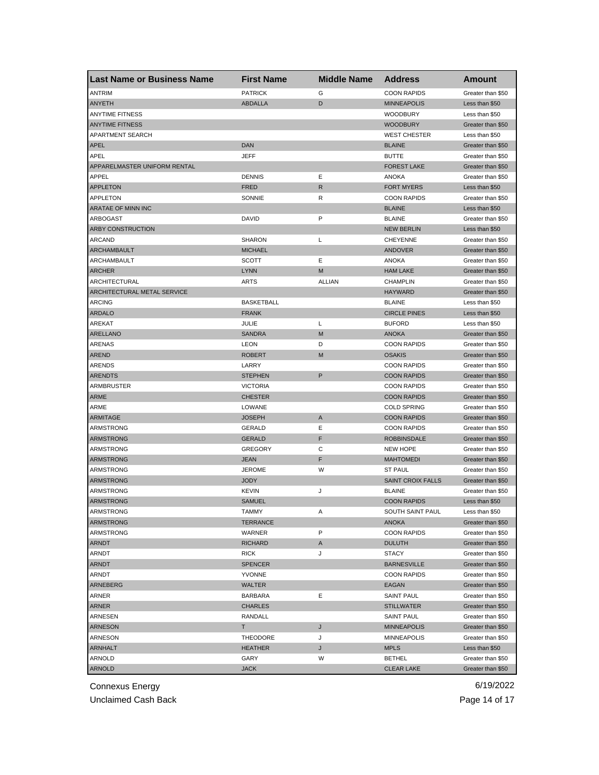| <b>Last Name or Business Name</b> | <b>First Name</b> | <b>Middle Name</b> | <b>Address</b>                          | <b>Amount</b>     |
|-----------------------------------|-------------------|--------------------|-----------------------------------------|-------------------|
| <b>ANTRIM</b>                     | <b>PATRICK</b>    | G                  | <b>COON RAPIDS</b>                      | Greater than \$50 |
| <b>ANYETH</b>                     | <b>ABDALLA</b>    | D                  | <b>MINNEAPOLIS</b>                      | Less than \$50    |
| <b>ANYTIME FITNESS</b>            |                   |                    | <b>WOODBURY</b>                         | Less than \$50    |
| <b>ANYTIME FITNESS</b>            |                   |                    | <b>WOODBURY</b>                         | Greater than \$50 |
| APARTMENT SEARCH                  |                   |                    | <b>WEST CHESTER</b>                     | Less than \$50    |
| <b>APEL</b>                       | <b>DAN</b>        |                    | <b>BLAINE</b>                           | Greater than \$50 |
| APEL                              | <b>JEFF</b>       |                    | <b>BUTTE</b>                            | Greater than \$50 |
| APPARELMASTER UNIFORM RENTAL      |                   |                    | <b>FOREST LAKE</b>                      | Greater than \$50 |
| APPEL                             | <b>DENNIS</b>     | Ε                  | ANOKA                                   | Greater than \$50 |
| <b>APPLETON</b>                   | <b>FRED</b>       | R                  | <b>FORT MYERS</b>                       | Less than \$50    |
| APPLETON                          | SONNIE            | R                  | <b>COON RAPIDS</b>                      | Greater than \$50 |
| ARATAE OF MINN INC                |                   |                    | <b>BLAINE</b>                           | Less than \$50    |
| ARBOGAST                          | DAVID             | P                  | <b>BLAINE</b>                           | Greater than \$50 |
| ARBY CONSTRUCTION                 |                   |                    | <b>NEW BERLIN</b>                       | Less than \$50    |
| <b>ARCAND</b>                     | <b>SHARON</b>     | L                  | <b>CHEYENNE</b>                         | Greater than \$50 |
| ARCHAMBAULT                       | <b>MICHAEL</b>    |                    | ANDOVER                                 | Greater than \$50 |
| ARCHAMBAULT                       | <b>SCOTT</b>      | Ε                  | <b>ANOKA</b>                            | Greater than \$50 |
| <b>ARCHER</b>                     | <b>LYNN</b>       | M                  | <b>HAM LAKE</b>                         | Greater than \$50 |
| ARCHITECTURAL                     | <b>ARTS</b>       | <b>ALLIAN</b>      | <b>CHAMPLIN</b>                         | Greater than \$50 |
| ARCHITECTURAL METAL SERVICE       |                   |                    | <b>HAYWARD</b>                          | Greater than \$50 |
| <b>ARCING</b>                     | <b>BASKETBALL</b> |                    | <b>BLAINE</b>                           | Less than \$50    |
| <b>ARDALO</b>                     | <b>FRANK</b>      |                    | <b>CIRCLE PINES</b>                     | Less than \$50    |
| AREKAT                            | JULIE             | L                  | <b>BUFORD</b>                           | Less than \$50    |
| ARELLANO                          | <b>SANDRA</b>     | M                  | <b>ANOKA</b>                            | Greater than \$50 |
| ARENAS                            | <b>LEON</b>       | D                  | <b>COON RAPIDS</b>                      | Greater than \$50 |
| <b>AREND</b>                      | <b>ROBERT</b>     | M                  | <b>OSAKIS</b>                           | Greater than \$50 |
| <b>ARENDS</b>                     | LARRY             |                    | <b>COON RAPIDS</b>                      | Greater than \$50 |
| <b>ARENDTS</b>                    | <b>STEPHEN</b>    | P                  | <b>COON RAPIDS</b>                      | Greater than \$50 |
| ARMBRUSTER                        | <b>VICTORIA</b>   |                    | <b>COON RAPIDS</b>                      | Greater than \$50 |
| ARME                              | <b>CHESTER</b>    |                    | <b>COON RAPIDS</b>                      | Greater than \$50 |
| ARME                              | LOWANE            |                    | <b>COLD SPRING</b>                      | Greater than \$50 |
| ARMITAGE                          | <b>JOSEPH</b>     | A                  | <b>COON RAPIDS</b>                      | Greater than \$50 |
| ARMSTRONG                         | GERALD            | Ε                  | <b>COON RAPIDS</b>                      | Greater than \$50 |
| ARMSTRONG                         | <b>GERALD</b>     | F                  | <b>ROBBINSDALE</b>                      | Greater than \$50 |
| ARMSTRONG                         | <b>GREGORY</b>    | С                  | <b>NEW HOPE</b>                         | Greater than \$50 |
| ARMSTRONG                         | <b>JEAN</b>       | F                  | <b>MAHTOMEDI</b>                        | Greater than \$50 |
| ARMSTRONG                         | <b>JEROME</b>     | W                  | <b>ST PAUL</b>                          | Greater than \$50 |
| ARMSTRONG                         | <b>JODY</b>       |                    | <b>SAINT CROIX FALLS</b>                | Greater than \$50 |
| ARMSTRONG                         | <b>KEVIN</b>      | J                  | <b>BLAINE</b>                           | Greater than \$50 |
| <b>ARMSTRONG</b>                  | <b>SAMUEL</b>     |                    | <b>COON RAPIDS</b>                      | Less than \$50    |
| ARMSTRONG                         | IAMMY             | A                  | SOUTH SAINT PAUL                        | Less than \$50    |
| <b>ARMSTRONG</b>                  | <b>TERRANCE</b>   |                    | ANOKA                                   | Greater than \$50 |
| <b>ARMSTRONG</b>                  | WARNER            | P                  | <b>COON RAPIDS</b>                      | Greater than \$50 |
| ARNDT                             | <b>RICHARD</b>    | A                  | <b>DULUTH</b>                           | Greater than \$50 |
| ARNDT                             | <b>RICK</b>       | J                  | <b>STACY</b>                            | Greater than \$50 |
| <b>ARNDT</b>                      | <b>SPENCER</b>    |                    | <b>BARNESVILLE</b>                      | Greater than \$50 |
| ARNDT                             | <b>YVONNE</b>     |                    | <b>COON RAPIDS</b>                      | Greater than \$50 |
| <b>ARNEBERG</b>                   | WALTER            |                    | EAGAN                                   | Greater than \$50 |
| ARNER                             | <b>BARBARA</b>    | Ε                  | <b>SAINT PAUL</b>                       | Greater than \$50 |
| ARNER                             | <b>CHARLES</b>    |                    | <b>STILLWATER</b>                       | Greater than \$50 |
|                                   |                   |                    |                                         | Greater than \$50 |
| ARNESEN                           | RANDALL           |                    | <b>SAINT PAUL</b><br><b>MINNEAPOLIS</b> |                   |
| <b>ARNESON</b>                    | T.                | J                  |                                         | Greater than \$50 |
| ARNESON                           | THEODORE          | J                  | MINNEAPOLIS                             | Greater than \$50 |
| <b>ARNHALT</b>                    | <b>HEATHER</b>    | J                  | <b>MPLS</b>                             | Less than \$50    |
| ARNOLD                            | GARY              | W                  | <b>BETHEL</b>                           | Greater than \$50 |
| <b>ARNOLD</b>                     | <b>JACK</b>       |                    | <b>CLEAR LAKE</b>                       | Greater than \$50 |

Unclaimed Cash Back **Page 14 of 17**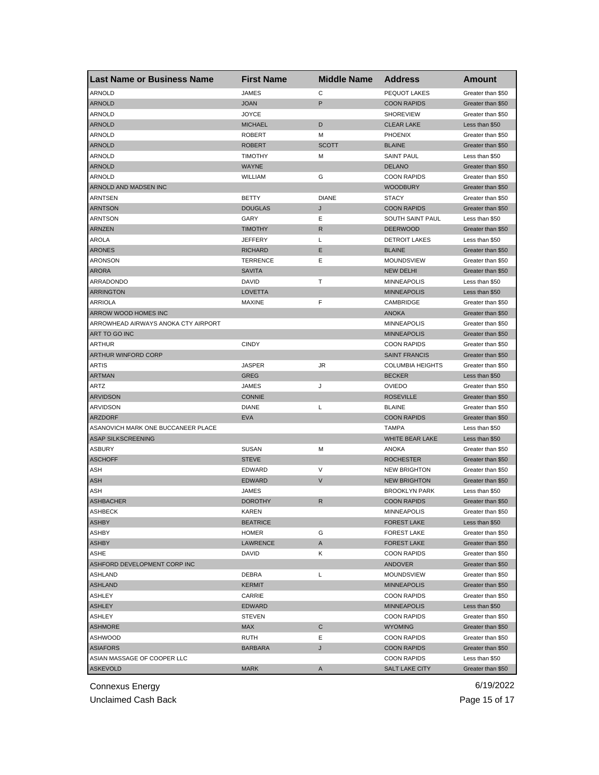| <b>Last Name or Business Name</b>   | <b>First Name</b> | <b>Middle Name</b> | <b>Address</b>          | <b>Amount</b>     |
|-------------------------------------|-------------------|--------------------|-------------------------|-------------------|
| <b>ARNOLD</b>                       | <b>JAMES</b>      | С                  | PEQUOT LAKES            | Greater than \$50 |
| <b>ARNOLD</b>                       | <b>JOAN</b>       | P                  | <b>COON RAPIDS</b>      | Greater than \$50 |
| <b>ARNOLD</b>                       | <b>JOYCE</b>      |                    | <b>SHOREVIEW</b>        | Greater than \$50 |
| <b>ARNOLD</b>                       | <b>MICHAEL</b>    | D                  | <b>CLEAR LAKE</b>       | Less than \$50    |
| <b>ARNOLD</b>                       | <b>ROBERT</b>     | м                  | <b>PHOENIX</b>          | Greater than \$50 |
| <b>ARNOLD</b>                       | <b>ROBERT</b>     | <b>SCOTT</b>       | <b>BLAINE</b>           | Greater than \$50 |
| ARNOLD                              | <b>TIMOTHY</b>    | м                  | <b>SAINT PAUL</b>       | Less than \$50    |
| <b>ARNOLD</b>                       | <b>WAYNE</b>      |                    | <b>DELANO</b>           | Greater than \$50 |
| ARNOLD                              | WILLIAM           | G                  | <b>COON RAPIDS</b>      | Greater than \$50 |
| ARNOLD AND MADSEN INC               |                   |                    | <b>WOODBURY</b>         | Greater than \$50 |
| <b>ARNTSEN</b>                      | <b>BETTY</b>      | <b>DIANE</b>       | <b>STACY</b>            | Greater than \$50 |
| <b>ARNTSON</b>                      | <b>DOUGLAS</b>    | J                  | <b>COON RAPIDS</b>      | Greater than \$50 |
| ARNTSON                             | GARY              | Ε                  | SOUTH SAINT PAUL        | Less than \$50    |
| <b>ARNZEN</b>                       | <b>TIMOTHY</b>    | R                  | <b>DEERWOOD</b>         | Greater than \$50 |
| <b>AROLA</b>                        | <b>JEFFERY</b>    | L                  | <b>DETROIT LAKES</b>    | Less than \$50    |
| <b>ARONES</b>                       | <b>RICHARD</b>    | Ε                  | <b>BLAINE</b>           | Greater than \$50 |
| <b>ARONSON</b>                      | <b>TERRENCE</b>   | Ε                  | <b>MOUNDSVIEW</b>       | Greater than \$50 |
| <b>ARORA</b>                        | <b>SAVITA</b>     |                    | <b>NEW DELHI</b>        | Greater than \$50 |
| ARRADONDO                           | <b>DAVID</b>      | т                  | <b>MINNEAPOLIS</b>      | Less than \$50    |
| <b>ARRINGTON</b>                    | <b>LOVETTA</b>    |                    | <b>MINNEAPOLIS</b>      | Less than \$50    |
| ARRIOLA                             | <b>MAXINE</b>     | F                  | CAMBRIDGE               | Greater than \$50 |
| ARROW WOOD HOMES INC                |                   |                    | <b>ANOKA</b>            | Greater than \$50 |
| ARROWHEAD AIRWAYS ANOKA CTY AIRPORT |                   |                    | <b>MINNEAPOLIS</b>      | Greater than \$50 |
| ART TO GO INC                       |                   |                    | <b>MINNEAPOLIS</b>      | Greater than \$50 |
| ARTHUR                              | <b>CINDY</b>      |                    | <b>COON RAPIDS</b>      | Greater than \$50 |
| ARTHUR WINFORD CORP                 |                   |                    | <b>SAINT FRANCIS</b>    | Greater than \$50 |
| ARTIS                               | <b>JASPER</b>     | JR                 | <b>COLUMBIA HEIGHTS</b> | Greater than \$50 |
| <b>ARTMAN</b>                       | <b>GREG</b>       |                    | <b>BECKER</b>           | Less than \$50    |
| ARTZ                                | JAMES             | J                  | <b>OVIEDO</b>           | Greater than \$50 |
| <b>ARVIDSON</b>                     | <b>CONNIE</b>     |                    | <b>ROSEVILLE</b>        | Greater than \$50 |
| <b>ARVIDSON</b>                     | <b>DIANE</b>      | L                  | <b>BLAINE</b>           | Greater than \$50 |
| <b>ARZDORF</b>                      | <b>EVA</b>        |                    | <b>COON RAPIDS</b>      | Greater than \$50 |
| ASANOVICH MARK ONE BUCCANEER PLACE  |                   |                    | TAMPA                   | Less than \$50    |
| ASAP SILKSCREENING                  |                   |                    | WHITE BEAR LAKE         | Less than \$50    |
| <b>ASBURY</b>                       | <b>SUSAN</b>      | M                  | <b>ANOKA</b>            | Greater than \$50 |
| <b>ASCHOFF</b>                      | <b>STEVE</b>      |                    | <b>ROCHESTER</b>        | Greater than \$50 |
| ASH                                 | EDWARD            | V                  | <b>NEW BRIGHTON</b>     | Greater than \$50 |
| ASH                                 | <b>EDWARD</b>     | V                  | <b>NEW BRIGHTON</b>     | Greater than \$50 |
| ASH                                 | JAMES             |                    | <b>BROOKLYN PARK</b>    | Less than \$50    |
| <b>ASHBACHER</b>                    | <b>DOROTHY</b>    | R                  | <b>COON RAPIDS</b>      | Greater than \$50 |
| ASHBECK                             | KAREN             |                    | <b>MINNEAPOLIS</b>      | Greater than \$50 |
| <b>ASHBY</b>                        | <b>BEATRICE</b>   |                    | <b>FOREST LAKE</b>      | Less than \$50    |
| ASHBY                               | <b>HOMER</b>      | G                  | <b>FOREST LAKE</b>      | Greater than \$50 |
| <b>ASHBY</b>                        | LAWRENCE          | A                  | <b>FOREST LAKE</b>      | Greater than \$50 |
| ASHE                                | DAVID             | Κ                  | <b>COON RAPIDS</b>      | Greater than \$50 |
| <b>ASHFORD DEVELOPMENT CORP INC</b> |                   |                    | ANDOVER                 | Greater than \$50 |
| <b>ASHLAND</b>                      | DEBRA             | L                  | MOUNDSVIEW              | Greater than \$50 |
| <b>ASHLAND</b>                      | <b>KERMIT</b>     |                    | <b>MINNEAPOLIS</b>      | Greater than \$50 |
| <b>ASHLEY</b>                       | CARRIE            |                    | <b>COON RAPIDS</b>      | Greater than \$50 |
| <b>ASHLEY</b>                       | <b>EDWARD</b>     |                    | <b>MINNEAPOLIS</b>      | Less than \$50    |
| ASHLEY                              | <b>STEVEN</b>     |                    | <b>COON RAPIDS</b>      | Greater than \$50 |
| <b>ASHMORE</b>                      | <b>MAX</b>        | C                  | <b>WYOMING</b>          | Greater than \$50 |
| <b>ASHWOOD</b>                      | RUTH              | Е                  | <b>COON RAPIDS</b>      | Greater than \$50 |
| <b>ASIAFORS</b>                     | <b>BARBARA</b>    | J                  | <b>COON RAPIDS</b>      | Greater than \$50 |
| ASIAN MASSAGE OF COOPER LLC         |                   |                    | <b>COON RAPIDS</b>      | Less than \$50    |
| <b>ASKEVOLD</b>                     | <b>MARK</b>       | A                  | <b>SALT LAKE CITY</b>   | Greater than \$50 |
|                                     |                   |                    |                         |                   |

Unclaimed Cash Back **Page 15 of 17**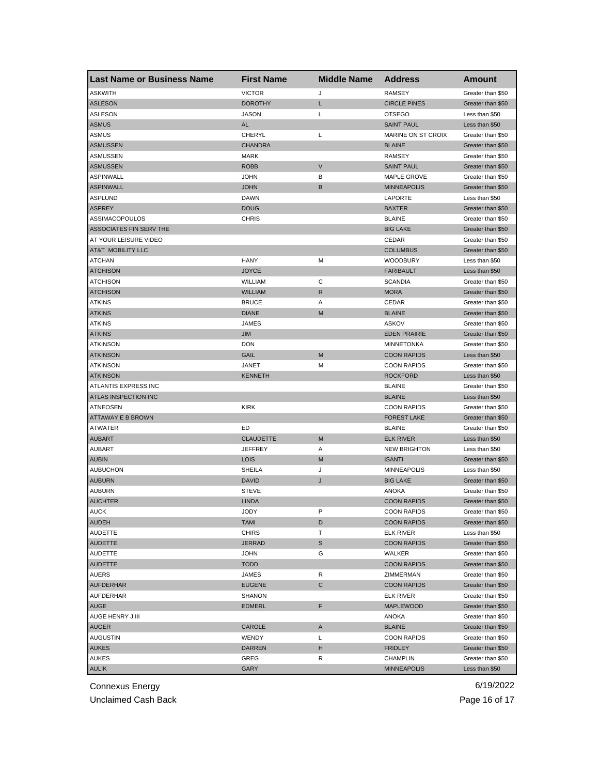| <b>Last Name or Business Name</b> | <b>First Name</b> | <b>Middle Name</b> | <b>Address</b>                    | <b>Amount</b>     |
|-----------------------------------|-------------------|--------------------|-----------------------------------|-------------------|
| <b>ASKWITH</b>                    | <b>VICTOR</b>     | J                  | <b>RAMSEY</b>                     | Greater than \$50 |
| <b>ASLESON</b>                    | <b>DOROTHY</b>    | Г                  | <b>CIRCLE PINES</b>               | Greater than \$50 |
| <b>ASLESON</b>                    | <b>JASON</b>      | L                  | <b>OTSEGO</b>                     | Less than \$50    |
| ASMUS                             | <b>AL</b>         |                    | <b>SAINT PAUL</b>                 | Less than \$50    |
| ASMUS                             | CHERYL            | Г                  | MARINE ON ST CROIX                | Greater than \$50 |
| <b>ASMUSSEN</b>                   | <b>CHANDRA</b>    |                    | <b>BLAINE</b>                     | Greater than \$50 |
| ASMUSSEN                          | <b>MARK</b>       |                    | <b>RAMSEY</b>                     | Greater than \$50 |
| <b>ASMUSSEN</b>                   | <b>ROBB</b>       | V                  | <b>SAINT PAUL</b>                 | Greater than \$50 |
| <b>ASPINWALL</b>                  | <b>JOHN</b>       | В                  | <b>MAPLE GROVE</b>                | Greater than \$50 |
| <b>ASPINWALL</b>                  | <b>JOHN</b>       | В                  | <b>MINNEAPOLIS</b>                | Greater than \$50 |
| <b>ASPLUND</b>                    | <b>DAWN</b>       |                    | LAPORTE                           | Less than \$50    |
| <b>ASPREY</b>                     | <b>DOUG</b>       |                    | <b>BAXTER</b>                     | Greater than \$50 |
| ASSIMACOPOULOS                    | <b>CHRIS</b>      |                    | <b>BLAINE</b>                     | Greater than \$50 |
| ASSOCIATES FIN SERV THE           |                   |                    | <b>BIG LAKE</b>                   | Greater than \$50 |
| AT YOUR LEISURE VIDEO             |                   |                    | CEDAR                             | Greater than \$50 |
| AT&T MOBILITY LLC                 |                   |                    | <b>COLUMBUS</b>                   | Greater than \$50 |
| <b>ATCHAN</b>                     | <b>HANY</b>       | М                  | <b>WOODBURY</b>                   | Less than \$50    |
| <b>ATCHISON</b>                   | <b>JOYCE</b>      |                    | <b>FARIBAULT</b>                  | Less than \$50    |
| <b>ATCHISON</b>                   | WILLIAM           | С                  | <b>SCANDIA</b>                    | Greater than \$50 |
| <b>ATCHISON</b>                   | <b>WILLIAM</b>    | R                  | <b>MORA</b>                       | Greater than \$50 |
| <b>ATKINS</b>                     | <b>BRUCE</b>      | Α                  | CEDAR                             | Greater than \$50 |
| <b>ATKINS</b>                     | <b>DIANE</b>      | M                  | <b>BLAINE</b>                     | Greater than \$50 |
| <b>ATKINS</b>                     | JAMES             |                    | <b>ASKOV</b>                      | Greater than \$50 |
| <b>ATKINS</b>                     | <b>JIM</b>        |                    | <b>EDEN PRAIRIE</b>               | Greater than \$50 |
| <b>ATKINSON</b>                   | <b>DON</b>        |                    | <b>MINNETONKA</b>                 | Greater than \$50 |
| <b>ATKINSON</b>                   | GAIL              | M                  | <b>COON RAPIDS</b>                | Less than \$50    |
| <b>ATKINSON</b>                   | JANET             | м                  | <b>COON RAPIDS</b>                | Greater than \$50 |
| <b>ATKINSON</b>                   | KENNETH           |                    | <b>ROCKFORD</b>                   | Less than \$50    |
| ATLANTIS EXPRESS INC              |                   |                    | <b>BLAINE</b>                     | Greater than \$50 |
| ATLAS INSPECTION INC              |                   |                    | <b>BLAINE</b>                     | Less than \$50    |
| <b>ATNEOSEN</b>                   | <b>KIRK</b>       |                    | <b>COON RAPIDS</b>                | Greater than \$50 |
| <b>ATTAWAY E B BROWN</b>          |                   |                    | <b>FOREST LAKE</b>                | Greater than \$50 |
|                                   | ED                |                    |                                   |                   |
| <b>ATWATER</b><br><b>AUBART</b>   | <b>CLAUDETTE</b>  | M                  | <b>BLAINE</b><br><b>ELK RIVER</b> | Greater than \$50 |
|                                   |                   |                    | <b>NEW BRIGHTON</b>               | Less than \$50    |
| AUBART                            | <b>JEFFREY</b>    | Α<br>M             |                                   | Less than \$50    |
| <b>AUBIN</b>                      | <b>LOIS</b>       |                    | <b>ISANTI</b>                     | Greater than \$50 |
| <b>AUBUCHON</b>                   | <b>SHEILA</b>     | J                  | <b>MINNEAPOLIS</b>                | Less than \$50    |
| <b>AUBURN</b>                     | <b>DAVID</b>      | J                  | <b>BIG LAKE</b>                   | Greater than \$50 |
| AUBURN                            | <b>STEVE</b>      |                    | ANOKA                             | Greater than \$50 |
| <b>AUCHTER</b>                    | <b>LINDA</b>      |                    | <b>COON RAPIDS</b>                | Greater than \$50 |
| <b>AUCK</b>                       | JODY              | ۲                  | <b>COON RAPIDS</b>                | Greater than \$50 |
| <b>AUDEH</b>                      | TAMI              | D                  | <b>COON RAPIDS</b>                | Greater than \$50 |
| <b>AUDETTE</b>                    | <b>CHIRS</b>      | т                  | <b>ELK RIVER</b>                  | Less than \$50    |
| <b>AUDETTE</b>                    | <b>JERRAD</b>     | S                  | <b>COON RAPIDS</b>                | Greater than \$50 |
| <b>AUDETTE</b>                    | <b>JOHN</b>       | G                  | WALKER                            | Greater than \$50 |
| <b>AUDETTE</b>                    | <b>TODD</b>       |                    | <b>COON RAPIDS</b>                | Greater than \$50 |
| AUERS                             | JAMES             | R                  | ZIMMERMAN                         | Greater than \$50 |
| <b>AUFDERHAR</b>                  | <b>EUGENE</b>     | С                  | <b>COON RAPIDS</b>                | Greater than \$50 |
| AUFDERHAR                         | SHANON            |                    | <b>ELK RIVER</b>                  | Greater than \$50 |
| AUGE                              | <b>EDMERL</b>     | F                  | <b>MAPLEWOOD</b>                  | Greater than \$50 |
| AUGE HENRY J III                  |                   |                    | ANOKA                             | Greater than \$50 |
| <b>AUGER</b>                      | CAROLE            | Α                  | <b>BLAINE</b>                     | Greater than \$50 |
| AUGUSTIN                          | WENDY             | Г                  | <b>COON RAPIDS</b>                | Greater than \$50 |
| <b>AUKES</b>                      | DARREN            | н                  | <b>FRIDLEY</b>                    | Greater than \$50 |
| AUKES                             | GREG              | R                  | CHAMPLIN                          | Greater than \$50 |
| <b>AULIK</b>                      | <b>GARY</b>       |                    | <b>MINNEAPOLIS</b>                | Less than \$50    |

Unclaimed Cash Back **Page 16 of 17**